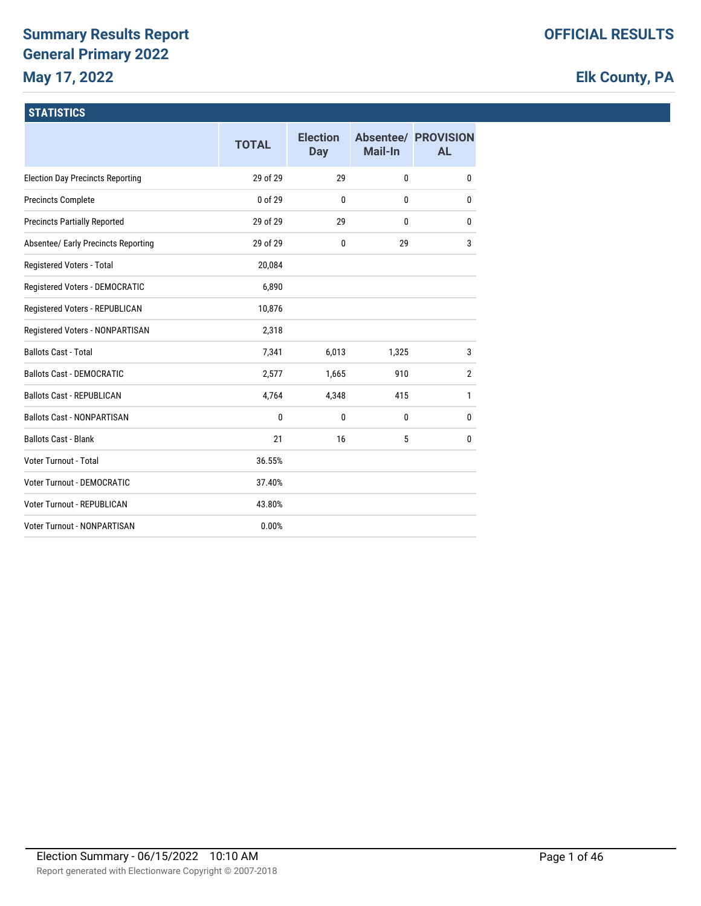# **Summary Results Report General Primary 2022 May 17, 2022**

# **Elk County, PA**

### **STATISTICS**

|                                         | <b>TOTAL</b> | <b>Election</b><br><b>Day</b> | <b>Mail-In</b> | <b>Absentee/ PROVISION</b><br><b>AL</b> |
|-----------------------------------------|--------------|-------------------------------|----------------|-----------------------------------------|
| <b>Election Day Precincts Reporting</b> | 29 of 29     | 29                            | 0              | $\mathbf{0}$                            |
| <b>Precincts Complete</b>               | 0 of 29      | $\mathbf{0}$                  | 0              | 0                                       |
| <b>Precincts Partially Reported</b>     | 29 of 29     | 29                            | 0              | 0                                       |
| Absentee/ Early Precincts Reporting     | 29 of 29     | $\mathbf{0}$                  | 29             | 3                                       |
| Registered Voters - Total               | 20,084       |                               |                |                                         |
| Registered Voters - DEMOCRATIC          | 6,890        |                               |                |                                         |
| Registered Voters - REPUBLICAN          | 10,876       |                               |                |                                         |
| Registered Voters - NONPARTISAN         | 2,318        |                               |                |                                         |
| <b>Ballots Cast - Total</b>             | 7,341        | 6,013                         | 1,325          | 3                                       |
| <b>Ballots Cast - DEMOCRATIC</b>        | 2,577        | 1,665                         | 910            | $\overline{2}$                          |
| <b>Ballots Cast - REPUBLICAN</b>        | 4,764        | 4,348                         | 415            | 1                                       |
| <b>Ballots Cast - NONPARTISAN</b>       | $\mathbf{0}$ | $\mathbf{0}$                  | 0              | 0                                       |
| <b>Ballots Cast - Blank</b>             | 21           | 16                            | 5              | 0                                       |
| Voter Turnout - Total                   | 36.55%       |                               |                |                                         |
| <b>Voter Turnout - DEMOCRATIC</b>       | 37.40%       |                               |                |                                         |
| <b>Voter Turnout - REPUBLICAN</b>       | 43.80%       |                               |                |                                         |
| <b>Voter Turnout - NONPARTISAN</b>      | 0.00%        |                               |                |                                         |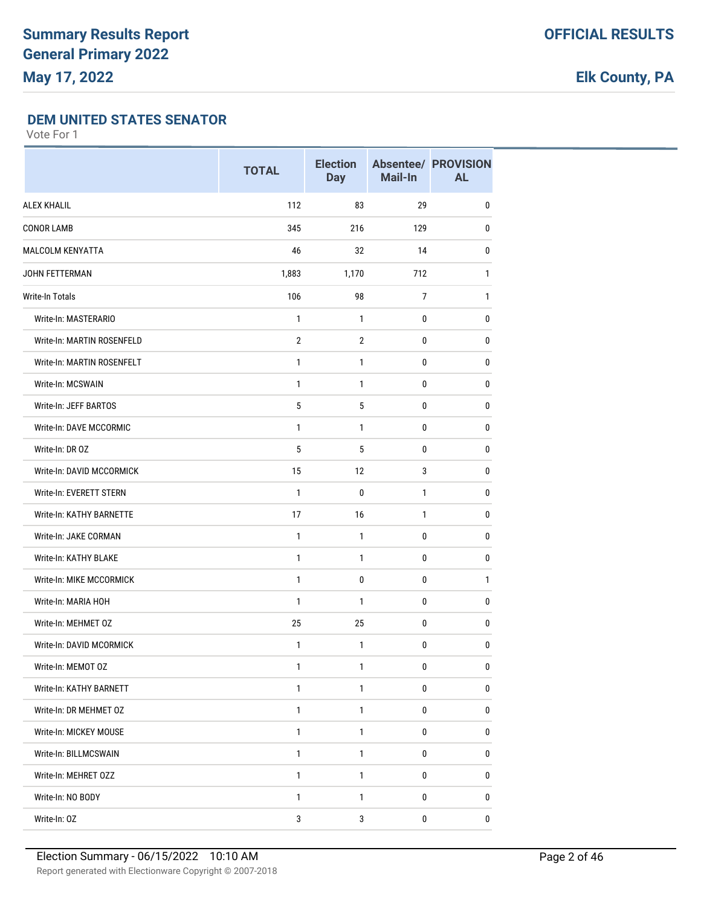### **DEM UNITED STATES SENATOR**

|                            | <b>TOTAL</b>   | <b>Election</b><br><b>Day</b> | Mail-In   | <b>Absentee/ PROVISION</b><br><b>AL</b> |
|----------------------------|----------------|-------------------------------|-----------|-----------------------------------------|
| <b>ALEX KHALIL</b>         | 112            | 83                            | 29        | $\mathbf{0}$                            |
| <b>CONOR LAMB</b>          | 345            | 216                           | 129       | $\pmb{0}$                               |
| MALCOLM KENYATTA           | 46             | 32                            | 14        | 0                                       |
| JOHN FETTERMAN             | 1,883          | 1,170                         | 712       | 1                                       |
| Write-In Totals            | 106            | 98                            | 7         | $\mathbf{1}$                            |
| Write-In: MASTERARIO       | $\mathbf{1}$   | 1                             | 0         | 0                                       |
| Write-In: MARTIN ROSENFELD | $\overline{2}$ | $\overline{2}$                | 0         | 0                                       |
| Write-In: MARTIN ROSENFELT | 1              | 1                             | 0         | 0                                       |
| Write-In: MCSWAIN          | $\mathbf{1}$   | 1                             | 0         | 0                                       |
| Write-In: JEFF BARTOS      | 5              | 5                             | 0         | $\mathbf{0}$                            |
| Write-In: DAVE MCCORMIC    | $\mathbf{1}$   | $\mathbf{1}$                  | 0         | 0                                       |
| Write-In: DR OZ            | 5              | 5                             | 0         | $\pmb{0}$                               |
| Write-In: DAVID MCCORMICK  | 15             | 12                            | 3         | 0                                       |
| Write-In: EVERETT STERN    | 1              | 0                             | 1         | 0                                       |
| Write-In: KATHY BARNETTE   | 17             | 16                            | 1         | 0                                       |
| Write-In: JAKE CORMAN      | $\mathbf{1}$   | $\mathbf{1}$                  | 0         | 0                                       |
| Write-In: KATHY BLAKE      | $\mathbf{1}$   | 1                             | 0         | 0                                       |
| Write-In: MIKE MCCORMICK   | $\mathbf{1}$   | $\mathbf 0$                   | 0         | 1                                       |
| Write-In: MARIA HOH        | $\mathbf{1}$   | $\mathbf{1}$                  | 0         | 0                                       |
| Write-In: MEHMET OZ        | 25             | 25                            | 0         | 0                                       |
| Write-In: DAVID MCORMICK   | 1              | 1                             | 0         | 0                                       |
| Write-In: MEMOT OZ         | $\mathbf{1}$   | 1                             | 0         | $\pmb{0}$                               |
| Write-In: KATHY BARNETT    | $\mathbf{1}$   | $\mathbf{1}$                  | $\pmb{0}$ | 0                                       |
| Write-In: DR MEHMET OZ     | $\mathbf{1}$   | $\mathbf{1}$                  | 0         | $\pmb{0}$                               |
| Write-In: MICKEY MOUSE     | $\mathbf{1}$   | $\mathbf{1}$                  | 0         | $\pmb{0}$                               |
| Write-In: BILLMCSWAIN      | 1              | 1                             | 0         | 0                                       |
| Write-In: MEHRET 0ZZ       | $\mathbf{1}$   | $\mathbf{1}$                  | 0         | $\pmb{0}$                               |
| Write-In: NO BODY          | $\mathbf{1}$   | 1                             | 0         | 0                                       |
| Write-In: OZ               | $\mathbf{3}$   | $\mathbf{3}$                  | 0         | 0                                       |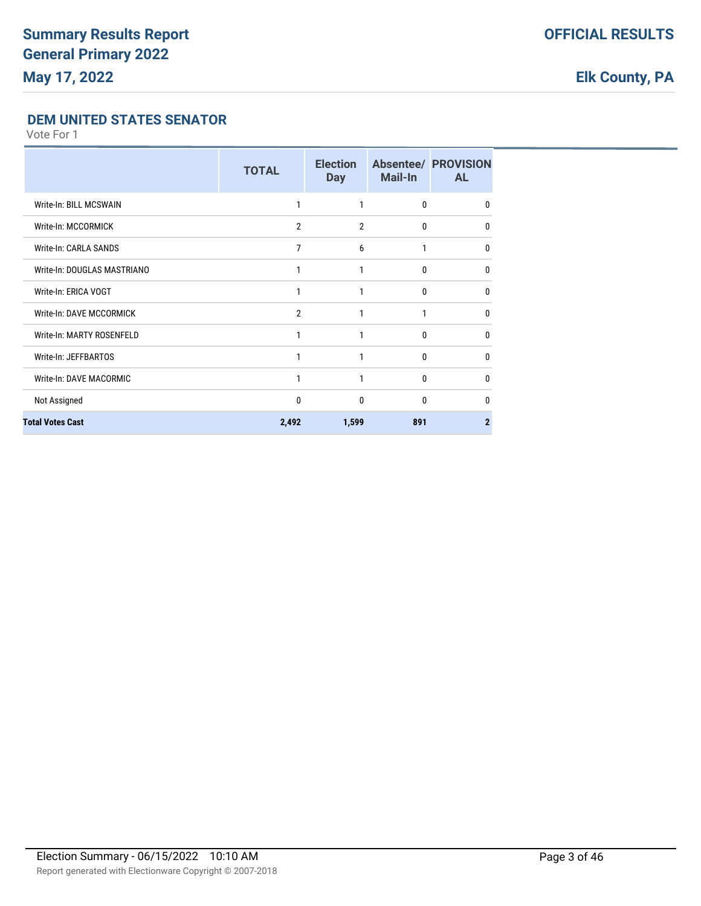### **DEM UNITED STATES SENATOR**

|                             | <b>TOTAL</b>   | <b>Election</b><br><b>Day</b> | Mail-In      | <b>Absentee/ PROVISION</b><br><b>AL</b> |
|-----------------------------|----------------|-------------------------------|--------------|-----------------------------------------|
| Write-In: BILL MCSWAIN      | 1              | 1                             | $\mathbf{0}$ | 0                                       |
| Write-In: MCCORMICK         | $\overline{2}$ | $\overline{2}$                | $\mathbf{0}$ | $\Omega$                                |
| Write-In: CARLA SANDS       | 7              | 6                             | 1            | $\Omega$                                |
| Write-In: DOUGLAS MASTRIANO | 1              | 1                             | $\mathbf{0}$ | 0                                       |
| Write-In: ERICA VOGT        | 1              | 1                             | $\mathbf{0}$ | 0                                       |
| Write-In: DAVE MCCORMICK    | $\mathfrak{p}$ | 1                             | 1            | $\Omega$                                |
| Write-In: MARTY ROSENFELD   |                |                               | $\Omega$     | $\Omega$                                |
| Write-In: JEFFBARTOS        | 1              | 1                             | $\Omega$     | $\Omega$                                |
| Write-In: DAVE MACORMIC     | 1              | 1                             | $\mathbf{0}$ | 0                                       |
| Not Assigned                | $\mathbf{0}$   | 0                             | $\mathbf{0}$ | 0                                       |
| <b>Total Votes Cast</b>     | 2,492          | 1,599                         | 891          | $\overline{2}$                          |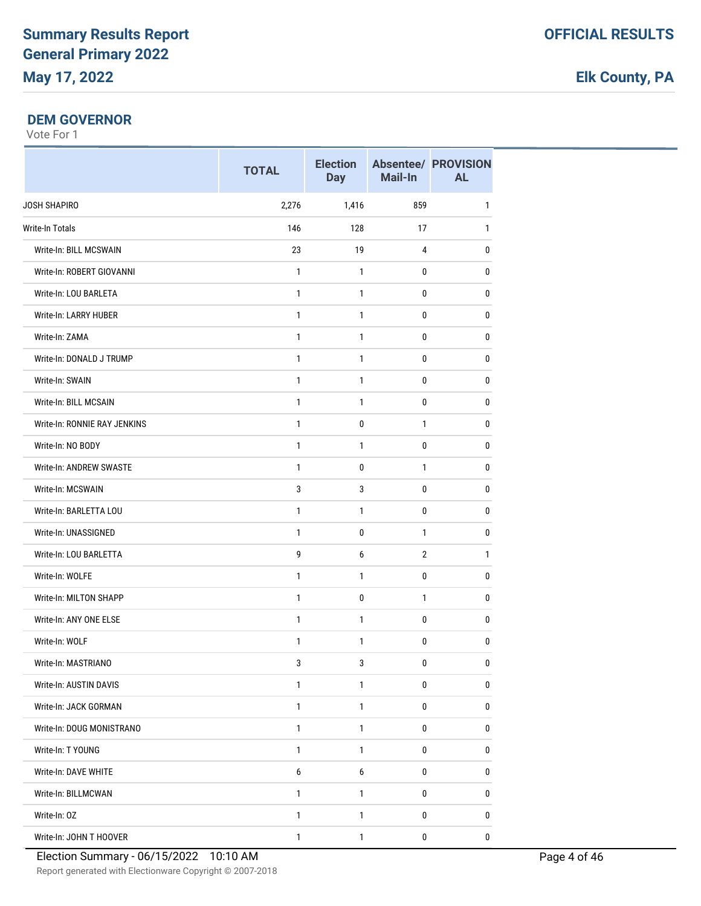#### **DEM GOVERNOR**

|                              | <b>TOTAL</b>     | <b>Election</b><br><b>Day</b> | Mail-In        | <b>Absentee/ PROVISION</b><br><b>AL</b> |
|------------------------------|------------------|-------------------------------|----------------|-----------------------------------------|
| JOSH SHAPIRO                 | 2,276            | 1,416                         | 859            | $\mathbf{1}$                            |
| <b>Write-In Totals</b>       | 146              | 128                           | 17             | $\mathbf{1}$                            |
| Write-In: BILL MCSWAIN       | 23               | 19                            | $\overline{4}$ | $\pmb{0}$                               |
| Write-In: ROBERT GIOVANNI    | $\mathbf{1}$     | $\mathbf{1}$                  | 0              | $\pmb{0}$                               |
| Write-In: LOU BARLETA        | 1                | 1                             | 0              | $\pmb{0}$                               |
| Write-In: LARRY HUBER        | 1                | $\mathbf{1}$                  | $\mathbf 0$    | $\pmb{0}$                               |
| Write-In: ZAMA               | 1                | $\mathbf{1}$                  | 0              | 0                                       |
| Write-In: DONALD J TRUMP     | 1                | 1                             | 0              | 0                                       |
| Write-In: SWAIN              | $\mathbf{1}$     | $\mathbf{1}$                  | $\mathbf 0$    | $\pmb{0}$                               |
| Write-In: BILL MCSAIN        | $\mathbf{1}$     | 1                             | 0              | 0                                       |
| Write-In: RONNIE RAY JENKINS | $\mathbf{1}$     | 0                             | $\mathbf{1}$   | $\pmb{0}$                               |
| Write-In: NO BODY            | $\mathbf{1}$     | 1                             | $\mathbf 0$    | $\pmb{0}$                               |
| Write-In: ANDREW SWASTE      | 1                | $\pmb{0}$                     | $\mathbf{1}$   | $\pmb{0}$                               |
| Write-In: MCSWAIN            | 3                | 3                             | 0              | $\mathbf{0}$                            |
| Write-In: BARLETTA LOU       | 1                | 1                             | 0              | $\pmb{0}$                               |
| Write-In: UNASSIGNED         | $\mathbf{1}$     | 0                             | $\mathbf{1}$   | $\pmb{0}$                               |
| Write-In: LOU BARLETTA       | 9                | 6                             | $\overline{2}$ | $\mathbf{1}$                            |
| Write-In: WOLFE              | 1                | $\mathbf{1}$                  | $\mathbf 0$    | $\pmb{0}$                               |
| Write-In: MILTON SHAPP       | 1                | 0                             | $\mathbf{1}$   | 0                                       |
| Write-In: ANY ONE ELSE       | 1                | 1                             | 0              | 0                                       |
| Write-In: WOLF               | 1                | $\mathbf{1}$                  | 0              | $\pmb{0}$                               |
| Write-In: MASTRIANO          | 3                | 3                             | $\mathbf{0}$   | $\Omega$                                |
| Write-In: AUSTIN DAVIS       | $\mathbf{1}$     | $\mathbf{1}$                  | 0              | $\pmb{0}$                               |
| Write-In: JACK GORMAN        | $\mathbf{1}$     | $\mathbf{1}$                  | $\pmb{0}$      | $\pmb{0}$                               |
| Write-In: DOUG MONISTRANO    | 1                | 1                             | 0              | 0                                       |
| Write-In: T YOUNG            | $\mathbf{1}$     | $\mathbf{1}$                  | 0              | $\pmb{0}$                               |
| Write-In: DAVE WHITE         | $\boldsymbol{6}$ | 6                             | $\pmb{0}$      | $\pmb{0}$                               |
| Write-In: BILLMCWAN          | $\mathbf{1}$     | $\mathbf{1}$                  | 0              | $\pmb{0}$                               |
| Write-In: OZ                 | $\mathbf{1}$     | $\mathbf{1}$                  | 0              | $\pmb{0}$                               |
| Write-In: JOHN T HOOVER      | $\mathbf{1}$     | $\mathbf{1}$                  | $\pmb{0}$      | 0                                       |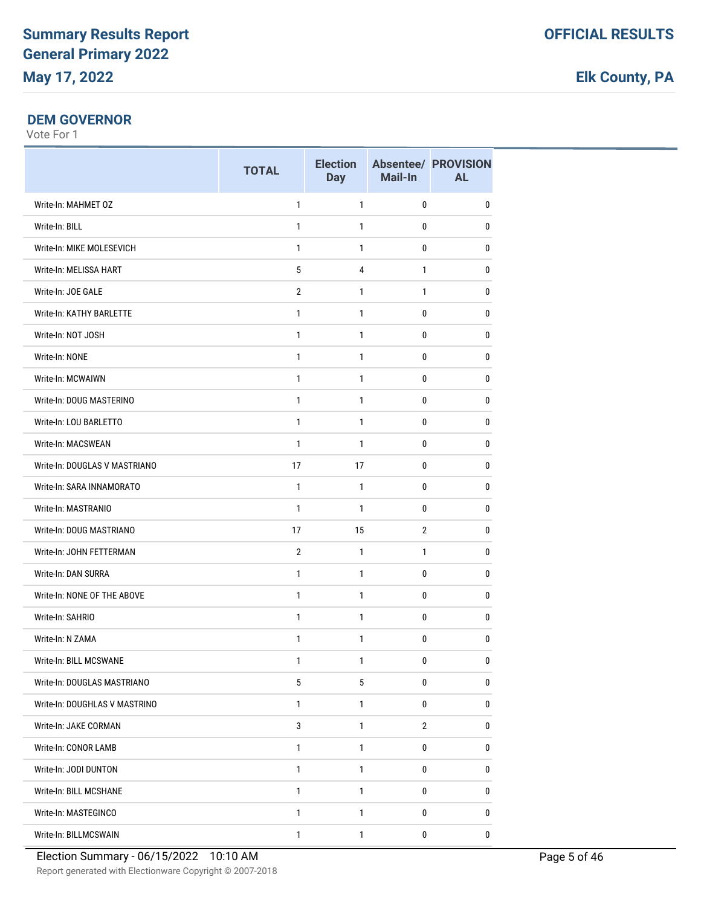### **DEM GOVERNOR**

|                               | <b>TOTAL</b>    | <b>Election</b><br><b>Day</b> | Mail-In        | <b>Absentee/ PROVISION</b><br><b>AL</b> |
|-------------------------------|-----------------|-------------------------------|----------------|-----------------------------------------|
| Write-In: MAHMET OZ           | $\mathbf{1}$    | 1                             | $\mathbf{0}$   | 0                                       |
| Write-In: BILL                | $\mathbf{1}$    | $\mathbf{1}$                  | 0              | 0                                       |
| Write-In: MIKE MOLESEVICH     | $\mathbf{1}$    | $\mathbf{1}$                  | $\mathbf 0$    | $\pmb{0}$                               |
| Write-In: MELISSA HART        | 5               | 4                             | $\mathbf{1}$   | 0                                       |
| Write-In: JOE GALE            | $\overline{2}$  | $\mathbf{1}$                  | $\mathbf{1}$   | 0                                       |
| Write-In: KATHY BARLETTE      | $\mathbf{1}$    | 1                             | 0              | 0                                       |
| Write-In: NOT JOSH            | $\mathbf{1}$    | $\mathbf{1}$                  | $\mathbf{0}$   | 0                                       |
| Write-In: NONE                | $\mathbf{1}$    | 1                             | 0              | 0                                       |
| Write-In: MCWAIWN             | $\mathbf{1}$    | $\mathbf{1}$                  | 0              | 0                                       |
| Write-In: DOUG MASTERINO      | $\mathbf{1}$    | $\mathbf{1}$                  | 0              | 0                                       |
| Write-In: LOU BARLETTO        | 1               | 1                             | 0              | 0                                       |
| Write-In: MACSWEAN            | 1               | $\mathbf{1}$                  | 0              | 0                                       |
| Write-In: DOUGLAS V MASTRIANO | 17              | 17                            | $\mathbf{0}$   | 0                                       |
| Write-In: SARA INNAMORATO     | 1               | $\mathbf{1}$                  | 0              | 0                                       |
| Write-In: MASTRANIO           | $\mathbf{1}$    | $\mathbf{1}$                  | $\mathbf 0$    | $\pmb{0}$                               |
| Write-In: DOUG MASTRIANO      | 17              | 15                            | $\overline{2}$ | 0                                       |
| Write-In: JOHN FETTERMAN      | $\overline{2}$  | $\mathbf{1}$                  | $\mathbf{1}$   | 0                                       |
| Write-In: DAN SURRA           | $\mathbf{1}$    | 1                             | 0              | 0                                       |
| Write-In: NONE OF THE ABOVE   | $\mathbf{1}$    | $\mathbf{1}$                  | $\mathbf{0}$   | 0                                       |
| Write-In: SAHRIO              | $\mathbf{1}$    | $\mathbf{1}$                  | 0              | 0                                       |
| Write-In: N ZAMA              | $\mathbf{1}$    | $\mathbf{1}$                  | 0              | 0                                       |
| Write-In: BILL MCSWANE        | 1               | 1                             | 0              | 0                                       |
| Write-In: DOUGLAS MASTRIANO   | $5\phantom{.0}$ | 5                             | $\pmb{0}$      | $\pmb{0}$                               |
| Write-In: DOUGHLAS V MASTRINO | 1               | 1                             | 0              | 0                                       |
| Write-In: JAKE CORMAN         | 3               | 1                             | $\overline{2}$ | 0                                       |
| Write-In: CONOR LAMB          | $\mathbf{1}$    | 1                             | 0              | $\pmb{0}$                               |
| Write-In: JODI DUNTON         | 1               | 1                             | 0              | 0                                       |
| Write-In: BILL MCSHANE        | $\mathbf{1}$    | 1                             | 0              | $\pmb{0}$                               |
| Write-In: MASTEGINCO          | 1               | 1                             | 0              | 0                                       |
| Write-In: BILLMCSWAIN         | 1               | 1                             | $\pmb{0}$      | $\pmb{0}$                               |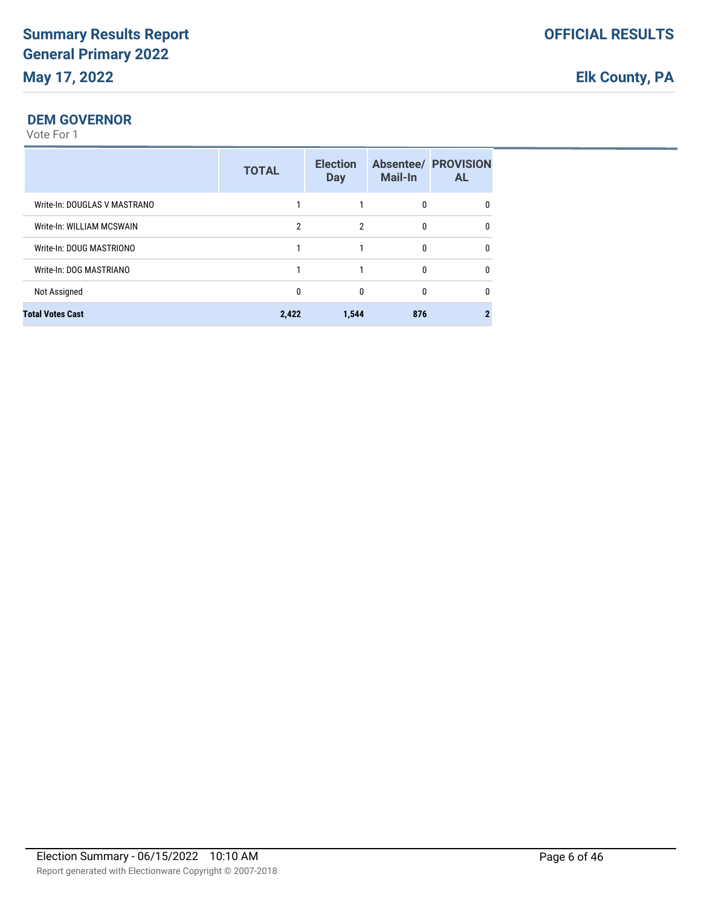### **DEM GOVERNOR**

|                              | <b>TOTAL</b> | <b>Election</b><br><b>Day</b> | <b>Mail-In</b> | <b>Absentee/ PROVISION</b><br><b>AL</b> |
|------------------------------|--------------|-------------------------------|----------------|-----------------------------------------|
| Write-In: DOUGLAS V MASTRANO |              |                               | 0              | 0                                       |
| Write-In: WILLIAM MCSWAIN    | 2            | 2                             | 0              | $\Omega$                                |
| Write-In: DOUG MASTRIONO     |              |                               | $\Omega$       | $\Omega$                                |
| Write-In: DOG MASTRIANO      |              |                               | $\Omega$       | 0                                       |
| Not Assigned                 | 0            | 0                             | 0              | 0                                       |
| <b>Total Votes Cast</b>      | 2,422        | 1,544                         | 876            |                                         |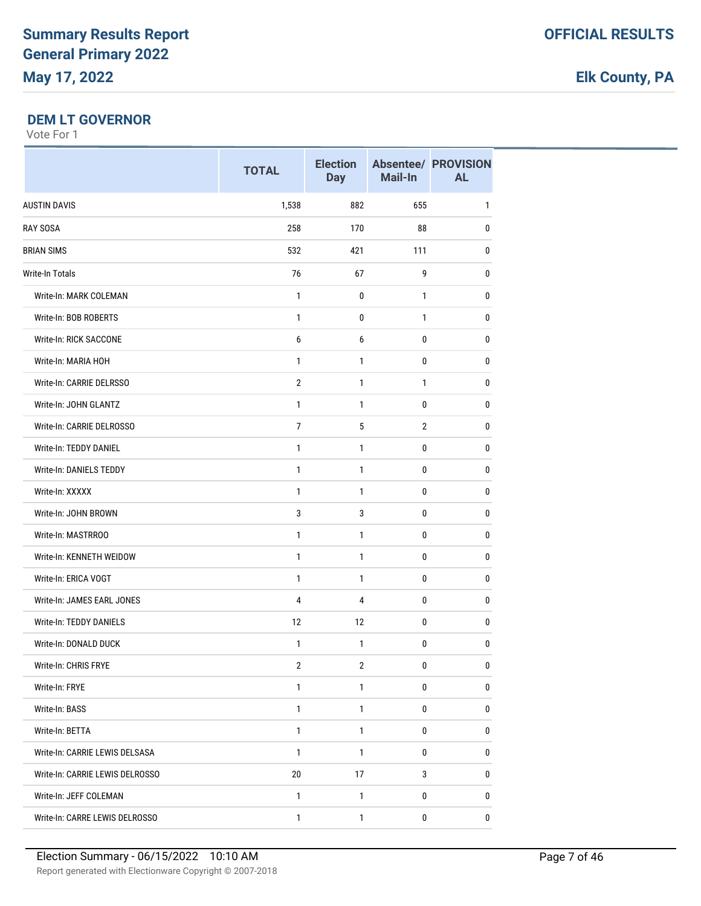#### **DEM LT GOVERNOR**

|                                 | <b>TOTAL</b>   | <b>Election</b><br><b>Day</b> | Mail-In        | <b>Absentee/ PROVISION</b><br><b>AL</b> |
|---------------------------------|----------------|-------------------------------|----------------|-----------------------------------------|
| <b>AUSTIN DAVIS</b>             | 1,538          | 882                           | 655            | $\mathbf{1}$                            |
| <b>RAY SOSA</b>                 | 258            | 170                           | 88             | 0                                       |
| <b>BRIAN SIMS</b>               | 532            | 421                           | 111            | $\mathbf{0}$                            |
| <b>Write-In Totals</b>          | 76             | 67                            | 9              | $\pmb{0}$                               |
| Write-In: MARK COLEMAN          | 1              | 0                             | 1              | 0                                       |
| Write-In: BOB ROBERTS           | $\mathbf{1}$   | 0                             | $\mathbf{1}$   | 0                                       |
| Write-In: RICK SACCONE          | 6              | 6                             | 0              | $\mathbf{0}$                            |
| Write-In: MARIA HOH             | $\mathbf{1}$   | 1                             | 0              | 0                                       |
| Write-In: CARRIE DELRSSO        | $\overline{2}$ | $\mathbf{1}$                  | 1              | 0                                       |
| Write-In: JOHN GLANTZ           | $\mathbf{1}$   | $\mathbf{1}$                  | 0              | $\pmb{0}$                               |
| Write-In: CARRIE DELROSSO       | $\overline{7}$ | 5                             | $\overline{2}$ | $\pmb{0}$                               |
| Write-In: TEDDY DANIEL          | 1              | 1                             | 0              | 0                                       |
| <b>Write-In: DANIELS TEDDY</b>  | $\mathbf{1}$   | $\mathbf{1}$                  | 0              | $\mathbf{0}$                            |
| Write-In: XXXXX                 | $\mathbf{1}$   | 1                             | 0              | $\pmb{0}$                               |
| Write-In: JOHN BROWN            | 3              | 3                             | 0              | 0                                       |
| Write-In: MASTRROO              | $\mathbf{1}$   | $\mathbf{1}$                  | 0              | $\pmb{0}$                               |
| Write-In: KENNETH WEIDOW        | $\mathbf{1}$   | 1                             | 0              | 0                                       |
| Write-In: ERICA VOGT            | $\mathbf{1}$   | 1                             | 0              | 0                                       |
| Write-In: JAMES EARL JONES      | 4              | $\overline{\mathbf{4}}$       | 0              | $\mathbf{0}$                            |
| Write-In: TEDDY DANIELS         | 12             | 12                            | 0              | 0                                       |
| Write-In: DONALD DUCK           | 1              | 1                             | 0              | 0                                       |
| Write-In: CHRIS FRYE            | $\sqrt{2}$     | $\overline{2}$                | 0              | $\pmb{0}$                               |
| Write-In: FRYE                  | $\mathbf{1}$   | $\mathbf{1}$                  | $\pmb{0}$      | $\pmb{0}$                               |
| Write-In: BASS                  | $\mathbf{1}$   | $\mathbf{1}$                  | 0              | 0                                       |
| Write-In: BETTA                 | $\mathbf{1}$   | 1                             | 0              | 0                                       |
| Write-In: CARRIE LEWIS DELSASA  | $\mathbf{1}$   | $\mathbf{1}$                  | 0              | $\pmb{0}$                               |
| Write-In: CARRIE LEWIS DELROSSO | $20\,$         | 17                            | 3              | $\pmb{0}$                               |
| Write-In: JEFF COLEMAN          | $\mathbf{1}$   | $\mathbf{1}$                  | 0              | 0                                       |
| Write-In: CARRE LEWIS DELROSSO  | $\mathbf{1}$   | $\mathbf{1}$                  | $\pmb{0}$      | $\bf{0}$                                |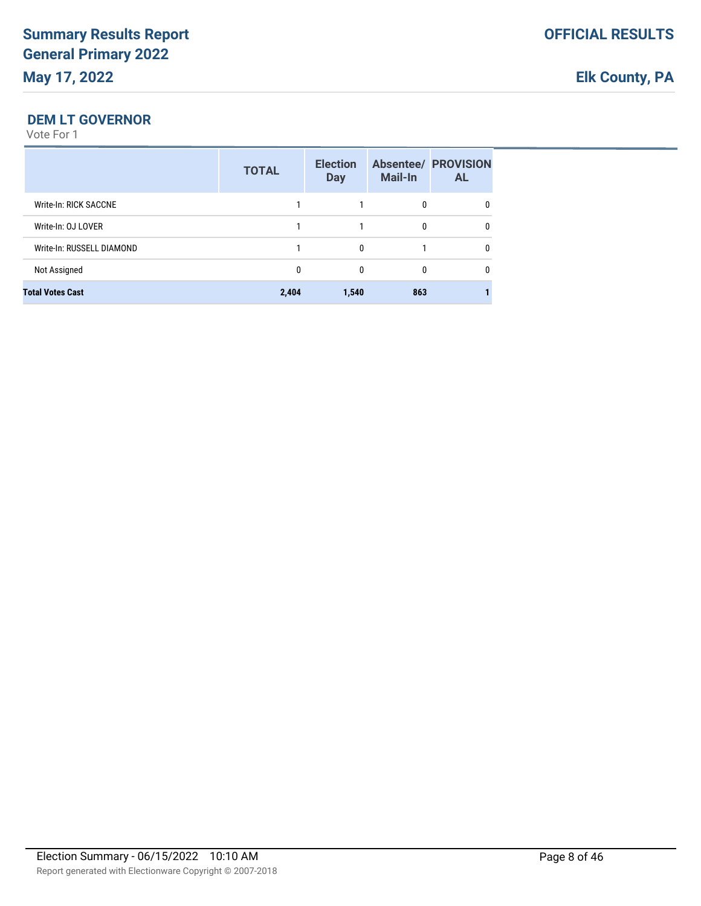#### **DEM LT GOVERNOR**

|                           | <b>TOTAL</b> | <b>Election</b><br><b>Day</b> | Mail-In | <b>Absentee/ PROVISION</b><br><b>AL</b> |
|---------------------------|--------------|-------------------------------|---------|-----------------------------------------|
| Write-In: RICK SACCNE     |              |                               | 0       |                                         |
| Write-In: OJ LOVER        |              |                               | 0       | 0                                       |
| Write-In: RUSSELL DIAMOND |              | 0                             |         | 0                                       |
| Not Assigned              | 0            | 0                             | 0       | 0                                       |
| <b>Total Votes Cast</b>   | 2,404        | 1,540                         | 863     |                                         |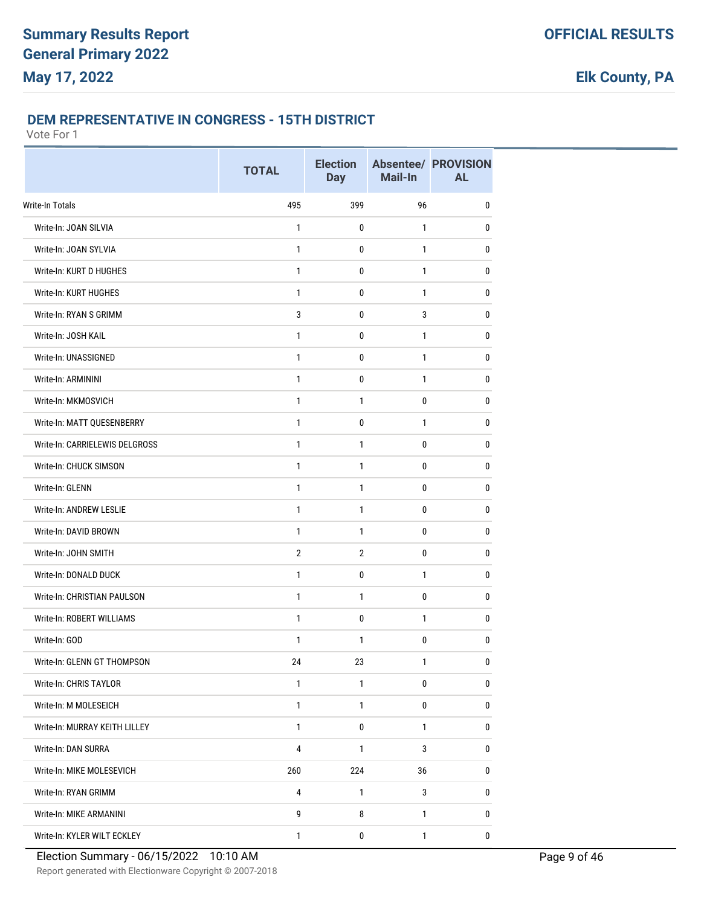### **DEM REPRESENTATIVE IN CONGRESS - 15TH DISTRICT**

|                                | <b>TOTAL</b>   | <b>Election</b><br><b>Day</b> | Mail-In      | <b>Absentee/ PROVISION</b><br><b>AL</b> |
|--------------------------------|----------------|-------------------------------|--------------|-----------------------------------------|
| Write-In Totals                | 495            | 399                           | 96           | 0                                       |
| Write-In: JOAN SILVIA          | $\mathbf{1}$   | 0                             | 1            | 0                                       |
| Write-In: JOAN SYLVIA          | $\mathbf{1}$   | 0                             | $\mathbf{1}$ | 0                                       |
| Write-In: KURT D HUGHES        | $\mathbf{1}$   | 0                             | $\mathbf{1}$ | $\bf{0}$                                |
| Write-In: KURT HUGHES          | 1              | 0                             | 1            | 0                                       |
| Write-In: RYAN S GRIMM         | 3              | 0                             | 3            | 0                                       |
| Write-In: JOSH KAIL            | 1              | 0                             | 1            | 0                                       |
| Write-In: UNASSIGNED           | 1              | 0                             | $\mathbf{1}$ | 0                                       |
| Write-In: ARMININI             | $\mathbf{1}$   | $\mathbf 0$                   | $\mathbf{1}$ | 0                                       |
| Write-In: MKMOSVICH            | 1              | 1                             | 0            | $\bf{0}$                                |
| Write-In: MATT QUESENBERRY     | 1              | $\pmb{0}$                     | $\mathbf{1}$ | 0                                       |
| Write-In: CARRIELEWIS DELGROSS | 1              | 1                             | 0            | 0                                       |
| Write-In: CHUCK SIMSON         | 1              | 1                             | 0            | $\bf{0}$                                |
| Write-In: GLENN                | $\mathbf{1}$   | 1                             | 0            | 0                                       |
| Write-In: ANDREW LESLIE        | $\mathbf{1}$   | $\mathbf{1}$                  | 0            | 0                                       |
| Write-In: DAVID BROWN          | $\mathbf{1}$   | 1                             | $\mathbf 0$  | $\bf{0}$                                |
| Write-In: JOHN SMITH           | $\overline{2}$ | $\overline{2}$                | $\pmb{0}$    | 0                                       |
| Write-In: DONALD DUCK          | 1              | 0                             | 1            | 0                                       |
| Write-In: CHRISTIAN PAULSON    | 1              | 1                             | 0            | 0                                       |
| Write-In: ROBERT WILLIAMS      | 1              | 0                             | $\mathbf{1}$ | 0                                       |
| Write-In: GOD                  | $\mathbf{1}$   | $\mathbf{1}$                  | $\pmb{0}$    | 0                                       |
| Write-In: GLENN GT THOMPSON    | 24             | 23                            | 1            | $\pmb{0}$                               |
| Write-In: CHRIS TAYLOR         | 1              | 1                             | 0            | 0                                       |
| Write-In: M MOLESEICH          | $\mathbf{1}$   | $\mathbf{1}$                  | 0            | 0                                       |
| Write-In: MURRAY KEITH LILLEY  | $\mathbf{1}$   | $\pmb{0}$                     | $\mathbf{1}$ | 0                                       |
| Write-In: DAN SURRA            | 4              | 1                             | 3            | 0                                       |
| Write-In: MIKE MOLESEVICH      | 260            | 224                           | 36           | $\pmb{0}$                               |
| Write-In: RYAN GRIMM           | 4              | 1                             | $\sqrt{3}$   | 0                                       |
| Write-In: MIKE ARMANINI        | 9              | 8                             | $\mathbf{1}$ | 0                                       |
| Write-In: KYLER WILT ECKLEY    | $\mathbf{1}$   | $\pmb{0}$                     | $\mathbf{1}$ | $\pmb{0}$                               |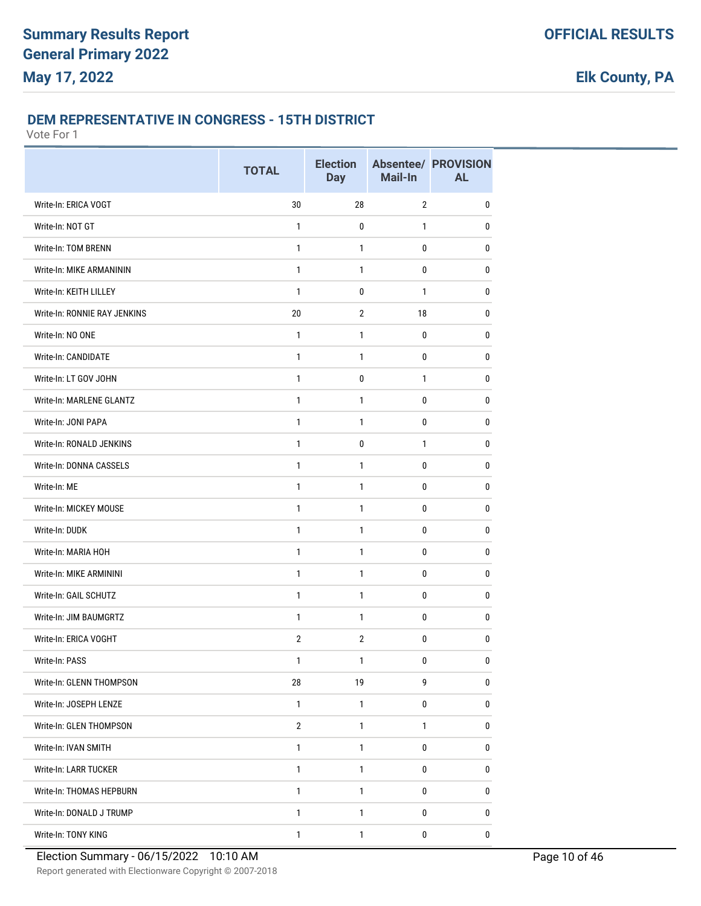#### **DEM REPRESENTATIVE IN CONGRESS - 15TH DISTRICT**

|                              | <b>TOTAL</b>   | <b>Election</b><br><b>Day</b> | Mail-In        | <b>Absentee/ PROVISION</b><br><b>AL</b> |
|------------------------------|----------------|-------------------------------|----------------|-----------------------------------------|
| Write-In: ERICA VOGT         | 30             | 28                            | $\overline{2}$ | $\pmb{0}$                               |
| Write-In: NOT GT             | 1              | 0                             | 1              | 0                                       |
| Write-In: TOM BRENN          | $\mathbf{1}$   | $\mathbf{1}$                  | 0              | 0                                       |
| Write-In: MIKE ARMANININ     | $\mathbf{1}$   | 1                             | $\pmb{0}$      | $\pmb{0}$                               |
| Write-In: KEITH LILLEY       | 1              | 0                             | 1              | $\bf{0}$                                |
| Write-In: RONNIE RAY JENKINS | 20             | $\overline{2}$                | 18             | 0                                       |
| Write-In: NO ONE             | 1              | 1                             | 0              | 0                                       |
| Write-In: CANDIDATE          | $\mathbf{1}$   | 1                             | 0              | $\bf{0}$                                |
| Write-In: LT GOV JOHN        | $\mathbf{1}$   | $\mathbf 0$                   | $\mathbf{1}$   | 0                                       |
| Write-In: MARLENE GLANTZ     | $\mathbf{1}$   | 1                             | $\mathbf 0$    | 0                                       |
| Write-In: JONI PAPA          | $\mathbf{1}$   | 1                             | 0              | $\bf{0}$                                |
| Write-In: RONALD JENKINS     | $\mathbf{1}$   | 0                             | $\mathbf{1}$   | 0                                       |
| Write-In: DONNA CASSELS      | 1              | 1                             | 0              | 0                                       |
| Write-In: ME                 | $\mathbf{1}$   | 1                             | 0              | $\bf{0}$                                |
| Write-In: MICKEY MOUSE       | $\mathbf{1}$   | $\mathbf{1}$                  | 0              | 0                                       |
| Write-In: DUDK               | $\mathbf{1}$   | 1                             | $\pmb{0}$      | $\pmb{0}$                               |
| Write-In: MARIA HOH          | 1              | 1                             | 0              | $\bf{0}$                                |
| Write-In: MIKE ARMININI      | $\mathbf{1}$   | 1                             | 0              | 0                                       |
| Write-In: GAIL SCHUTZ        | 1              | 1                             | 0              | $\pmb{0}$                               |
| Write-In: JIM BAUMGRTZ       | $\mathbf{1}$   | 1                             | 0              | $\bf{0}$                                |
| Write-In: ERICA VOGHT        | $\overline{2}$ | $\overline{2}$                | 0              | $\pmb{0}$                               |
| Write-In: PASS               | 1              | 1                             | $\pmb{0}$      | $\pmb{0}$                               |
| Write-In: GLENN THOMPSON     | 28             | 19                            | 9              | 0                                       |
| Write-In: JOSEPH LENZE       | $\mathbf{1}$   | $\mathbf{1}$                  | 0              | 0                                       |
| Write-In: GLEN THOMPSON      | $\mathbf{2}$   | 1                             | 1              | 0                                       |
| Write-In: IVAN SMITH         | $\mathbf{1}$   | $\mathbf{1}$                  | 0              | 0                                       |
| Write-In: LARR TUCKER        | $\mathbf{1}$   | $\mathbf{1}$                  | 0              | 0                                       |
| Write-In: THOMAS HEPBURN     | $\mathbf{1}$   | 1                             | 0              | $\bf 0$                                 |
| Write-In: DONALD J TRUMP     | $\mathbf{1}$   | 1                             | 0              | 0                                       |
| Write-In: TONY KING          | 1              | 1                             | $\pmb{0}$      | 0                                       |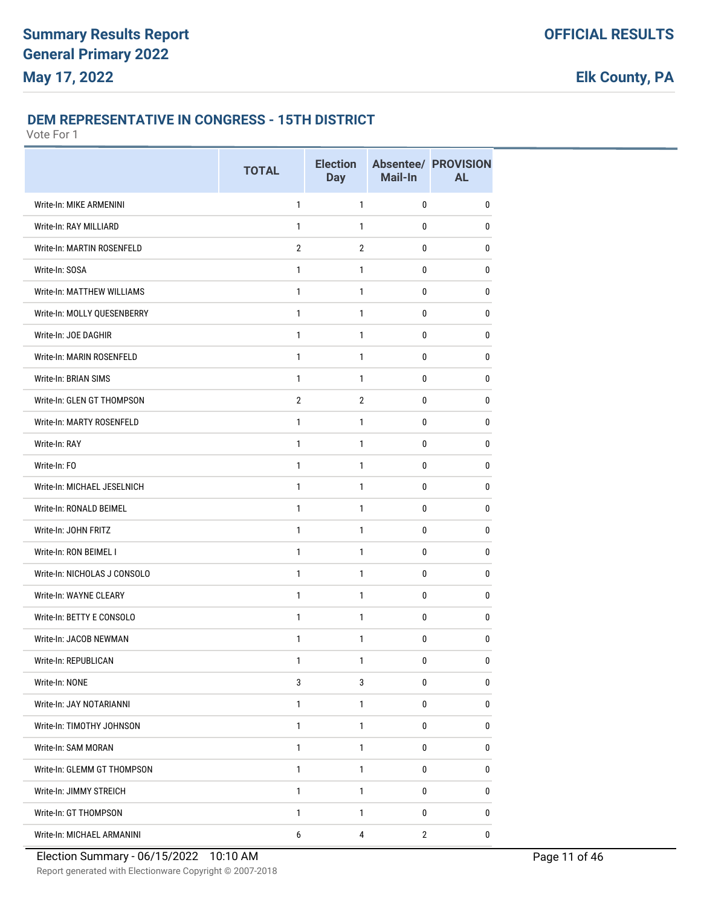#### **DEM REPRESENTATIVE IN CONGRESS - 15TH DISTRICT**

|                              | <b>TOTAL</b>   | <b>Election</b><br><b>Day</b> | Mail-In      | <b>Absentee/ PROVISION</b><br><b>AL</b> |
|------------------------------|----------------|-------------------------------|--------------|-----------------------------------------|
| Write-In: MIKE ARMENINI      | $\mathbf{1}$   | 1                             | 0            | 0                                       |
| Write-In: RAY MILLIARD       | 1              | $\mathbf{1}$                  | 0            | 0                                       |
| Write-In: MARTIN ROSENFELD   | $\overline{2}$ | $\overline{2}$                | 0            | 0                                       |
| Write-In: SOSA               | $\mathbf{1}$   | $\mathbf{1}$                  | $\mathbf 0$  | 0                                       |
| Write-In: MATTHEW WILLIAMS   | 1              | 1                             | 0            | $\mathbf 0$                             |
| Write-In: MOLLY QUESENBERRY  | $\mathbf{1}$   | $\mathbf{1}$                  | 0            | 0                                       |
| Write-In: JOE DAGHIR         | 1              | 1                             | 0            | 0                                       |
| Write-In: MARIN ROSENFELD    | $\mathbf{1}$   | $\mathbf{1}$                  | 0            | $\bf{0}$                                |
| Write-In: BRIAN SIMS         | $\mathbf{1}$   | 1                             | 0            | 0                                       |
| Write-In: GLEN GT THOMPSON   | $\overline{2}$ | $\overline{2}$                | $\mathbf{0}$ | 0                                       |
| Write-In: MARTY ROSENFELD    | $\mathbf{1}$   | $\mathbf{1}$                  | 0            | $\mathbf 0$                             |
| Write-In: RAY                | 1              | 1                             | 0            | 0                                       |
| Write-In: FO                 | $\mathbf{1}$   | 1                             | 0            | 0                                       |
| Write-In: MICHAEL JESELNICH  | $\mathbf{1}$   | $\mathbf{1}$                  | 0            | 0                                       |
| Write-In: RONALD BEIMEL      | $\mathbf{1}$   | 1                             | 0            | 0                                       |
| Write-In: JOHN FRITZ         | $\mathbf{1}$   | $\mathbf{1}$                  | $\mathbf 0$  | $\mathbf 0$                             |
| Write-In: RON BEIMEL I       | 1              | 1                             | 0            | $\mathbf 0$                             |
| Write-In: NICHOLAS J CONSOLO | $\mathbf{1}$   | $\mathbf{1}$                  | 0            | 0                                       |
| Write-In: WAYNE CLEARY       | 1              | 1                             | 0            | 0                                       |
| Write-In: BETTY E CONSOLO    | $\mathbf{1}$   | $\mathbf{1}$                  | 0            | $\bf{0}$                                |
| Write-In: JACOB NEWMAN       | $\mathbf{1}$   | 1                             | 0            | 0                                       |
| Write-In: REPUBLICAN         | $\mathbf{1}$   | $\mathbf{1}$                  | 0            | $\pmb{0}$                               |
| Write-In: NONE               | 3              | 3                             | 0            | 0                                       |
| Write-In: JAY NOTARIANNI     | $\mathbf{1}$   | $\mathbf{1}$                  | 0            | 0                                       |
| Write-In: TIMOTHY JOHNSON    | $\mathbf{1}$   | $\mathbf{1}$                  | 0            | 0                                       |
| Write-In: SAM MORAN          | $\mathbf{1}$   | $\mathbf{1}$                  | $\bf{0}$     | 0                                       |
| Write-In: GLEMM GT THOMPSON  | $\mathbf{1}$   | $\mathbf{1}$                  | 0            | 0                                       |
| Write-In: JIMMY STREICH      | $\mathbf{1}$   | $\mathbf{1}$                  | 0            | $\bf{0}$                                |
| Write-In: GT THOMPSON        | $\mathbf{1}$   | $\mathbf{1}$                  | 0            | 0                                       |
| Write-In: MICHAEL ARMANINI   | 6              | $\pmb{4}$                     | $\mathbf{2}$ | 0                                       |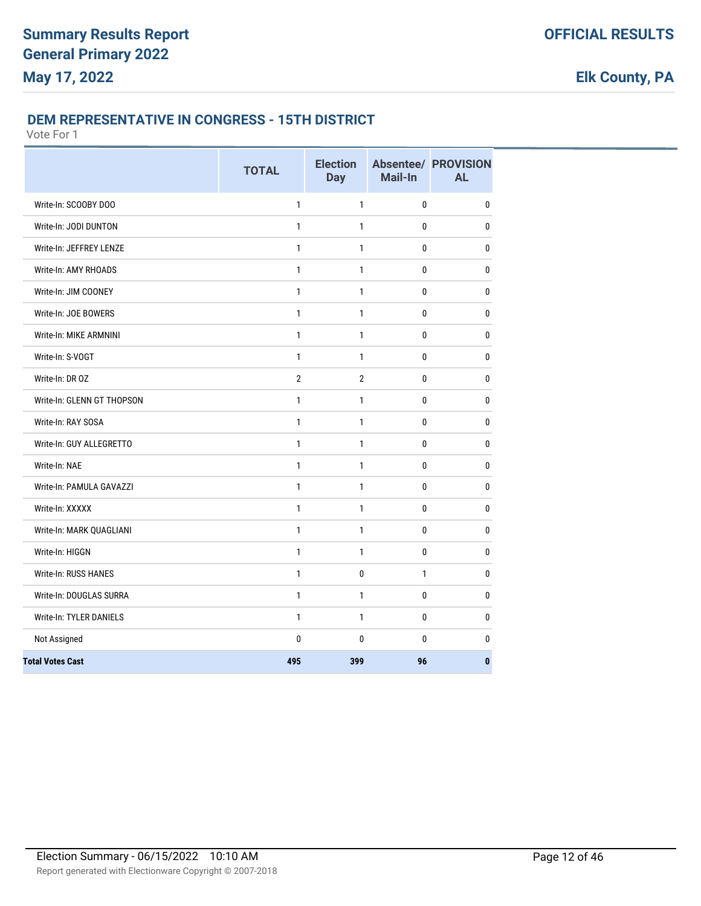#### **DEM REPRESENTATIVE IN CONGRESS - 15TH DISTRICT**

|                                | <b>TOTAL</b>   | <b>Election</b><br><b>Day</b> | Mail-In      | <b>Absentee/ PROVISION</b><br><b>AL</b> |
|--------------------------------|----------------|-------------------------------|--------------|-----------------------------------------|
| Write-In: SCOOBY DOO           | $\mathbf{1}$   | $\mathbf{1}$                  | $\mathbf 0$  | $\mathbf 0$                             |
| Write-In: JODI DUNTON          | 1              | 1                             | 0            | $\bf{0}$                                |
| Write-In: JEFFREY LENZE        | $\mathbf{1}$   | $\mathbf{1}$                  | 0            | 0                                       |
| Write-In: AMY RHOADS           | $\mathbf{1}$   | 1                             | 0            | 0                                       |
| Write-In: JIM COONEY           | $\mathbf{1}$   | $\mathbf{1}$                  | 0            | $\bf{0}$                                |
| Write-In: JOE BOWERS           | $\mathbf{1}$   | 1                             | 0            | 0                                       |
| Write-In: MIKE ARMNINI         | $\mathbf{1}$   | $\mathbf{1}$                  | 0            | $\mathbf{0}$                            |
| Write-In: S-VOGT               | $\mathbf{1}$   | $\mathbf{1}$                  | 0            | $\mathbf{0}$                            |
| Write-In: DR OZ                | $\overline{2}$ | $\overline{2}$                | $\mathbf{0}$ | 0                                       |
| Write-In: GLENN GT THOPSON     | $\mathbf{1}$   | $\mathbf{1}$                  | $\pmb{0}$    | 0                                       |
| Write-In: RAY SOSA             | 1              | 1                             | 0            | $\mathbf 0$                             |
| Write-In: GUY ALLEGRETTO       | $\mathbf{1}$   | $\mathbf{1}$                  | $\mathbf 0$  | $\mathbf 0$                             |
| Write-In: NAE                  | $\mathbf{1}$   | 1                             | 0            | 0                                       |
| Write-In: PAMULA GAVAZZI       | $\mathbf{1}$   | 1                             | 0            | 0                                       |
| Write-In: XXXXX                | $\mathbf{1}$   | $\mathbf{1}$                  | $\pmb{0}$    | 0                                       |
| Write-In: MARK QUAGLIANI       | $\mathbf{1}$   | $\mathbf{1}$                  | 0            | 0                                       |
| Write-In: HIGGN                | $\mathbf{1}$   | $\mathbf{1}$                  | 0            | 0                                       |
| Write-In: RUSS HANES           | $\mathbf{1}$   | 0                             | $\mathbf{1}$ | 0                                       |
| Write-In: DOUGLAS SURRA        | $\mathbf{1}$   | $\mathbf{1}$                  | $\mathbf{0}$ | $\mathbf{0}$                            |
| <b>Write-In: TYLER DANIELS</b> | $\mathbf{1}$   | 1                             | $\mathbf 0$  | $\mathbf 0$                             |
| Not Assigned                   | $\mathbf{0}$   | $\mathbf{0}$                  | 0            | $\mathbf 0$                             |
| <b>Total Votes Cast</b>        | 495            | 399                           | 96           | $\bf{0}$                                |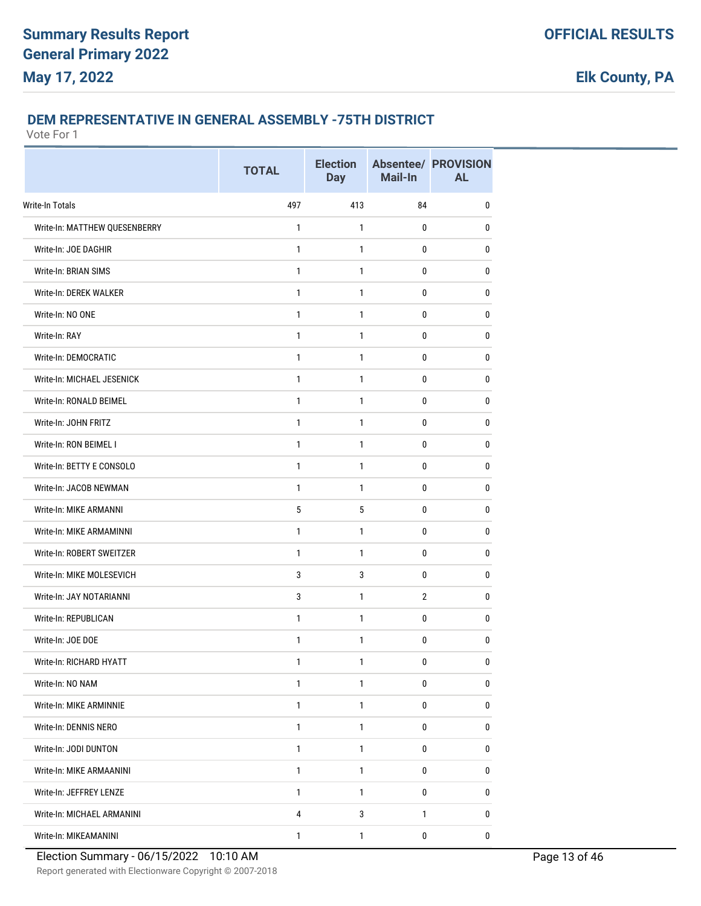#### **DEM REPRESENTATIVE IN GENERAL ASSEMBLY -75TH DISTRICT**

|                               | <b>TOTAL</b> | <b>Election</b><br><b>Day</b> | Mail-In        | <b>Absentee/ PROVISION</b><br><b>AL</b> |
|-------------------------------|--------------|-------------------------------|----------------|-----------------------------------------|
| Write-In Totals               | 497          | 413                           | 84             | 0                                       |
| Write-In: MATTHEW QUESENBERRY | $\mathbf{1}$ | 1                             | 0              | 0                                       |
| Write-In: JOE DAGHIR          | $\mathbf{1}$ | $\mathbf{1}$                  | 0              | 0                                       |
| Write-In: BRIAN SIMS          | $\mathbf{1}$ | 1                             | 0              | 0                                       |
| Write-In: DEREK WALKER        | 1            | 1                             | 0              | 0                                       |
| Write-In: NO ONE              | $\mathbf{1}$ | 1                             | 0              | 0                                       |
| Write-In: RAY                 | 1            | 1                             | 0              | 0                                       |
| Write-In: DEMOCRATIC          | $\mathbf{1}$ | 1                             | 0              | 0                                       |
| Write-In: MICHAEL JESENICK    | $\mathbf{1}$ | $\mathbf{1}$                  | 0              | $\pmb{0}$                               |
| Write-In: RONALD BEIMEL       | 1            | 1                             | 0              | 0                                       |
| Write-In: JOHN FRITZ          | 1            | $\mathbf{1}$                  | 0              | 0                                       |
| Write-In: RON BEIMEL I        | 1            | 1                             | 0              | 0                                       |
| Write-In: BETTY E CONSOLO     | 1            | 1                             | 0              | 0                                       |
| Write-In: JACOB NEWMAN        | $\mathbf{1}$ | 1                             | 0              | 0                                       |
| Write-In: MIKE ARMANNI        | 5            | 5                             | 0              | 0                                       |
| Write-In: MIKE ARMAMINNI      | $\mathbf{1}$ | 1                             | 0              | 0                                       |
| Write-In: ROBERT SWEITZER     | 1            | 1                             | 0              | 0                                       |
| Write-In: MIKE MOLESEVICH     | 3            | 3                             | 0              | 0                                       |
| Write-In: JAY NOTARIANNI      | 3            | 1                             | $\overline{2}$ | 0                                       |
| Write-In: REPUBLICAN          | 1            | 1                             | 0              | 0                                       |
| Write-In: JOE DOE             | $\mathbf{1}$ | $\mathbf{1}$                  | 0              | 0                                       |
| Write-In: RICHARD HYATT       | 1            | 1                             | $\pmb{0}$      | $\pmb{0}$                               |
| Write-In: NO NAM              | $\mathbf{1}$ | 1                             | 0              | $\pmb{0}$                               |
| Write-In: MIKE ARMINNIE       | $\mathbf{1}$ | $\mathbf{1}$                  | 0              | $\pmb{0}$                               |
| Write-In: DENNIS NERO         | $\mathbf{1}$ | 1                             | 0              | 0                                       |
| Write-In: JODI DUNTON         | $\mathbf{1}$ | $\mathbf{1}$                  | 0              | 0                                       |
| Write-In: MIKE ARMAANINI      | $\mathbf{1}$ | $\mathbf{1}$                  | 0              | 0                                       |
| Write-In: JEFFREY LENZE       | $\mathbf{1}$ | 1                             | 0              | 0                                       |
| Write-In: MICHAEL ARMANINI    | 4            | $\mathbf{3}$                  | $\mathbf{1}$   | 0                                       |
| Write-In: MIKEAMANINI         | $\mathbf{1}$ | $\mathbf{1}$                  | 0              | $\mathbf 0$                             |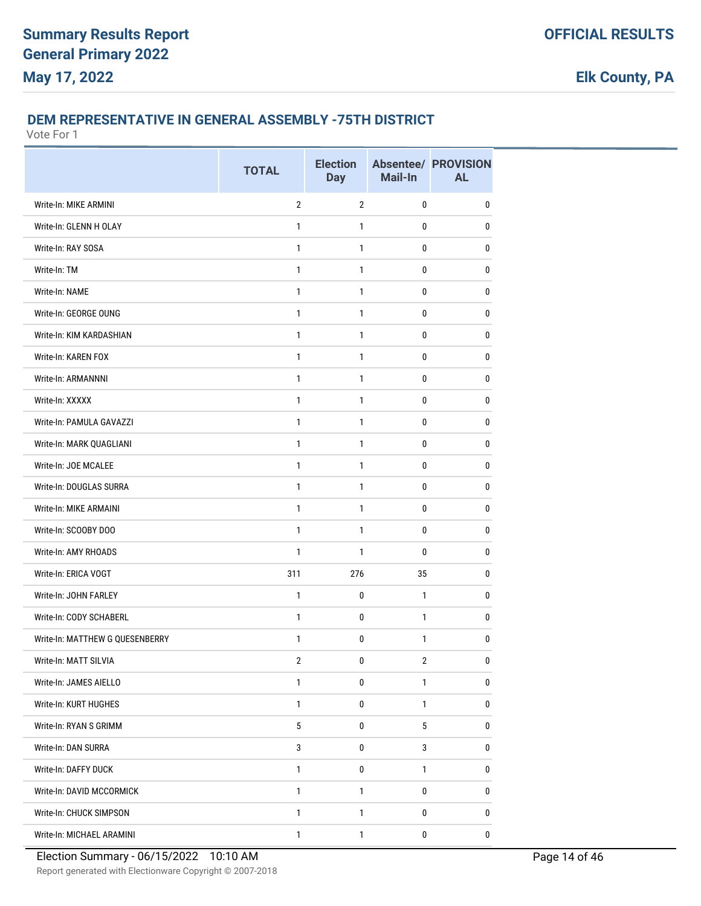#### **DEM REPRESENTATIVE IN GENERAL ASSEMBLY -75TH DISTRICT**

Vote For 1

|                                 | <b>TOTAL</b>    | <b>Election</b><br><b>Day</b> | Mail-In      | <b>Absentee/ PROVISION</b><br><b>AL</b> |
|---------------------------------|-----------------|-------------------------------|--------------|-----------------------------------------|
| Write-In: MIKE ARMINI           | $\overline{2}$  | $\overline{2}$                | 0            | $\pmb{0}$                               |
| Write-In: GLENN H OLAY          | $\mathbf{1}$    | $\mathbf{1}$                  | 0            | $\mathbf{0}$                            |
| Write-In: RAY SOSA              | 1               | $\mathbf{1}$                  | 0            | 0                                       |
| Write-In: TM                    | 1               | $\mathbf{1}$                  | 0            | 0                                       |
| Write-In: NAME                  | $\mathbf{1}$    | 1                             | 0            | $\mathbf{0}$                            |
| Write-In: GEORGE OUNG           | 1               | $\mathbf{1}$                  | 0            | $\bf{0}$                                |
| Write-In: KIM KARDASHIAN        | 1               | $\mathbf{1}$                  | 0            | $\pmb{0}$                               |
| Write-In: KAREN FOX             | $\mathbf{1}$    | 1                             | 0            | $\mathbf{0}$                            |
| Write-In: ARMANNNI              | 1               | 1                             | 0            | $\mathbf 0$                             |
| Write-In: XXXXX                 | 1               | 1                             | 0            | $\mathbf{0}$                            |
| Write-In: PAMULA GAVAZZI        | $\mathbf{1}$    | 1                             | 0            | $\mathbf{0}$                            |
| Write-In: MARK QUAGLIANI        | $\mathbf{1}$    | $\mathbf{1}$                  | 0            | $\bf{0}$                                |
| Write-In: JOE MCALEE            | 1               | $\mathbf{1}$                  | 0            | $\mathbf{0}$                            |
| Write-In: DOUGLAS SURRA         | $\mathbf{1}$    | 1                             | 0            | 0                                       |
| Write-In: MIKE ARMAINI          | 1               | 1                             | 0            | 0                                       |
| Write-In: SCOOBY DOO            | 1               | $\mathbf{1}$                  | 0            | 0                                       |
| Write-In: AMY RHOADS            | 1               | 1                             | 0            | $\mathbf{0}$                            |
| Write-In: ERICA VOGT            | 311             | 276                           | 35           | 0                                       |
| Write-In: JOHN FARLEY           | $\mathbf{1}$    | 0                             | $\mathbf{1}$ | 0                                       |
| Write-In: CODY SCHABERL         | $\mathbf{1}$    | 0                             | 1            | $\mathbf{0}$                            |
| Write-In: MATTHEW G QUESENBERRY | 1               | 0                             | $\mathbf{1}$ | 0                                       |
| Write-In: MATT SILVIA           | 2               | 0                             | 2            | 0                                       |
| Write-In: JAMES AIELLO          | $\mathbf{1}$    | 0                             | 1            | 0                                       |
| Write-In: KURT HUGHES           | $\mathbf{1}$    | 0                             | $\mathbf{1}$ | 0                                       |
| Write-In: RYAN S GRIMM          | $5\phantom{.0}$ | 0                             | 5            | $\pmb{0}$                               |
| Write-In: DAN SURRA             | 3               | 0                             | 3            | 0                                       |
| Write-In: DAFFY DUCK            | $\mathbf{1}$    | 0                             | $\mathbf{1}$ | $\bf{0}$                                |
| Write-In: DAVID MCCORMICK       | 1               | 1                             | 0            | 0                                       |
| Write-In: CHUCK SIMPSON         | $\mathbf{1}$    | 1                             | 0            | 0                                       |
| Write-In: MICHAEL ARAMINI       | $\mathbf{1}$    | 1                             | 0            | 0                                       |

Report generated with Electionware Copyright © 2007-2018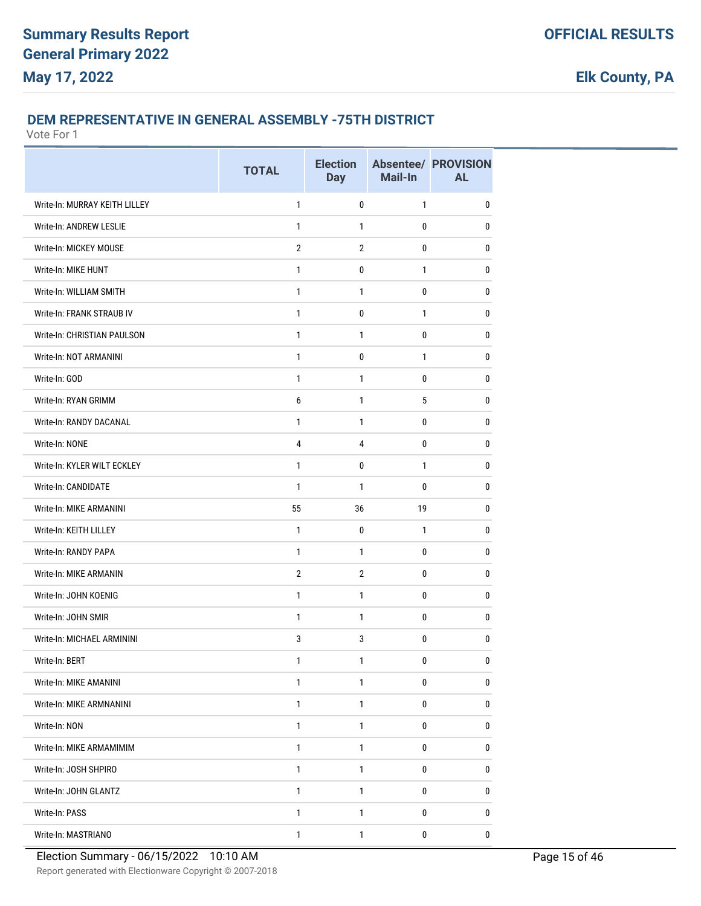#### **DEM REPRESENTATIVE IN GENERAL ASSEMBLY -75TH DISTRICT**

Vote For 1

|                               | <b>TOTAL</b>   | <b>Election</b><br><b>Day</b> | Mail-In      | <b>Absentee/ PROVISION</b><br><b>AL</b> |
|-------------------------------|----------------|-------------------------------|--------------|-----------------------------------------|
| Write-In: MURRAY KEITH LILLEY | $\mathbf{1}$   | $\mathbf{0}$                  | $\mathbf{1}$ | 0                                       |
| Write-In: ANDREW LESLIE       | $\mathbf{1}$   | 1                             | 0            | 0                                       |
| Write-In: MICKEY MOUSE        | $\overline{2}$ | $\overline{2}$                | 0            | $\bf{0}$                                |
| Write-In: MIKE HUNT           | $\mathbf{1}$   | $\pmb{0}$                     | $\mathbf{1}$ | 0                                       |
| Write-In: WILLIAM SMITH       | $\mathbf{1}$   | 1                             | 0            | 0                                       |
| Write-In: FRANK STRAUB IV     | $\mathbf{1}$   | 0                             | $\mathbf{1}$ | 0                                       |
| Write-In: CHRISTIAN PAULSON   | $\mathbf{1}$   | $\mathbf{1}$                  | 0            | 0                                       |
| Write-In: NOT ARMANINI        | $\mathbf{1}$   | 0                             | $\mathbf{1}$ | 0                                       |
| Write-In: GOD                 | $\mathbf{1}$   | $\mathbf{1}$                  | 0            | $\mathbf 0$                             |
| Write-In: RYAN GRIMM          | 6              | 1                             | 5            | 0                                       |
| Write-In: RANDY DACANAL       | $\mathbf{1}$   | $\mathbf{1}$                  | 0            | 0                                       |
| Write-In: NONE                | 4              | 4                             | 0            | 0                                       |
| Write-In: KYLER WILT ECKLEY   | $\mathbf{1}$   | 0                             | $\mathbf{1}$ | 0                                       |
| Write-In: CANDIDATE           | $\mathbf{1}$   | $\mathbf{1}$                  | 0            | 0                                       |
| Write-In: MIKE ARMANINI       | 55             | 36                            | 19           | $\bf{0}$                                |
| Write-In: KEITH LILLEY        | $\mathbf{1}$   | $\pmb{0}$                     | $\mathbf{1}$ | 0                                       |
| Write-In: RANDY PAPA          | $\mathbf{1}$   | 1                             | 0            | 0                                       |
| Write-In: MIKE ARMANIN        | $\overline{2}$ | $\overline{2}$                | 0            | 0                                       |
| Write-In: JOHN KOENIG         | $\mathbf{1}$   | $\mathbf{1}$                  | 0            | 0                                       |
| Write-In: JOHN SMIR           | $\mathbf{1}$   | $\mathbf{1}$                  | 0            | 0                                       |
| Write-In: MICHAEL ARMININI    | 3              | 3                             | 0            | 0                                       |
| Write-In: BERT                | 1              | 1                             | 0            | 0                                       |
| Write-In: MIKE AMANINI        | 1              | 1                             | 0            | 0                                       |
| Write-In: MIKE ARMNANINI      | $\mathbf{1}$   | $\mathbf{1}$                  | 0            | 0                                       |
| Write-In: NON                 | $\mathbf{1}$   | $\mathbf{1}$                  | 0            | $\pmb{0}$                               |
| Write-In: MIKE ARMAMIMIM      | $\mathbf{1}$   | $\mathbf{1}$                  | 0            | 0                                       |
| Write-In: JOSH SHPIRO         | $\mathbf{1}$   | $\mathbf{1}$                  | 0            | 0                                       |
| Write-In: JOHN GLANTZ         | 1              | 1                             | 0            | 0                                       |
| Write-In: PASS                | 1              | 1                             | 0            | 0                                       |
| Write-In: MASTRIANO           | $\mathbf{1}$   | 1                             | $\pmb{0}$    | $\pmb{0}$                               |

Report generated with Electionware Copyright © 2007-2018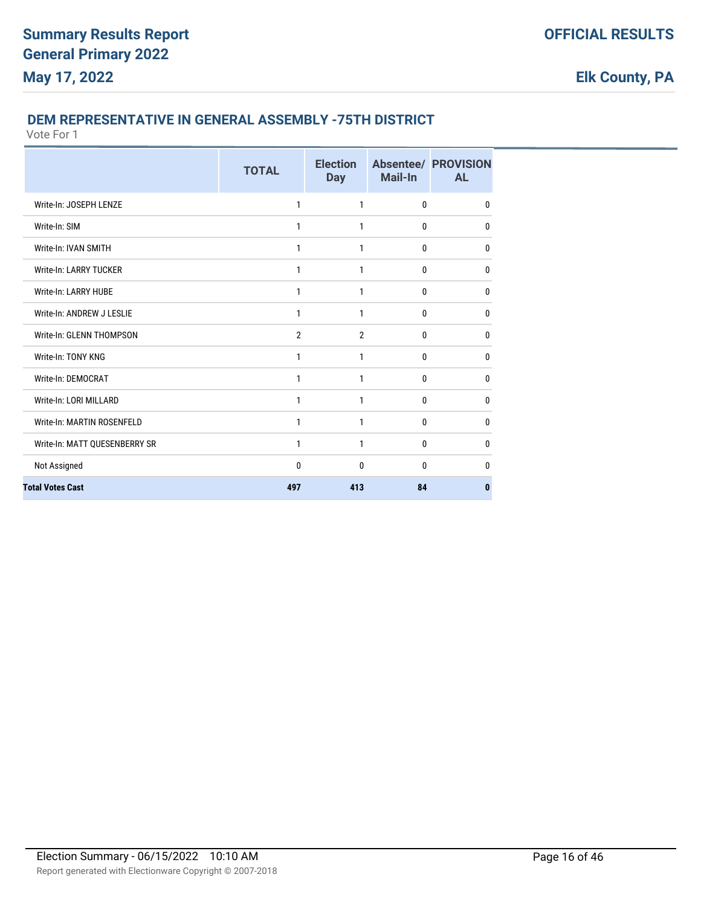#### **DEM REPRESENTATIVE IN GENERAL ASSEMBLY -75TH DISTRICT**

|                               | <b>TOTAL</b>   | <b>Election</b><br><b>Day</b> | <b>Mail-In</b> | <b>Absentee/ PROVISION</b><br><b>AL</b> |
|-------------------------------|----------------|-------------------------------|----------------|-----------------------------------------|
| Write-In: JOSEPH LENZE        | 1              | 1                             | 0              | $\mathbf{0}$                            |
| Write-In: SIM                 | 1              | 1                             | 0              | $\mathbf{0}$                            |
| Write-In: IVAN SMITH          | 1              | 1                             | 0              | 0                                       |
| Write-In: LARRY TUCKER        | 1              | 1                             | 0              | $\mathbf{0}$                            |
| Write-In: LARRY HUBE          | 1              | 1                             | 0              | $\mathbf{0}$                            |
| Write-In: ANDREW J LESLIE     | 1              | 1                             | 0              | $\mathbf{0}$                            |
| Write-In: GLENN THOMPSON      | $\overline{2}$ | $\overline{2}$                | 0              | $\mathbf{0}$                            |
| Write-In: TONY KNG            | 1              | 1                             | 0              | $\mathbf{0}$                            |
| Write-In: DEMOCRAT            | 1              | 1                             | 0              | 0                                       |
| Write-In: LORI MILLARD        | 1              | 1                             | 0              | $\mathbf{0}$                            |
| Write-In: MARTIN ROSENFELD    | 1              | 1                             | 0              | $\mathbf{0}$                            |
| Write-In: MATT QUESENBERRY SR | 1              | 1                             | 0              | 0                                       |
| Not Assigned                  | 0              | 0                             | 0              | $\mathbf{0}$                            |
| <b>Total Votes Cast</b>       | 497            | 413                           | 84             | $\bf{0}$                                |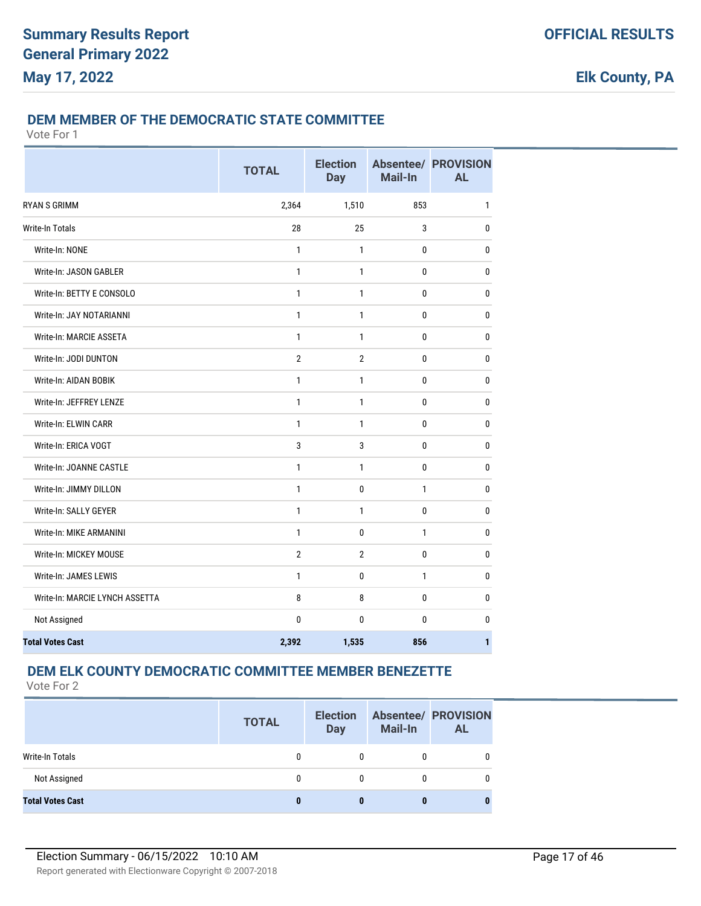#### **DEM MEMBER OF THE DEMOCRATIC STATE COMMITTEE**

Vote For 1

|                                | <b>TOTAL</b>   | <b>Election</b><br><b>Day</b> | Mail-In      | <b>Absentee/ PROVISION</b><br><b>AL</b> |
|--------------------------------|----------------|-------------------------------|--------------|-----------------------------------------|
| <b>RYAN S GRIMM</b>            | 2,364          | 1,510                         | 853          | $\mathbf{1}$                            |
| <b>Write-In Totals</b>         | 28             | 25                            | 3            | $\pmb{0}$                               |
| Write-In: NONE                 | $\mathbf{1}$   | 1                             | 0            | $\mathbf{0}$                            |
| Write-In: JASON GABLER         | $\mathbf{1}$   | $\mathbf{1}$                  | 0            | $\mathbf 0$                             |
| Write-In: BETTY E CONSOLO      | $\mathbf{1}$   | $\mathbf{1}$                  | $\mathbf{0}$ | $\bf{0}$                                |
| Write-In: JAY NOTARIANNI       | 1              | $\mathbf{1}$                  | 0            | $\mathbf{0}$                            |
| Write-In: MARCIE ASSETA        | $\mathbf{1}$   | $\mathbf{1}$                  | $\mathbf 0$  | $\pmb{0}$                               |
| Write-In: JODI DUNTON          | $\overline{2}$ | 2                             | 0            | $\mathbf 0$                             |
| Write-In: AIDAN BOBIK          | $\mathbf{1}$   | $\mathbf{1}$                  | $\mathbf 0$  | $\mathbf 0$                             |
| Write-In: JEFFREY LENZE        | 1              | $\mathbf{1}$                  | 0            | $\mathbf{0}$                            |
| Write-In: ELWIN CARR           | 1              | $\mathbf{1}$                  | 0            | $\mathbf 0$                             |
| Write-In: ERICA VOGT           | 3              | 3                             | $\mathbf 0$  | $\bf{0}$                                |
| Write-In: JOANNE CASTLE        | 1              | $\mathbf{1}$                  | 0            | $\mathbf 0$                             |
| Write-In: JIMMY DILLON         | 1              | 0                             | $\mathbf{1}$ | $\mathbf{0}$                            |
| Write-In: SALLY GEYER          | $\mathbf{1}$   | $\mathbf{1}$                  | $\mathbf{0}$ | $\mathbf 0$                             |
| Write-In: MIKE ARMANINI        | $\mathbf{1}$   | 0                             | $\mathbf{1}$ | $\mathbf{0}$                            |
| Write-In: MICKEY MOUSE         | $\mathbf{2}$   | $\overline{2}$                | $\mathbf 0$  | $\mathbf{0}$                            |
| Write-In: JAMES LEWIS          | 1              | 0                             | $\mathbf{1}$ | $\mathbf{0}$                            |
| Write-In: MARCIE LYNCH ASSETTA | 8              | 8                             | 0            | $\mathbf{0}$                            |
| Not Assigned                   | $\bf{0}$       | 0                             | 0            | 0                                       |
| <b>Total Votes Cast</b>        | 2,392          | 1,535                         | 856          | $\mathbf{1}$                            |

## **DEM ELK COUNTY DEMOCRATIC COMMITTEE MEMBER BENEZETTE**

|                         | <b>TOTAL</b> | <b>Election</b><br><b>Day</b> | <b>Mail-In</b> | <b>Absentee/ PROVISION</b><br><b>AL</b> |
|-------------------------|--------------|-------------------------------|----------------|-----------------------------------------|
| Write-In Totals         | 0            | 0                             |                |                                         |
| Not Assigned            | 0            | 0                             |                |                                         |
| <b>Total Votes Cast</b> | 0            | 0                             |                |                                         |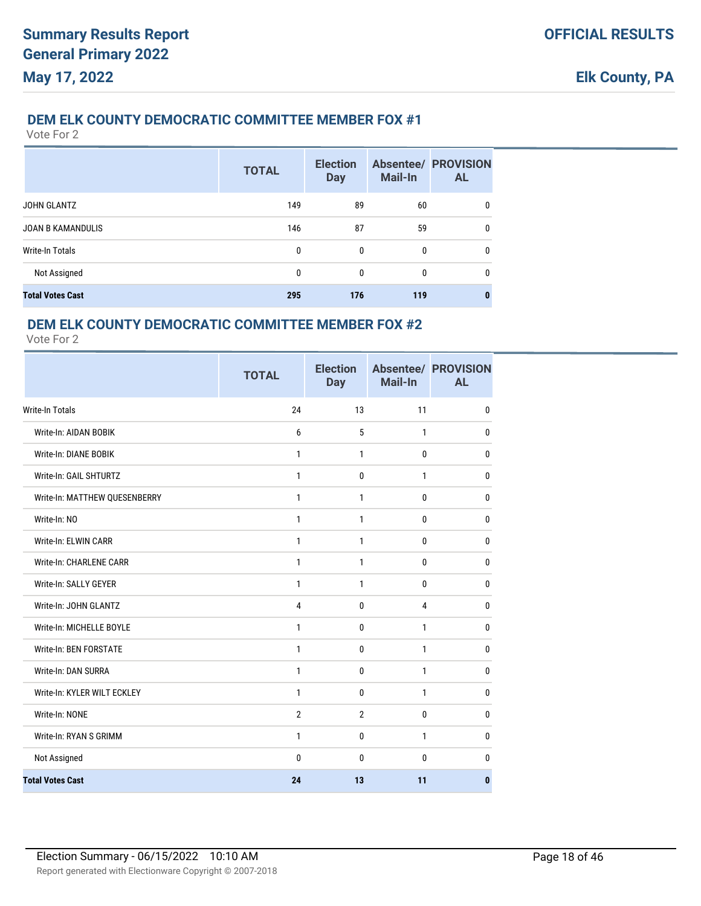#### **DEM ELK COUNTY DEMOCRATIC COMMITTEE MEMBER FOX #1**

Vote For 2

|                          | <b>TOTAL</b> | <b>Election</b><br><b>Day</b> | <b>Mail-In</b> | <b>Absentee/ PROVISION</b><br><b>AL</b> |
|--------------------------|--------------|-------------------------------|----------------|-----------------------------------------|
| <b>JOHN GLANTZ</b>       | 149          | 89                            | 60             | 0                                       |
| <b>JOAN B KAMANDULIS</b> | 146          | 87                            | 59             | $\mathbf{0}$                            |
| Write-In Totals          | 0            | 0                             | 0              | $\mathbf{0}$                            |
| Not Assigned             | 0            | 0                             | 0              | $\mathbf{0}$                            |
| <b>Total Votes Cast</b>  | 295          | 176                           | 119            | 0                                       |

#### **DEM ELK COUNTY DEMOCRATIC COMMITTEE MEMBER FOX #2**

|                               | <b>TOTAL</b>   | <b>Election</b><br><b>Day</b> | Mail-In      | <b>Absentee/ PROVISION</b><br><b>AL</b> |
|-------------------------------|----------------|-------------------------------|--------------|-----------------------------------------|
| <b>Write-In Totals</b>        | 24             | 13                            | 11           | $\mathbf 0$                             |
| Write-In: AIDAN BOBIK         | 6              | 5                             | $\mathbf{1}$ | 0                                       |
| Write-In: DIANE BOBIK         | 1              | 1                             | $\mathbf{0}$ | 0                                       |
| Write-In: GAIL SHTURTZ        | $\mathbf{1}$   | $\mathbf{0}$                  | $\mathbf{1}$ | $\mathbf 0$                             |
| Write-In: MATTHEW QUESENBERRY | 1              | $\mathbf{1}$                  | 0            | $\mathbf{0}$                            |
| Write-In: NO                  | $\mathbf{1}$   | $\mathbf{1}$                  | 0            | 0                                       |
| Write-In: ELWIN CARR          | $\mathbf{1}$   | $\mathbf{1}$                  | 0            | 0                                       |
| Write-In: CHARLENE CARR       | 1              | 1                             | 0            | 0                                       |
| Write-In: SALLY GEYER         | 1              | $\mathbf{1}$                  | $\mathbf{0}$ | 0                                       |
| Write-In: JOHN GLANTZ         | $\overline{4}$ | $\mathbf{0}$                  | 4            | $\mathbf{0}$                            |
| Write-In: MICHELLE BOYLE      | $\mathbf{1}$   | $\mathbf{0}$                  | $\mathbf{1}$ | $\mathbf{0}$                            |
| Write-In: BEN FORSTATE        | 1              | $\mathbf{0}$                  | $\mathbf{1}$ | $\mathbf{0}$                            |
| Write-In: DAN SURRA           | $\mathbf{1}$   | $\mathbf{0}$                  | $\mathbf{1}$ | 0                                       |
| Write-In: KYLER WILT ECKLEY   | 1              | $\mathbf 0$                   | $\mathbf{1}$ | $\bf{0}$                                |
| Write-In: NONE                | $\overline{2}$ | $\overline{2}$                | $\mathbf{0}$ | $\mathbf{0}$                            |
| Write-In: RYAN S GRIMM        | 1              | $\mathbf{0}$                  | $\mathbf{1}$ | 0                                       |
| Not Assigned                  | $\Omega$       | $\Omega$                      | $\Omega$     | $\mathbf{0}$                            |
| <b>Total Votes Cast</b>       | 24             | 13                            | 11           | $\bf{0}$                                |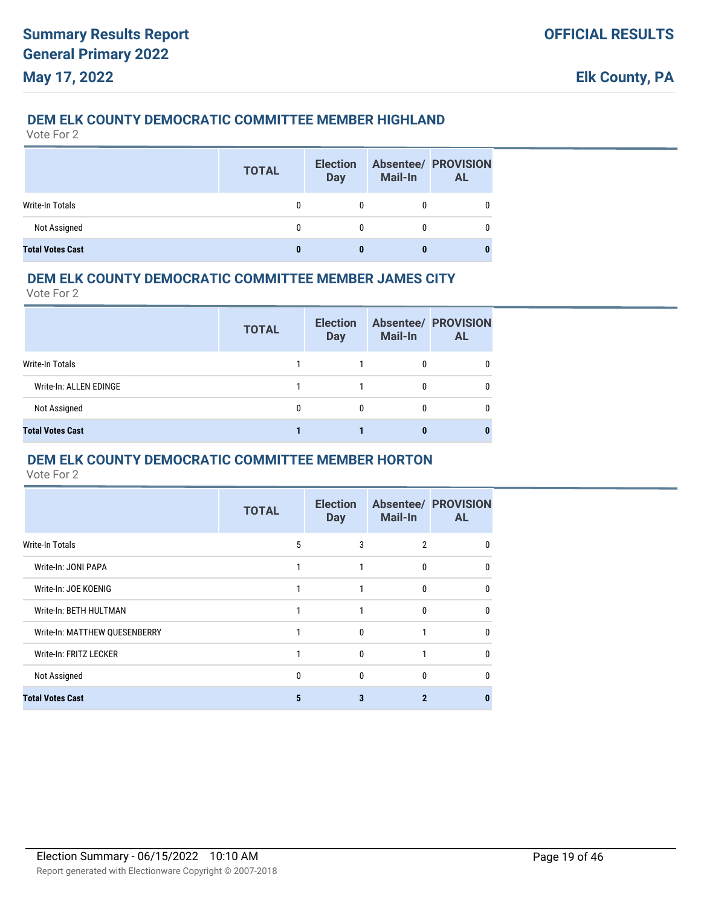### **DEM ELK COUNTY DEMOCRATIC COMMITTEE MEMBER HIGHLAND**

Vote For 2

|                         | <b>TOTAL</b> | <b>Election</b><br><b>Day</b> | <b>Mail-In</b> | <b>Absentee/ PROVISION</b><br><b>AL</b> |
|-------------------------|--------------|-------------------------------|----------------|-----------------------------------------|
| Write-In Totals         | 0            |                               |                |                                         |
| Not Assigned            | 0            |                               |                |                                         |
| <b>Total Votes Cast</b> |              |                               |                |                                         |

### **DEM ELK COUNTY DEMOCRATIC COMMITTEE MEMBER JAMES CITY**

Vote For 2

|                         | <b>TOTAL</b> | <b>Election</b><br><b>Day</b> | <b>Mail-In</b> | <b>Absentee/ PROVISION</b><br><b>AL</b> |
|-------------------------|--------------|-------------------------------|----------------|-----------------------------------------|
| Write-In Totals         |              |                               |                |                                         |
| Write-In: ALLEN EDINGE  |              |                               | 0              |                                         |
| Not Assigned            | 0            | 0                             | 0              |                                         |
| <b>Total Votes Cast</b> |              |                               | 0              |                                         |

#### **DEM ELK COUNTY DEMOCRATIC COMMITTEE MEMBER HORTON**

|                               | <b>TOTAL</b> | <b>Election</b><br><b>Day</b> | <b>Mail-In</b>      | <b>Absentee/ PROVISION</b><br><b>AL</b> |
|-------------------------------|--------------|-------------------------------|---------------------|-----------------------------------------|
| <b>Write-In Totals</b>        | 5            | 3                             | $\mathfrak{p}$      |                                         |
| Write-In: JONI PAPA           |              |                               | $\mathsf{D}$        | ŋ                                       |
| Write-In: JOE KOENIG          |              |                               | $\mathbf{0}$        | 0                                       |
| Write-In: BETH HULTMAN        |              |                               | $\Omega$            | n                                       |
| Write-In: MATTHEW QUESENBERRY |              | $\Omega$                      |                     | U                                       |
| Write-In: FRITZ LECKER        |              | 0                             |                     | 0                                       |
| Not Assigned                  | 0            | $\theta$                      | $\Omega$            | n                                       |
| <b>Total Votes Cast</b>       | 5            | 3                             | $\boldsymbol{\eta}$ |                                         |
|                               |              |                               |                     |                                         |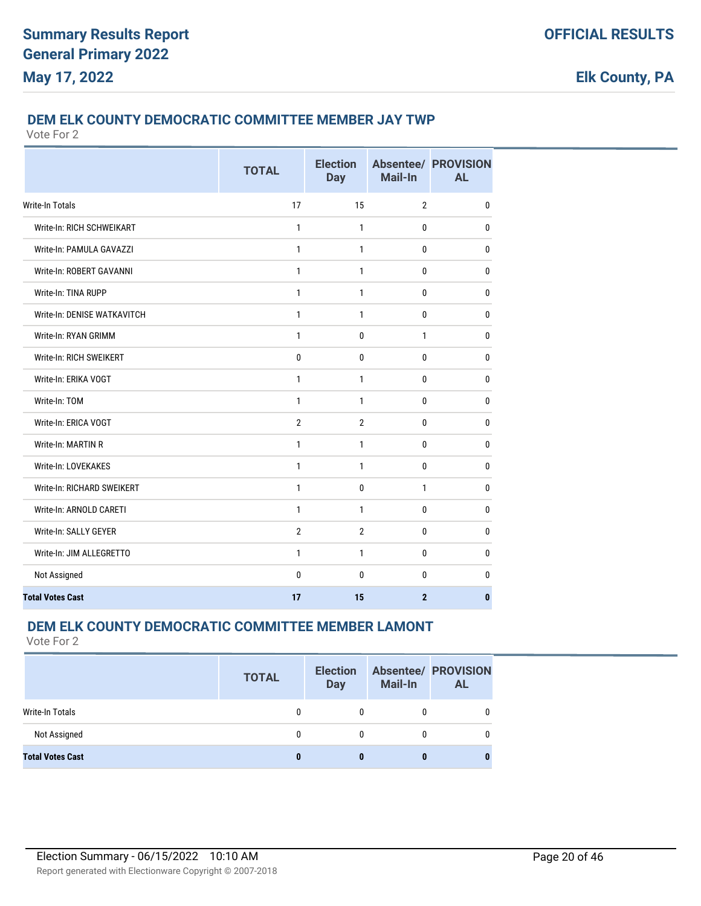### **DEM ELK COUNTY DEMOCRATIC COMMITTEE MEMBER JAY TWP**

Vote For 2

|                             | <b>TOTAL</b>   | <b>Election</b><br><b>Day</b> | <b>Mail-In</b> | <b>Absentee/ PROVISION</b><br><b>AL</b> |
|-----------------------------|----------------|-------------------------------|----------------|-----------------------------------------|
| <b>Write-In Totals</b>      | 17             | 15                            | $\overline{2}$ | $\mathbf{0}$                            |
| Write-In: RICH SCHWEIKART   | 1              | $\mathbf{1}$                  | $\mathbf{0}$   | $\mathbf{0}$                            |
| Write-In: PAMULA GAVAZZI    | 1              | $\mathbf{1}$                  | 0              | $\mathbf{0}$                            |
| Write-In: ROBERT GAVANNI    | $\mathbf{1}$   | $\mathbf{1}$                  | 0              | $\mathbf{0}$                            |
| Write-In: TINA RUPP         | $\mathbf{1}$   | $\mathbf{1}$                  | $\mathbf{0}$   | $\mathbf{0}$                            |
| Write-In: DENISE WATKAVITCH | 1              | $\mathbf{1}$                  | $\mathbf{0}$   | $\mathbf{0}$                            |
| Write-In: RYAN GRIMM        | 1              | 0                             | $\mathbf{1}$   | $\mathbf{0}$                            |
| Write-In: RICH SWEIKERT     | $\mathbf 0$    | $\mathbf{0}$                  | $\mathbf 0$    | $\bf{0}$                                |
| Write-In: ERIKA VOGT        | 1              | $\mathbf{1}$                  | $\mathbf{0}$   | $\bf{0}$                                |
| Write-In: TOM               | 1              | $\mathbf{1}$                  | $\mathbf{0}$   | $\mathbf{0}$                            |
| Write-In: ERICA VOGT        | $\overline{2}$ | $\overline{2}$                | 0              | $\mathbf{0}$                            |
| Write-In: MARTIN R          | 1              | $\mathbf{1}$                  | 0              | 0                                       |
| <b>Write-In: LOVEKAKES</b>  | $\mathbf{1}$   | $\mathbf{1}$                  | $\mathbf 0$    | $\bf{0}$                                |
| Write-In: RICHARD SWEIKERT  | 1              | 0                             | $\mathbf{1}$   | 0                                       |
| Write-In: ARNOLD CARETI     | 1              | 1                             | $\mathbf{0}$   | $\mathbf{0}$                            |
| Write-In: SALLY GEYER       | $\overline{2}$ | $\overline{2}$                | $\mathbf{0}$   | 0                                       |
| Write-In: JIM ALLEGRETTO    | $\mathbf{1}$   | $\mathbf{1}$                  | $\mathbf{0}$   | $\mathbf{0}$                            |
| Not Assigned                | 0              | 0                             | 0              | $\mathbf 0$                             |
| <b>Total Votes Cast</b>     | 17             | 15                            | $\overline{2}$ | $\mathbf{0}$                            |

### **DEM ELK COUNTY DEMOCRATIC COMMITTEE MEMBER LAMONT**

|                         | <b>TOTAL</b> | <b>Election</b><br><b>Day</b> | <b>Mail-In</b> | <b>Absentee/ PROVISION</b><br><b>AL</b> |
|-------------------------|--------------|-------------------------------|----------------|-----------------------------------------|
| Write-In Totals         | 0            |                               |                |                                         |
| Not Assigned            | 0            | 0                             |                |                                         |
| <b>Total Votes Cast</b> |              |                               |                |                                         |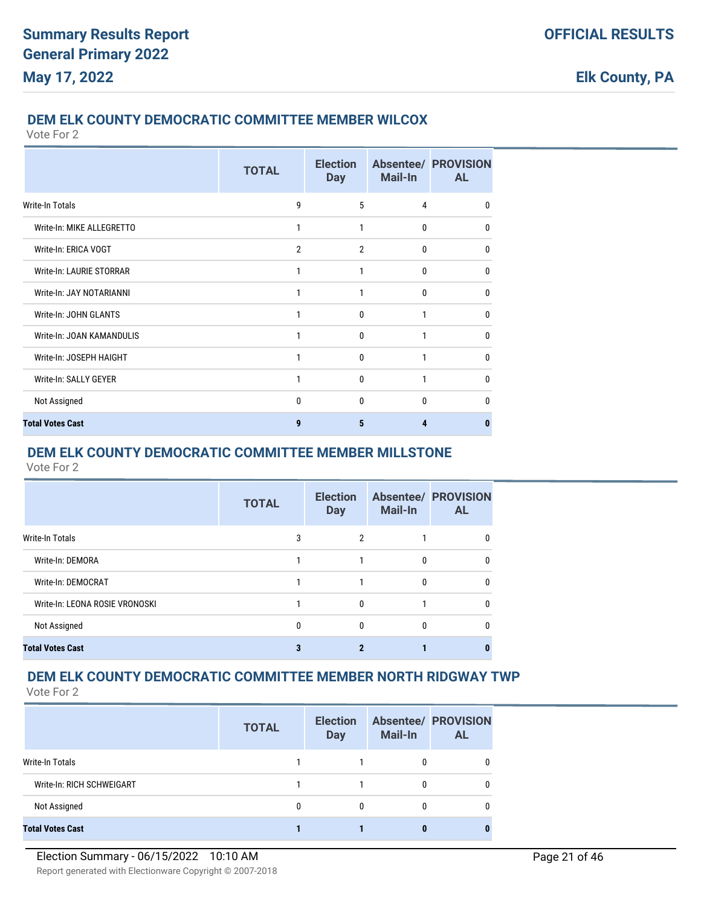#### **DEM ELK COUNTY DEMOCRATIC COMMITTEE MEMBER WILCOX**

Vote For 2

|                           | <b>TOTAL</b>   | <b>Election</b><br><b>Day</b> | <b>Mail-In</b> | <b>Absentee/ PROVISION</b><br><b>AL</b> |
|---------------------------|----------------|-------------------------------|----------------|-----------------------------------------|
| Write-In Totals           | 9              | 5                             | 4              | $\Omega$                                |
| Write-In: MIKE ALLEGRETTO |                |                               | $\mathbf{0}$   | $\Omega$                                |
| Write-In: ERICA VOGT      | $\overline{2}$ | $\overline{2}$                | $\mathbf{0}$   | $\mathbf{0}$                            |
| Write-In: LAURIE STORRAR  | 1              | 1                             | $\mathbf{0}$   | $\Omega$                                |
| Write-In: JAY NOTARIANNI  | 1              | 1                             | $\mathbf{0}$   | $\Omega$                                |
| Write-In: JOHN GLANTS     | 1              | $\mathbf{0}$                  | 1              | $\mathbf{0}$                            |
| Write-In: JOAN KAMANDULIS |                | $\Omega$                      |                | $\Omega$                                |
| Write-In: JOSEPH HAIGHT   |                | $\Omega$                      |                | $\Omega$                                |
| Write-In: SALLY GEYER     |                | $\Omega$                      |                | $\Omega$                                |
| Not Assigned              | $\mathbf{0}$   | $\mathbf{0}$                  | $\Omega$       | $\Omega$                                |
| <b>Total Votes Cast</b>   | 9              | 5                             | 4              | n                                       |

### **DEM ELK COUNTY DEMOCRATIC COMMITTEE MEMBER MILLSTONE**

Vote For 2

|                                | <b>TOTAL</b> | <b>Election</b><br><b>Day</b> | <b>Mail-In</b> | <b>Absentee/ PROVISION</b><br><b>AL</b> |
|--------------------------------|--------------|-------------------------------|----------------|-----------------------------------------|
| Write-In Totals                | 3            | 2                             |                |                                         |
| Write-In: DEMORA               |              |                               | 0              |                                         |
| Write-In: DEMOCRAT             |              |                               | 0              |                                         |
| Write-In: LEONA ROSIE VRONOSKI |              | $\Omega$                      |                | n                                       |
| Not Assigned                   | 0            | $\theta$                      | 0              |                                         |
| <b>Total Votes Cast</b>        | 3            |                               |                |                                         |

## **DEM ELK COUNTY DEMOCRATIC COMMITTEE MEMBER NORTH RIDGWAY TWP**

|                           | <b>TOTAL</b> | <b>Election</b><br><b>Day</b> | <b>Mail-In</b> | <b>Absentee/ PROVISION</b><br><b>AL</b> |
|---------------------------|--------------|-------------------------------|----------------|-----------------------------------------|
| Write-In Totals           |              |                               |                | 0                                       |
| Write-In: RICH SCHWEIGART |              |                               |                | 0                                       |
| Not Assigned              |              | 0                             |                | 0                                       |
| <b>Total Votes Cast</b>   |              |                               |                |                                         |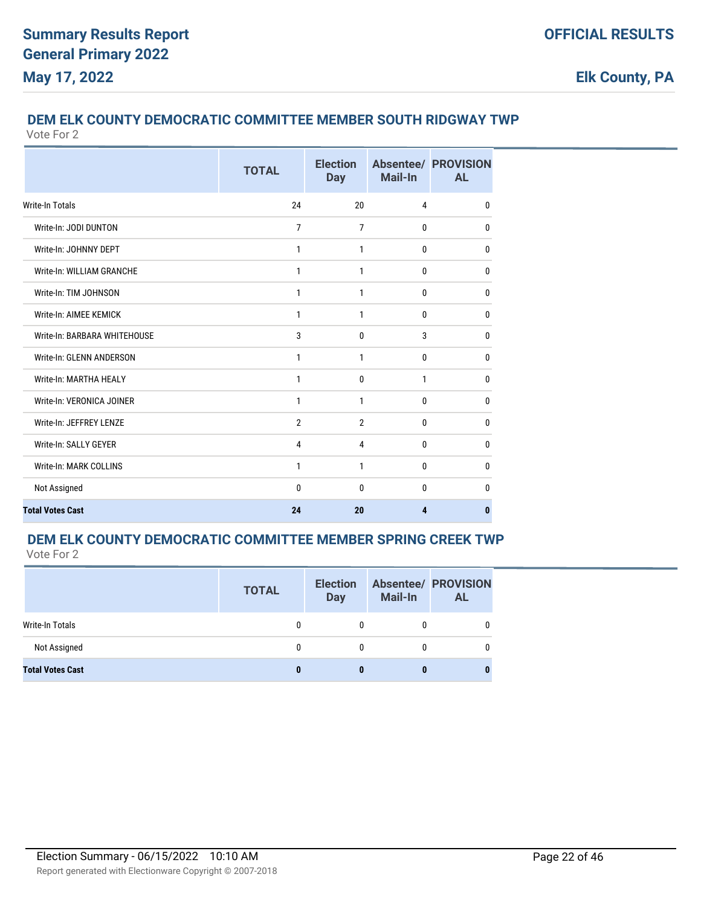# **DEM ELK COUNTY DEMOCRATIC COMMITTEE MEMBER SOUTH RIDGWAY TWP**

Vote For 2

|                              | <b>TOTAL</b>   | <b>Election</b><br><b>Day</b> | Mail-In  | <b>Absentee/ PROVISION</b><br><b>AL</b> |
|------------------------------|----------------|-------------------------------|----------|-----------------------------------------|
| Write-In Totals              | 24             | 20                            | 4        | $\mathbf{0}$                            |
| Write-In: JODI DUNTON        | $\overline{7}$ | $\overline{7}$                | 0        | $\mathbf{0}$                            |
| Write-In: JOHNNY DEPT        | 1              | 1                             | 0        | $\mathbf{0}$                            |
| Write-In: WILLIAM GRANCHE    | 1              | 1                             | 0        | $\mathbf{0}$                            |
| Write-In: TIM JOHNSON        | 1              | 1                             | 0        | 0                                       |
| Write-In: AIMEE KEMICK       | 1              | 1                             | 0        | $\mathbf{0}$                            |
| Write-In: BARBARA WHITEHOUSE | 3              | $\mathbf{0}$                  | 3        | $\mathbf{0}$                            |
| Write-In: GLENN ANDERSON     | $\mathbf{1}$   | 1                             | 0        | 0                                       |
| Write-In: MARTHA HEALY       | 1              | $\mathbf{0}$                  | 1        | $\mathbf{0}$                            |
| Write-In: VERONICA JOINER    | $\mathbf{1}$   | $\mathbf{1}$                  | 0        | $\mathbf{0}$                            |
| Write-In: JEFFREY LENZE      | $\overline{2}$ | $\overline{2}$                | 0        | $\bf{0}$                                |
| Write-In: SALLY GEYER        | 4              | 4                             | 0        | 0                                       |
| Write-In: MARK COLLINS       | $\mathbf{1}$   | 1                             | 0        | 0                                       |
| Not Assigned                 | $\Omega$       | $\Omega$                      | $\Omega$ | $\mathbf{0}$                            |
| <b>Total Votes Cast</b>      | 24             | 20                            | 4        | $\bf{0}$                                |

# **DEM ELK COUNTY DEMOCRATIC COMMITTEE MEMBER SPRING CREEK TWP**

|                         | <b>TOTAL</b> | <b>Election</b><br><b>Day</b> | <b>Mail-In</b> | <b>Absentee/ PROVISION</b><br><b>AL</b> |
|-------------------------|--------------|-------------------------------|----------------|-----------------------------------------|
| Write-In Totals         |              |                               |                |                                         |
| Not Assigned            |              |                               | 0              |                                         |
| <b>Total Votes Cast</b> |              |                               |                |                                         |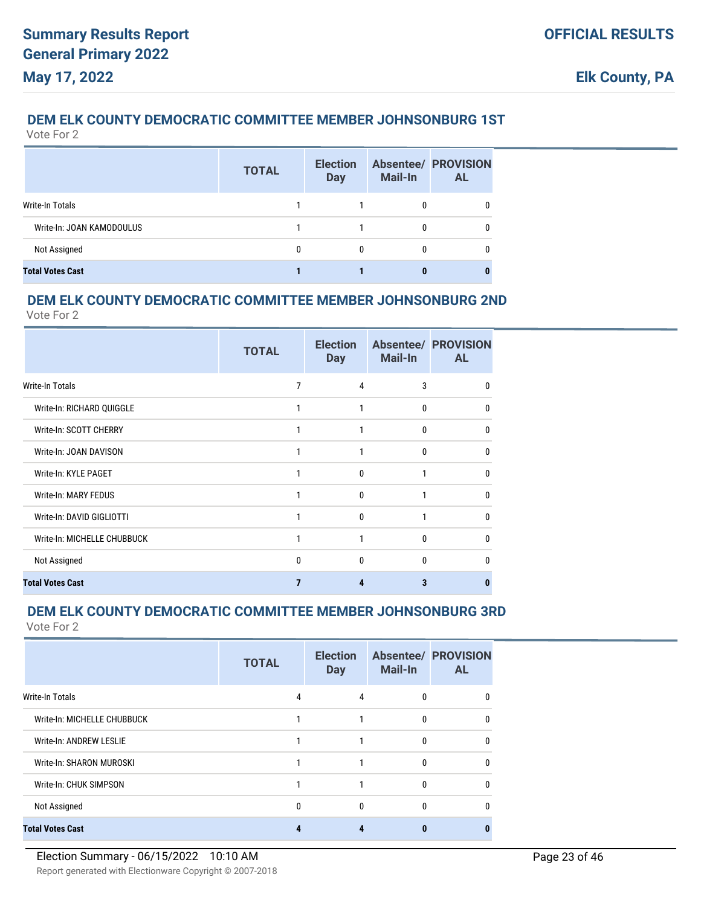# **DEM ELK COUNTY DEMOCRATIC COMMITTEE MEMBER JOHNSONBURG 1ST**

Vote For 2

|                           | <b>TOTAL</b> | <b>Election</b><br><b>Day</b> | <b>Mail-In</b> | <b>Absentee/ PROVISION</b><br><b>AL</b> |
|---------------------------|--------------|-------------------------------|----------------|-----------------------------------------|
| Write-In Totals           |              |                               |                |                                         |
| Write-In: JOAN KAMODOULUS |              |                               |                |                                         |
| Not Assigned              |              | 0                             |                |                                         |
| <b>Total Votes Cast</b>   |              |                               |                |                                         |

### **DEM ELK COUNTY DEMOCRATIC COMMITTEE MEMBER JOHNSONBURG 2ND**

Vote For 2

|                             | <b>TOTAL</b> | <b>Election</b><br><b>Day</b> | <b>Mail-In</b> | <b>Absentee/ PROVISION</b><br><b>AL</b> |
|-----------------------------|--------------|-------------------------------|----------------|-----------------------------------------|
| Write-In Totals             | 7            | 4                             | 3              | 0                                       |
| Write-In: RICHARD QUIGGLE   | 1            | 1                             | 0              | 0                                       |
| Write-In: SCOTT CHERRY      | 1            | 1                             | 0              | 0                                       |
| Write-In: JOAN DAVISON      | 1            |                               | 0              | n                                       |
| Write-In: KYLE PAGET        |              | $\Omega$                      | 1              | <sup>0</sup>                            |
| Write-In: MARY FEDUS        |              | $\mathbf{0}$                  | 1              | 0                                       |
| Write-In: DAVID GIGLIOTTI   |              | 0                             | 1              | 0                                       |
| Write-In: MICHELLE CHUBBUCK |              | 1                             | 0              | 0                                       |
| Not Assigned                | $\Omega$     | $\Omega$                      | 0              | n                                       |
| <b>Total Votes Cast</b>     |              | Δ                             | 3              |                                         |

### **DEM ELK COUNTY DEMOCRATIC COMMITTEE MEMBER JOHNSONBURG 3RD**

|                             | <b>TOTAL</b> | <b>Election</b><br><b>Day</b> | Mail-In  | <b>Absentee/ PROVISION</b><br><b>AL</b> |
|-----------------------------|--------------|-------------------------------|----------|-----------------------------------------|
| Write-In Totals             | 4            | 4                             | $\Omega$ | $\Omega$                                |
| Write-In: MICHELLE CHUBBUCK | 1            |                               | $\Omega$ | $\Omega$                                |
| Write-In: ANDREW LESLIE     | 1            |                               | $\Omega$ | $\Omega$                                |
| Write-In: SHARON MUROSKI    | 1            |                               | 0        | $\Omega$                                |
| Write-In: CHUK SIMPSON      | 1            |                               | 0        | <sup>0</sup>                            |
| Not Assigned                | 0            | 0                             | 0        | $\mathbf{0}$                            |
| <b>Total Votes Cast</b>     | 4            | 4                             |          |                                         |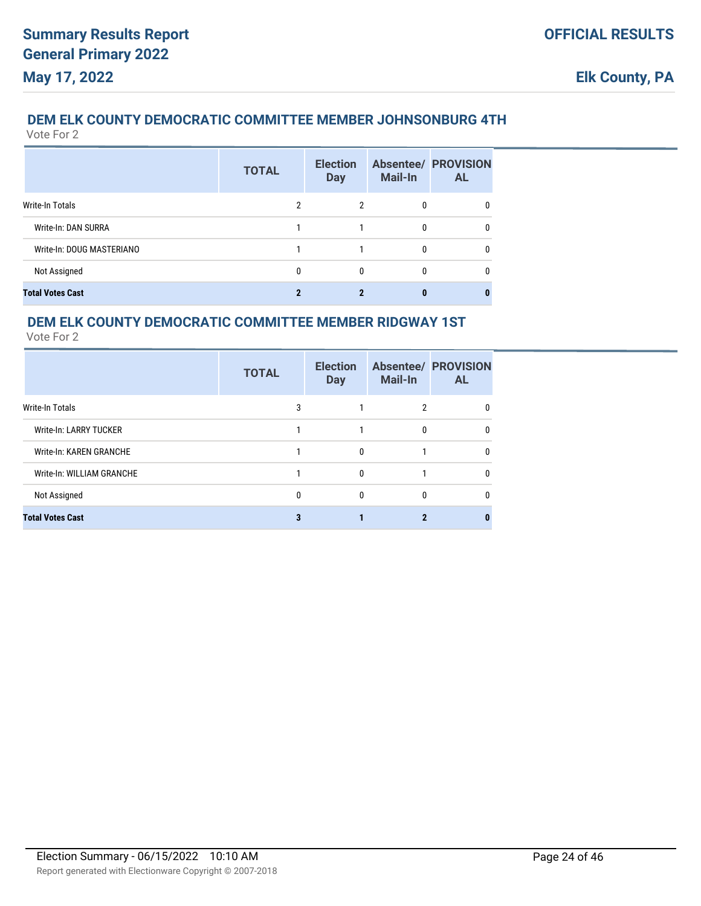# **DEM ELK COUNTY DEMOCRATIC COMMITTEE MEMBER JOHNSONBURG 4TH**

Vote For 2

|                           | <b>TOTAL</b> | <b>Election</b><br><b>Day</b> | <b>Mail-In</b> | <b>Absentee/ PROVISION</b><br><b>AL</b> |
|---------------------------|--------------|-------------------------------|----------------|-----------------------------------------|
| <b>Write-In Totals</b>    | 2            | 2                             | 0              | 0                                       |
| Write-In: DAN SURRA       |              |                               | $\Omega$       | 0                                       |
| Write-In: DOUG MASTERIANO |              |                               | 0              | 0                                       |
| Not Assigned              | 0            | 0                             | 0              | 0                                       |
| <b>Total Votes Cast</b>   |              |                               | o              | 0                                       |

### **DEM ELK COUNTY DEMOCRATIC COMMITTEE MEMBER RIDGWAY 1ST**

|                           | <b>TOTAL</b> | <b>Election</b><br><b>Day</b> | Mail-In  | <b>Absentee/ PROVISION</b><br><b>AL</b> |
|---------------------------|--------------|-------------------------------|----------|-----------------------------------------|
| Write-In Totals           | 3            |                               | 2        | 0                                       |
| Write-In: LARRY TUCKER    |              |                               | $\Omega$ |                                         |
| Write-In: KAREN GRANCHE   |              | $\Omega$                      |          | 0                                       |
| Write-In: WILLIAM GRANCHE |              | 0                             |          | 0                                       |
| Not Assigned              | $\mathbf{0}$ | $\Omega$                      | $\Omega$ | n                                       |
| <b>Total Votes Cast</b>   |              |                               | ŋ        |                                         |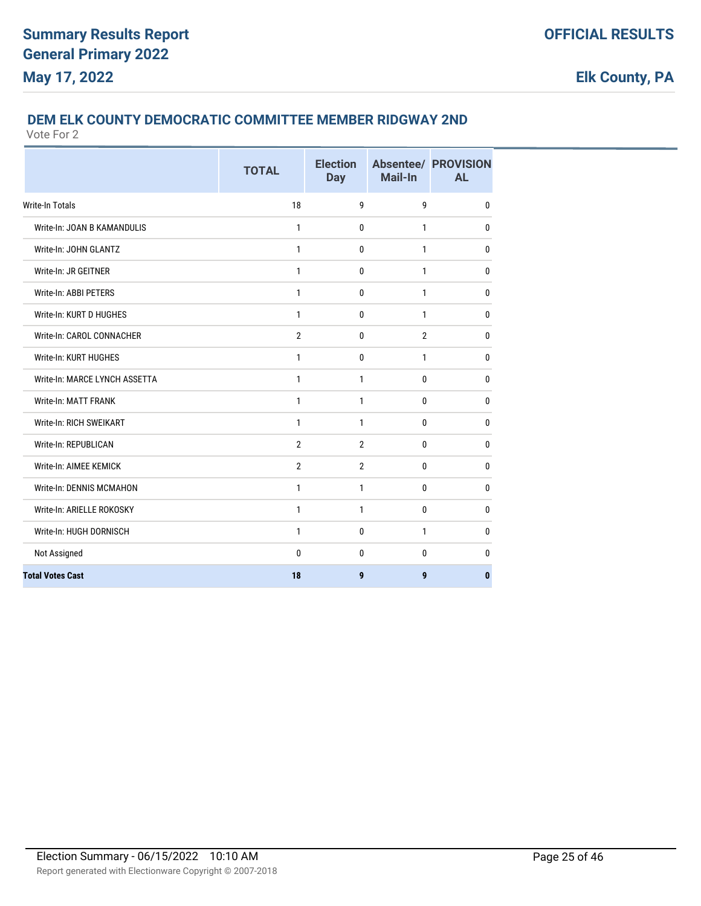## **DEM ELK COUNTY DEMOCRATIC COMMITTEE MEMBER RIDGWAY 2ND**

|                                 | <b>TOTAL</b>   | <b>Election</b><br><b>Day</b> | Mail-In        | <b>Absentee/ PROVISION</b><br><b>AL</b> |
|---------------------------------|----------------|-------------------------------|----------------|-----------------------------------------|
| <b>Write-In Totals</b>          | 18             | 9                             | 9              | 0                                       |
| Write-In: JOAN B KAMANDULIS     | 1              | $\mathbf 0$                   | $\mathbf{1}$   | 0                                       |
| Write-In: JOHN GLANTZ           | 1              | 0                             | 1              | 0                                       |
| Write-In: JR GEITNER            | $\mathbf{1}$   | $\mathbf{0}$                  | $\mathbf{1}$   | $\mathbf{0}$                            |
| Write-In: ABBI PETERS           | 1              | $\mathbf 0$                   | $\mathbf{1}$   | $\mathbf 0$                             |
| Write-In: KURT D HUGHES         | 1              | $\mathbf 0$                   | 1              | $\mathbf 0$                             |
| Write-In: CAROL CONNACHER       | $\overline{2}$ | 0                             | $\overline{2}$ | 0                                       |
| Write-In: KURT HUGHES           | $\mathbf{1}$   | $\mathbf 0$                   | $\mathbf{1}$   | $\mathbf 0$                             |
| Write-In: MARCE LYNCH ASSETTA   | $\mathbf{1}$   | 1                             | $\bf{0}$       | 0                                       |
| Write-In: MATT FRANK            | 1              | 1                             | 0              | 0                                       |
| Write-In: RICH SWEIKART         | 1              | $\mathbf{1}$                  | $\mathbf{0}$   | $\mathbf{0}$                            |
| Write-In: REPUBLICAN            | $\overline{2}$ | $\overline{2}$                | $\mathbf{0}$   | 0                                       |
| Write-In: AIMEE KEMICK          | $\overline{2}$ | $\overline{2}$                | 0              | $\mathbf{0}$                            |
| <b>Write-In: DENNIS MCMAHON</b> | 1              | $\mathbf{1}$                  | $\bf{0}$       | $\mathbf 0$                             |
| Write-In: ARIELLE ROKOSKY       | 1              | $\mathbf{1}$                  | $\bf{0}$       | 0                                       |
| Write-In: HUGH DORNISCH         | 1              | $\mathbf 0$                   | 1              | 0                                       |
| Not Assigned                    | 0              | 0                             | 0              | 0                                       |
| <b>Total Votes Cast</b>         | 18             | 9                             | 9              | $\bf{0}$                                |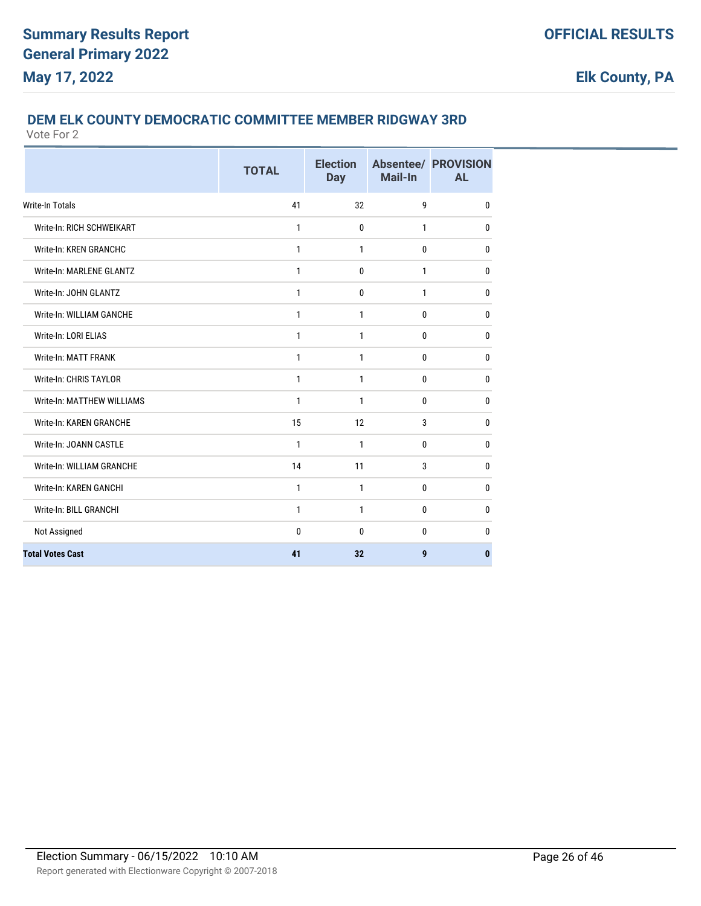## **DEM ELK COUNTY DEMOCRATIC COMMITTEE MEMBER RIDGWAY 3RD**

|                                | <b>TOTAL</b> | <b>Election</b><br><b>Day</b> | Mail-In      | <b>Absentee/ PROVISION</b><br><b>AL</b> |
|--------------------------------|--------------|-------------------------------|--------------|-----------------------------------------|
| <b>Write-In Totals</b>         | 41           | 32                            | 9            | $\mathbf{0}$                            |
| Write-In: RICH SCHWEIKART      | 1            | 0                             | $\mathbf{1}$ | 0                                       |
| Write-In: KREN GRANCHC         | $\mathbf{1}$ | $\mathbf{1}$                  | $\bf{0}$     | 0                                       |
| Write-In: MARLENE GLANTZ       | $\mathbf{1}$ | 0                             | $\mathbf{1}$ | 0                                       |
| Write-In: JOHN GLANTZ          | $\mathbf{1}$ | 0                             | $\mathbf{1}$ | $\bf{0}$                                |
| Write-In: WILLIAM GANCHE       | 1            | 1                             | 0            | 0                                       |
| Write-In: LORI ELIAS           | $\mathbf{1}$ | $\mathbf{1}$                  | 0            | 0                                       |
| Write-In: MATT FRANK           | 1            | 1                             | 0            | $\mathbf{0}$                            |
| Write-In: CHRIS TAYLOR         | $\mathbf{1}$ | $\mathbf{1}$                  | 0            | 0                                       |
| Write-In: MATTHEW WILLIAMS     | $\mathbf{1}$ | $\mathbf{1}$                  | 0            | 0                                       |
| <b>Write-In: KAREN GRANCHE</b> | 15           | 12                            | 3            | 0                                       |
| Write-In: JOANN CASTLE         | 1            | 1                             | 0            | 0                                       |
| Write-In: WILLIAM GRANCHE      | 14           | 11                            | 3            | 0                                       |
| Write-In: KAREN GANCHI         | 1            | 1                             | 0            | 0                                       |
| Write-In: BILL GRANCHI         | 1            | 1                             | $\bf{0}$     | 0                                       |
| Not Assigned                   | 0            | $\mathbf{0}$                  | $\mathbf{0}$ | 0                                       |
| <b>Total Votes Cast</b>        | 41           | 32                            | 9            | $\bf{0}$                                |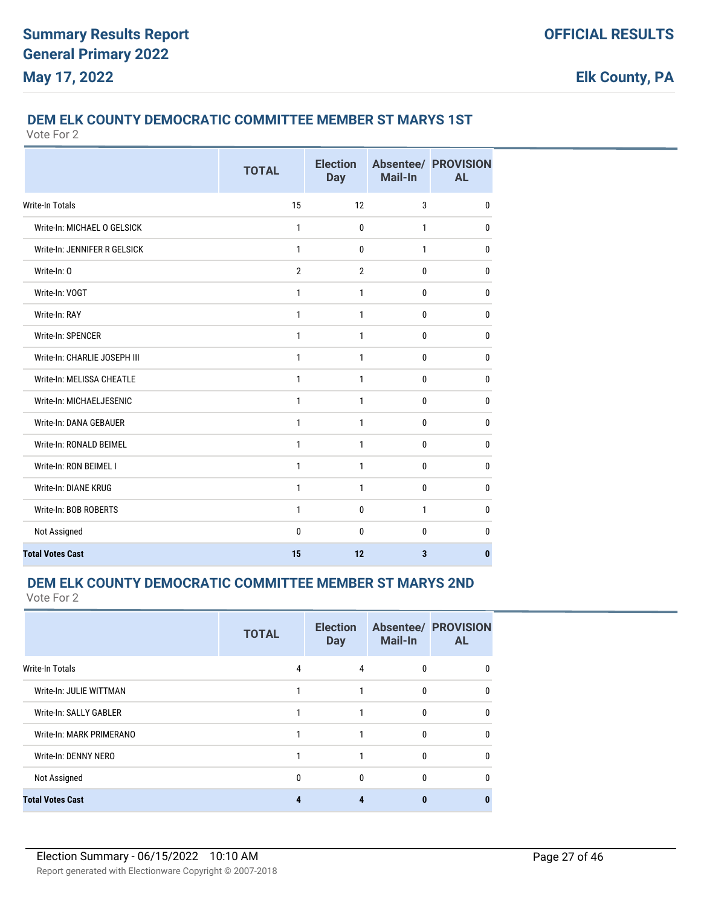## **DEM ELK COUNTY DEMOCRATIC COMMITTEE MEMBER ST MARYS 1ST**

Vote For 2

|                              | <b>TOTAL</b>   | <b>Election</b><br><b>Day</b> | Mail-In | <b>Absentee/ PROVISION</b><br><b>AL</b> |
|------------------------------|----------------|-------------------------------|---------|-----------------------------------------|
| <b>Write-In Totals</b>       | 15             | 12                            | 3       | $\mathbf{0}$                            |
| Write-In: MICHAEL O GELSICK  | 1              | $\mathbf 0$                   | 1       | $\mathbf 0$                             |
| Write-In: JENNIFER R GELSICK | 1              | $\mathbf{0}$                  | 1       | $\mathbf{0}$                            |
| Write-In: O                  | $\overline{2}$ | $\overline{2}$                | 0       | $\mathbf 0$                             |
| Write-In: VOGT               | 1              | 1                             | 0       | 0                                       |
| Write-In: RAY                | 1              | $\mathbf{1}$                  | 0       | $\mathbf 0$                             |
| Write-In: SPENCER            | 1              | $\mathbf{1}$                  | 0       | $\mathbf{0}$                            |
| Write-In: CHARLIE JOSEPH III | $\mathbf{1}$   | $\mathbf{1}$                  | 0       | $\mathbf{0}$                            |
| Write-In: MELISSA CHEATLE    | 1              | 1                             | 0       | $\mathbf{0}$                            |
| Write-In: MICHAELJESENIC     | 1              | 1                             | 0       | $\mathbf{0}$                            |
| Write-In: DANA GEBAUER       | 1              | 1                             | 0       | $\mathbf{0}$                            |
| Write-In: RONALD BEIMEL      | $\mathbf{1}$   | $\mathbf{1}$                  | 0       | $\mathbf{0}$                            |
| Write-In: RON BEIMEL I       | 1              | 1                             | 0       | $\bf{0}$                                |
| Write-In: DIANE KRUG         | 1              | 1                             | 0       | $\bf{0}$                                |
| Write-In: BOB ROBERTS        | 1              | $\mathbf 0$                   | 1       | $\mathbf{0}$                            |
| Not Assigned                 | 0              | $\mathbf{0}$                  | 0       | 0                                       |
| <b>Total Votes Cast</b>      | 15             | 12                            | 3       | $\bf{0}$                                |

#### **DEM ELK COUNTY DEMOCRATIC COMMITTEE MEMBER ST MARYS 2ND**

|                          | <b>TOTAL</b> | <b>Election</b><br><b>Day</b> | Mail-In      | <b>Absentee/ PROVISION</b><br><b>AL</b> |
|--------------------------|--------------|-------------------------------|--------------|-----------------------------------------|
| Write-In Totals          | 4            | 4                             | 0            | 0                                       |
| Write-In: JULIE WITTMAN  | 1            | 1                             | $\mathbf{0}$ | $\Omega$                                |
| Write-In: SALLY GABLER   | 1            | $\mathbf{1}$                  | 0            | $\Omega$                                |
| Write-In: MARK PRIMERANO | 1            | 1                             | $\mathbf{0}$ | $\Omega$                                |
| Write-In: DENNY NERO     | 1            | 1                             | 0            | $\Omega$                                |
| Not Assigned             | 0            | 0                             | 0            | $\Omega$                                |
| <b>Total Votes Cast</b>  | 4            | 4                             | $\mathbf{0}$ | n                                       |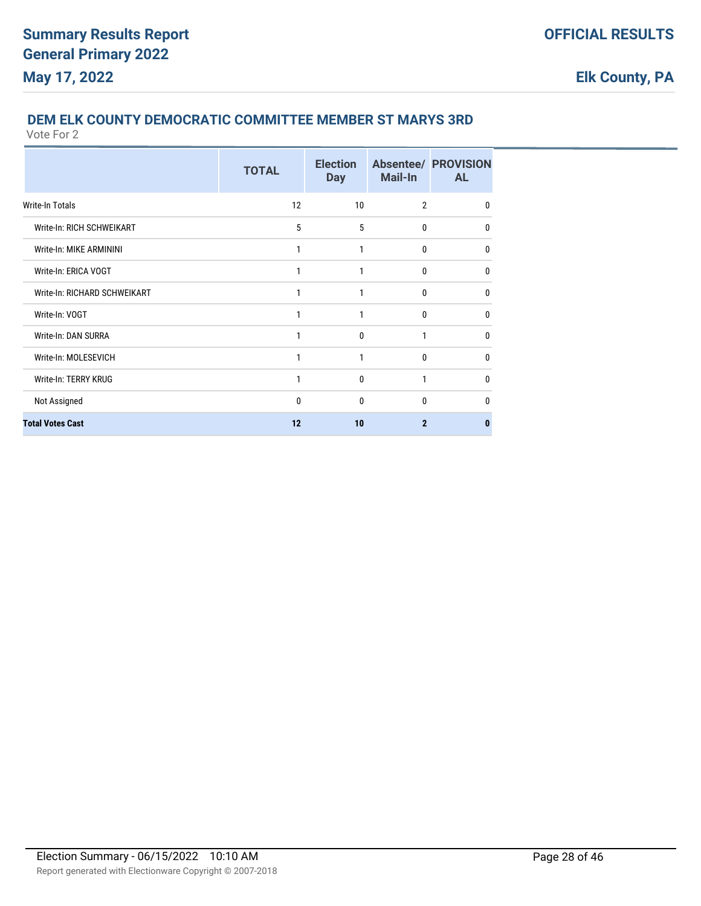## **DEM ELK COUNTY DEMOCRATIC COMMITTEE MEMBER ST MARYS 3RD**

|                              | <b>TOTAL</b> | <b>Election</b><br><b>Day</b> | <b>Mail-In</b> | <b>Absentee/ PROVISION</b><br><b>AL</b> |
|------------------------------|--------------|-------------------------------|----------------|-----------------------------------------|
| Write-In Totals              | 12           | 10                            | $\overline{2}$ | $\mathbf{0}$                            |
| Write-In: RICH SCHWEIKART    | 5            | 5                             | 0              | $\mathbf{0}$                            |
| Write-In: MIKE ARMININI      | 1            | 1                             | 0              | $\mathbf{0}$                            |
| Write-In: ERICA VOGT         | 1            | 1                             | 0              | 0                                       |
| Write-In: RICHARD SCHWEIKART | 1            | 1                             | $\mathbf{0}$   | 0                                       |
| Write-In: VOGT               | 1            | 1                             | 0              | $\mathbf{0}$                            |
| Write-In: DAN SURRA          | 1            | 0                             | 1              | 0                                       |
| Write-In: MOLESEVICH         | 1            | 1                             | 0              | $\mathbf{0}$                            |
| Write-In: TERRY KRUG         | 1            | 0                             | 1              | $\mathbf{0}$                            |
| Not Assigned                 | $\mathbf{0}$ | 0                             | 0              | $\Omega$                                |
| <b>Total Votes Cast</b>      | 12           | 10                            | $\mathbf{2}$   | 0                                       |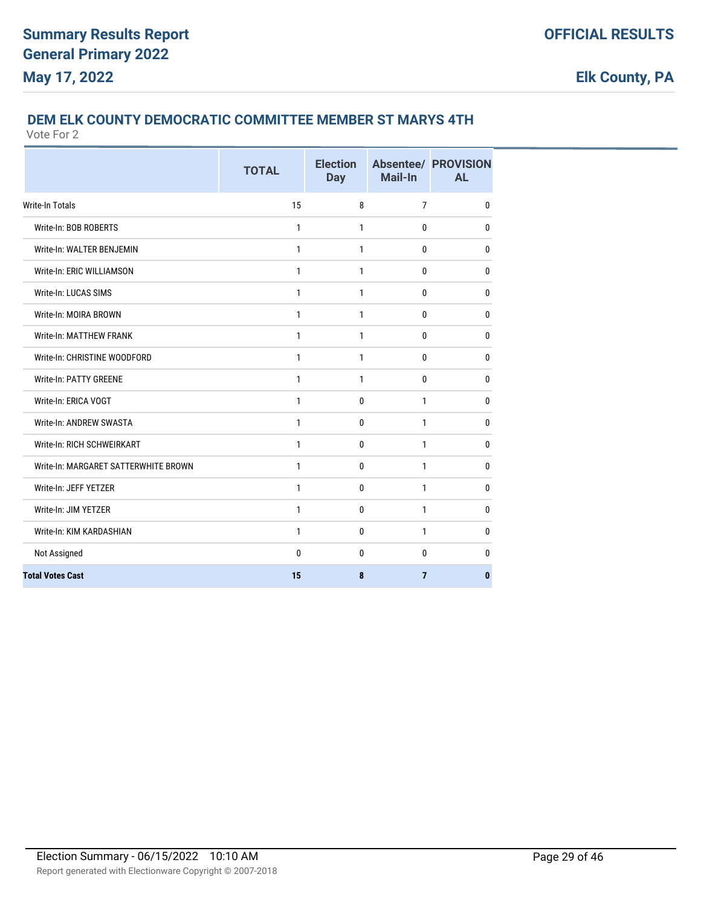## **DEM ELK COUNTY DEMOCRATIC COMMITTEE MEMBER ST MARYS 4TH**

|                                      | <b>TOTAL</b> | <b>Election</b><br><b>Day</b> | <b>Mail-In</b> | <b>Absentee/ PROVISION</b><br><b>AL</b> |
|--------------------------------------|--------------|-------------------------------|----------------|-----------------------------------------|
| <b>Write-In Totals</b>               | 15           | 8                             | $\overline{7}$ | 0                                       |
| Write-In: BOB ROBERTS                | $\mathbf{1}$ | 1                             | $\mathbf{0}$   | 0                                       |
| Write-In: WALTER BENJEMIN            | 1            | 1                             | 0              | 0                                       |
| Write-In: ERIC WILLIAMSON            | $\mathbf{1}$ | 1                             | 0              | $\mathbf{0}$                            |
| Write-In: LUCAS SIMS                 | $\mathbf{1}$ | $\mathbf{1}$                  | 0              | $\mathbf 0$                             |
| Write-In: MOIRA BROWN                | 1            | 1                             | 0              | 0                                       |
| <b>Write-In: MATTHEW FRANK</b>       | 1            | 1                             | 0              | 0                                       |
| Write-In: CHRISTINE WOODFORD         | 1            | $\mathbf{1}$                  | 0              | 0                                       |
| Write-In: PATTY GREENE               | 1            | 1                             | 0              | 0                                       |
| Write-In: ERICA VOGT                 | 1            | 0                             | $\mathbf{1}$   | 0                                       |
| Write-In: ANDREW SWASTA              | 1            | 0                             | $\mathbf{1}$   | 0                                       |
| Write-In: RICH SCHWEIRKART           | $\mathbf{1}$ | $\mathbf{0}$                  | $\mathbf{1}$   | $\mathbf 0$                             |
| Write-In: MARGARET SATTERWHITE BROWN | 1            | $\mathbf 0$                   | 1              | $\mathbf 0$                             |
| Write-In: JEFF YETZER                | 1            | 0                             | 1              | 0                                       |
| Write-In: JIM YETZER                 | $\mathbf{1}$ | $\mathbf 0$                   | $\mathbf{1}$   | 0                                       |
| Write-In: KIM KARDASHIAN             | $\mathbf{1}$ | 0                             | $\mathbf{1}$   | $\mathbf 0$                             |
| Not Assigned                         | 0            | 0                             | 0              | 0                                       |
| <b>Total Votes Cast</b>              | 15           | 8                             | $\overline{7}$ | 0                                       |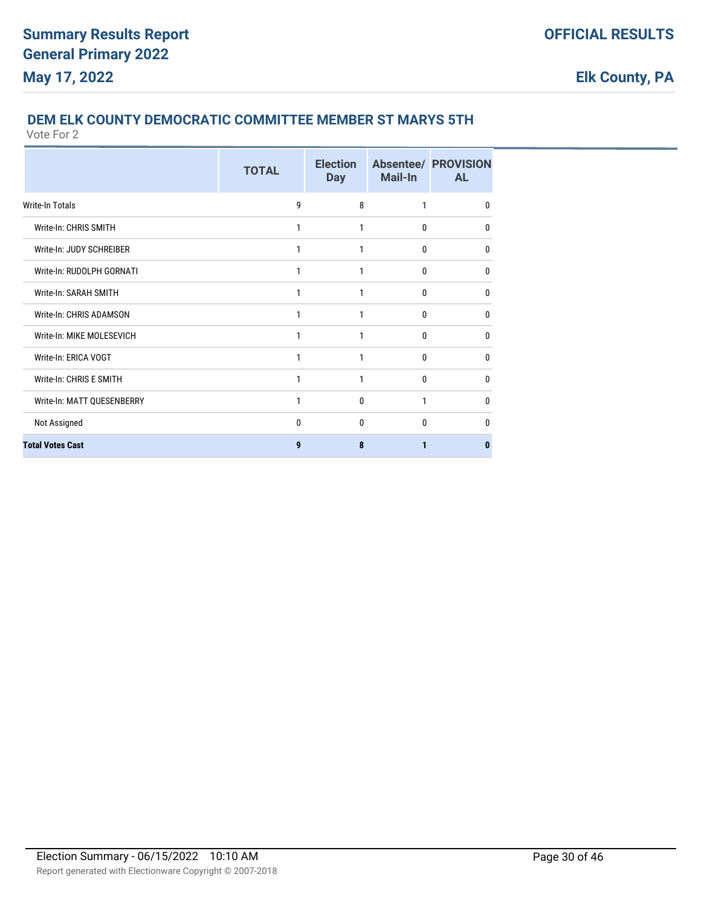# **DEM ELK COUNTY DEMOCRATIC COMMITTEE MEMBER ST MARYS 5TH**

|                            | <b>TOTAL</b> | <b>Election</b><br><b>Day</b> | Mail-In | <b>Absentee/ PROVISION</b><br><b>AL</b> |
|----------------------------|--------------|-------------------------------|---------|-----------------------------------------|
| Write-In Totals            | 9            | 8                             | 1       | 0                                       |
| Write-In: CHRIS SMITH      | 1            | 1                             | 0       | 0                                       |
| Write-In: JUDY SCHREIBER   | 1            | 1                             | 0       | 0                                       |
| Write-In: RUDOLPH GORNATI  | 1            | 1                             | 0       | 0                                       |
| Write-In: SARAH SMITH      | 1            | 1                             | 0       | 0                                       |
| Write-In: CHRIS ADAMSON    | 1            | 1                             | 0       | 0                                       |
| Write-In: MIKE MOLESEVICH  | 1            | 1                             | 0       | 0                                       |
| Write-In: ERICA VOGT       | 1            | 1                             | 0       | 0                                       |
| Write-In: CHRIS E SMITH    | 1            | 1                             | 0       | 0                                       |
| Write-In: MATT QUESENBERRY | 1            | 0                             | 1       | 0                                       |
| Not Assigned               | 0            | 0                             | 0       | 0                                       |
| <b>Total Votes Cast</b>    | 9            | 8                             | 1       | 0                                       |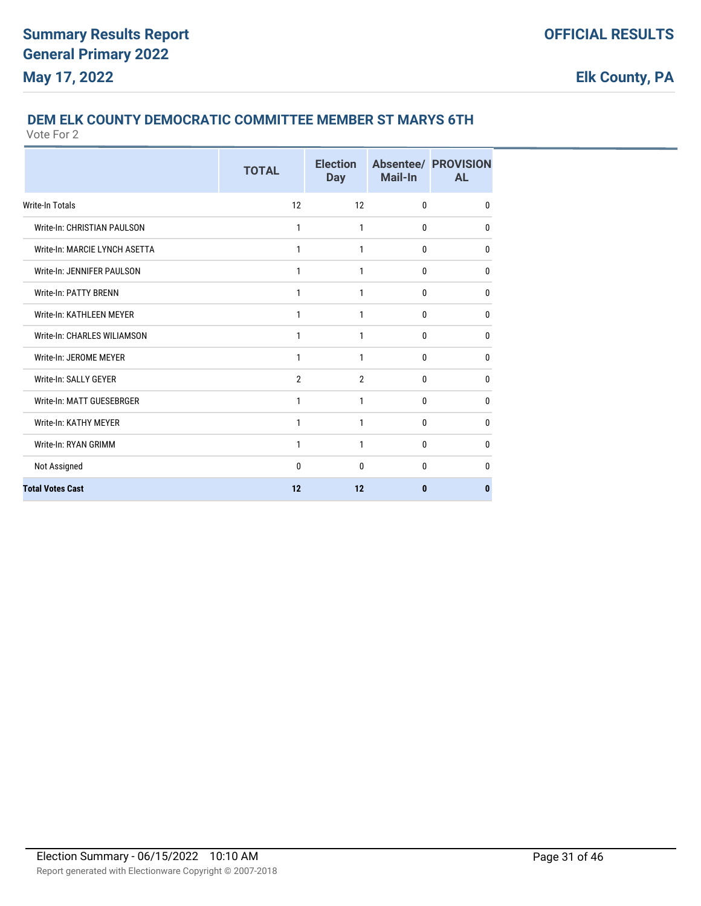## **DEM ELK COUNTY DEMOCRATIC COMMITTEE MEMBER ST MARYS 6TH**

|                               | <b>TOTAL</b> | <b>Election</b><br><b>Day</b> | <b>Mail-In</b> | <b>Absentee/ PROVISION</b><br><b>AL</b> |
|-------------------------------|--------------|-------------------------------|----------------|-----------------------------------------|
| <b>Write-In Totals</b>        | 12           | 12                            | $\mathbf{0}$   | $\mathbf{0}$                            |
| Write-In: CHRISTIAN PAULSON   | 1            | 1                             | $\mathbf{0}$   | $\mathbf{0}$                            |
| Write-In: MARCIE LYNCH ASETTA | 1            | 1                             | 0              | 0                                       |
| Write-In: JENNIFER PAULSON    | 1            | 1                             | $\mathbf{0}$   | 0                                       |
| Write-In: PATTY BRENN         | 1            | 1                             | $\mathbf{0}$   | $\mathbf 0$                             |
| Write-In: KATHLEEN MEYER      | 1            | 1                             | 0              | $\mathbf 0$                             |
| Write-In: CHARLES WILIAMSON   | 1            | 1                             | 0              | 0                                       |
| Write-In: JEROME MEYER        | 1            | 1                             | $\Omega$       | $\mathbf{0}$                            |
| Write-In: SALLY GEYER         | 2            | 2                             | 0              | $\mathbf{0}$                            |
| Write-In: MATT GUESEBRGER     | 1            | 1                             | $\mathbf{0}$   | 0                                       |
| Write-In: KATHY MEYER         | 1            | 1                             | $\mathbf{0}$   | $\mathbf{0}$                            |
| Write-In: RYAN GRIMM          | 1            | 1                             | 0              | $\mathbf{0}$                            |
| Not Assigned                  | $\mathbf{0}$ | $\mathbf{0}$                  | $\mathbf{0}$   | $\mathbf{0}$                            |
| <b>Total Votes Cast</b>       | 12           | 12                            | $\bf{0}$       | $\bf{0}$                                |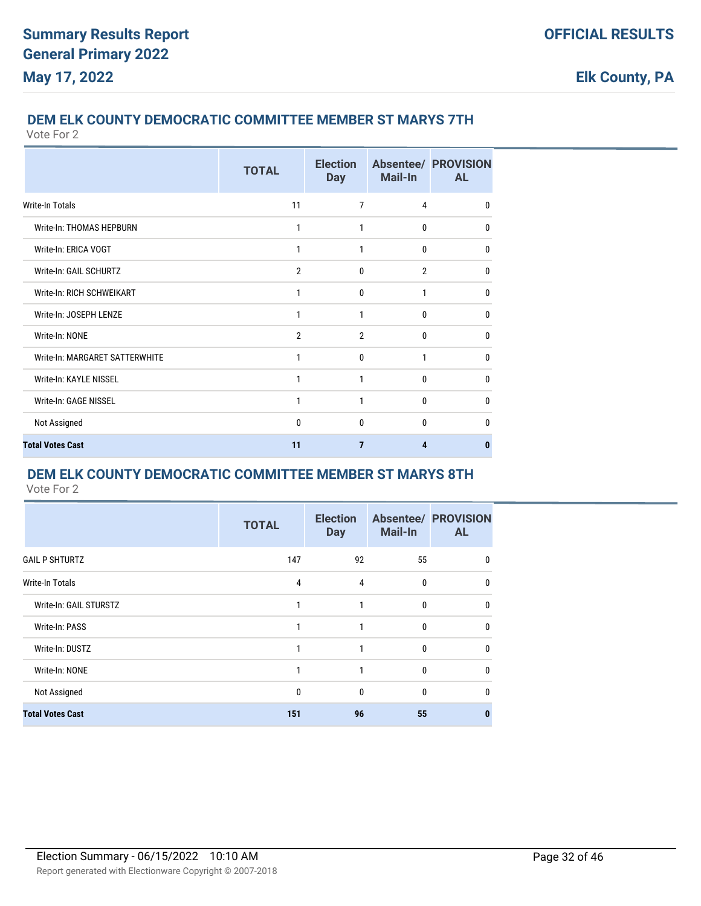## **DEM ELK COUNTY DEMOCRATIC COMMITTEE MEMBER ST MARYS 7TH**

Vote For 2

|                                | <b>TOTAL</b>   | <b>Election</b><br><b>Day</b> | Mail-In        | <b>Absentee/ PROVISION</b><br><b>AL</b> |
|--------------------------------|----------------|-------------------------------|----------------|-----------------------------------------|
| Write-In Totals                | 11             | 7                             | 4              | $\mathbf{0}$                            |
| Write-In: THOMAS HEPBURN       | 1              | 1                             | 0              | 0                                       |
| Write-In: ERICA VOGT           | 1              | 1                             | 0              | $\mathbf{0}$                            |
| Write-In: GAIL SCHURTZ         | $\overline{2}$ | $\mathbf{0}$                  | $\overline{2}$ | $\mathbf{0}$                            |
| Write-In: RICH SCHWEIKART      | 1              | $\mathbf{0}$                  | 1              | $\mathbf{0}$                            |
| Write-In: JOSEPH LENZE         | 1              | 1                             | 0              | $\mathbf{0}$                            |
| Write-In: NONE                 | $\overline{2}$ | $\overline{2}$                | 0              | $\mathbf{0}$                            |
| Write-In: MARGARET SATTERWHITE | 1              | $\mathbf{0}$                  | 1              | $\mathbf{0}$                            |
| Write-In: KAYLE NISSEL         | 1              | 1                             | 0              | 0                                       |
| Write-In: GAGE NISSEL          | 1              | 1                             | $\mathbf{0}$   | $\mathbf{0}$                            |
| Not Assigned                   | 0              | $\mathbf{0}$                  | 0              | $\Omega$                                |
| <b>Total Votes Cast</b>        | 11             | 7                             | 4              | 0                                       |

### **DEM ELK COUNTY DEMOCRATIC COMMITTEE MEMBER ST MARYS 8TH**

|                         | <b>TOTAL</b> | <b>Election</b><br><b>Day</b> | <b>Mail-In</b> | <b>Absentee/ PROVISION</b><br><b>AL</b> |
|-------------------------|--------------|-------------------------------|----------------|-----------------------------------------|
| <b>GAIL P SHTURTZ</b>   | 147          | 92                            | 55             | 0                                       |
| <b>Write-In Totals</b>  | 4            | $\overline{4}$                | $\mathbf{0}$   | $\mathbf{0}$                            |
| Write-In: GAIL STURSTZ  | 1            | 1                             | $\mathbf{0}$   | $\mathbf{0}$                            |
| Write-In: PASS          | 1            | 1                             | $\mathbf{0}$   | $\Omega$                                |
| Write-In: DUSTZ         | 1            | 1                             | $\mathbf{0}$   | $\Omega$                                |
| Write-In: NONE          | 1            | 1                             | $\mathbf{0}$   | $\mathbf{0}$                            |
| Not Assigned            | 0            | $\mathbf{0}$                  | $\mathbf{0}$   | $\mathbf{0}$                            |
| <b>Total Votes Cast</b> | 151          | 96                            | 55             | O.                                      |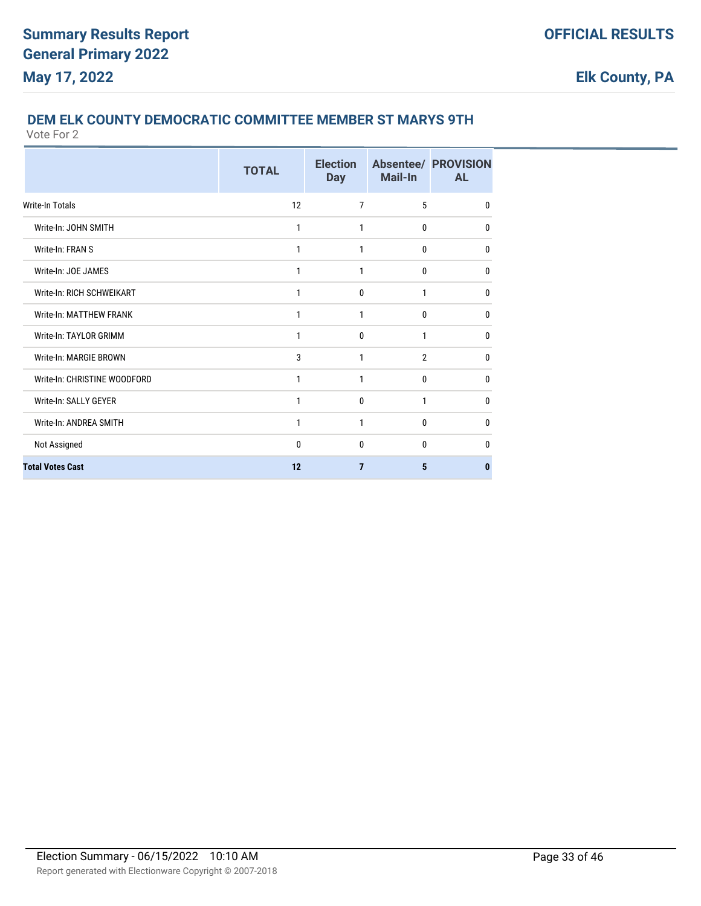## **DEM ELK COUNTY DEMOCRATIC COMMITTEE MEMBER ST MARYS 9TH**

|                              | <b>TOTAL</b> | <b>Election</b><br><b>Day</b> | Mail-In        | <b>Absentee/ PROVISION</b><br><b>AL</b> |
|------------------------------|--------------|-------------------------------|----------------|-----------------------------------------|
| <b>Write-In Totals</b>       | 12           | $\overline{7}$                | 5              | 0                                       |
| Write-In: JOHN SMITH         | 1            | 1                             | 0              | 0                                       |
| Write-In: FRAN S             | 1            | 1                             | 0              | 0                                       |
| Write-In: JOE JAMES          | 1            | 1                             | 0              | 0                                       |
| Write-In: RICH SCHWEIKART    | 1            | 0                             | 1              | 0                                       |
| Write-In: MATTHEW FRANK      | 1            | 1                             | 0              | 0                                       |
| Write-In: TAYLOR GRIMM       | 1            | $\mathbf{0}$                  | 1              | 0                                       |
| Write-In: MARGIE BROWN       | 3            | 1                             | $\overline{2}$ | 0                                       |
| Write-In: CHRISTINE WOODFORD | 1            | 1                             | 0              | 0                                       |
| Write-In: SALLY GEYER        | 1            | 0                             | 1              | 0                                       |
| Write-In: ANDREA SMITH       | 1            | 1                             | 0              | 0                                       |
| Not Assigned                 | 0            | 0                             | 0              | 0                                       |
| <b>Total Votes Cast</b>      | 12           | 7                             | 5              | 0                                       |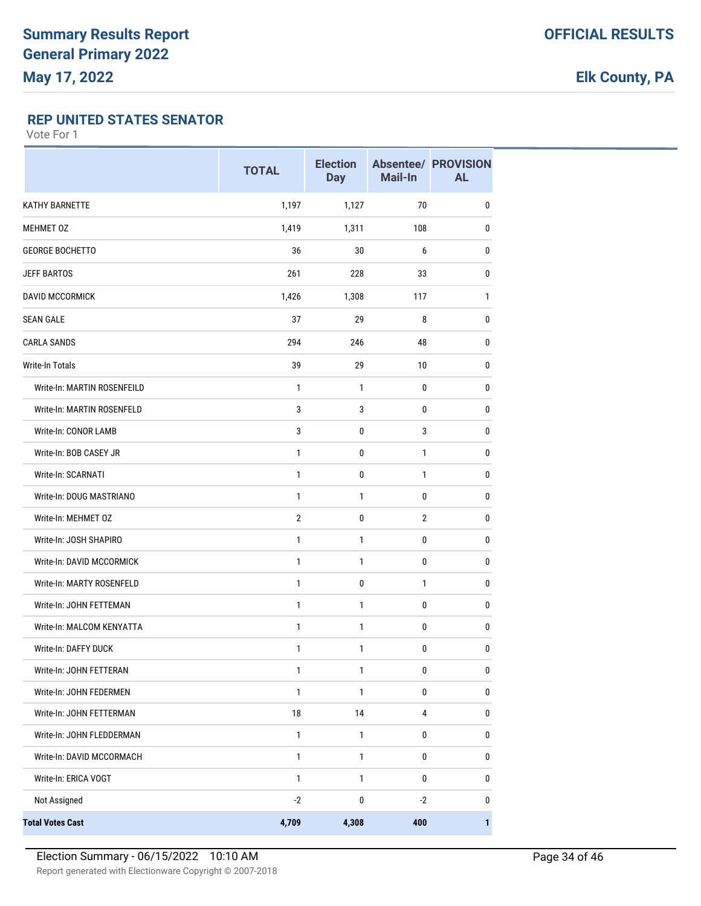### **REP UNITED STATES SENATOR**

|                             | <b>TOTAL</b>   | <b>Election</b><br><b>Day</b> | Mail-In        | <b>Absentee/ PROVISION</b><br><b>AL</b> |
|-----------------------------|----------------|-------------------------------|----------------|-----------------------------------------|
| <b>KATHY BARNETTE</b>       | 1,197          | 1,127                         | 70             | $\pmb{0}$                               |
| <b>MEHMET 0Z</b>            | 1,419          | 1,311                         | 108            | 0                                       |
| <b>GEORGE BOCHETTO</b>      | 36             | 30                            | 6              | 0                                       |
| <b>JEFF BARTOS</b>          | 261            | 228                           | 33             | 0                                       |
| DAVID MCCORMICK             | 1,426          | 1,308                         | 117            | 1                                       |
| <b>SEAN GALE</b>            | 37             | 29                            | 8              | 0                                       |
| <b>CARLA SANDS</b>          | 294            | 246                           | 48             | 0                                       |
| Write-In Totals             | 39             | 29                            | 10             | 0                                       |
| Write-In: MARTIN ROSENFEILD | 1              | $\mathbf{1}$                  | 0              | 0                                       |
| Write-In: MARTIN ROSENFELD  | 3              | $\mathbf{3}$                  | 0              | $\pmb{0}$                               |
| Write-In: CONOR LAMB        | 3              | 0                             | 3              | 0                                       |
| Write-In: BOB CASEY JR      | 1              | 0                             | 1              | 0                                       |
| Write-In: SCARNATI          | 1              | 0                             | 1              | 0                                       |
| Write-In: DOUG MASTRIANO    | 1              | $\mathbf{1}$                  | 0              | 0                                       |
| Write-In: MEHMET OZ         | $\overline{2}$ | $\mathbf 0$                   | $\overline{2}$ | 0                                       |
| Write-In: JOSH SHAPIRO      | $\mathbf{1}$   | $\mathbf{1}$                  | 0              | 0                                       |
| Write-In: DAVID MCCORMICK   | 1              | $\mathbf{1}$                  | 0              | 0                                       |
| Write-In: MARTY ROSENFELD   | 1              | 0                             | 1              | 0                                       |
| Write-In: JOHN FETTEMAN     | 1              | $\mathbf{1}$                  | 0              | 0                                       |
| Write-In: MALCOM KENYATTA   | 1              | $\mathbf{1}$                  | 0              | 0                                       |
| Write-In: DAFFY DUCK        | 1              | 1                             | 0              | 0                                       |
| Write-In: JOHN FETTERAN     | 1              | 1                             | 0              | $\pmb{0}$                               |
| Write-In: JOHN FEDERMEN     | 1              | $\mathbf{1}$                  | $\pmb{0}$      | 0                                       |
| Write-In: JOHN FETTERMAN    | 18             | 14                            | 4              | 0                                       |
| Write-In: JOHN FLEDDERMAN   | $\mathbf{1}$   | $\mathbf{1}$                  | 0              | $\pmb{0}$                               |
| Write-In: DAVID MCCORMACH   | $\mathbf{1}$   | $\mathbf{1}$                  | 0              | $\pmb{0}$                               |
| Write-In: ERICA VOGT        | $\mathbf{1}$   | $\mathbf{1}$                  | 0              | 0                                       |
| Not Assigned                | $-2$           | $\pmb{0}$                     | $-2$           | $\pmb{0}$                               |
| <b>Total Votes Cast</b>     | 4,709          | 4,308                         | 400            | 1                                       |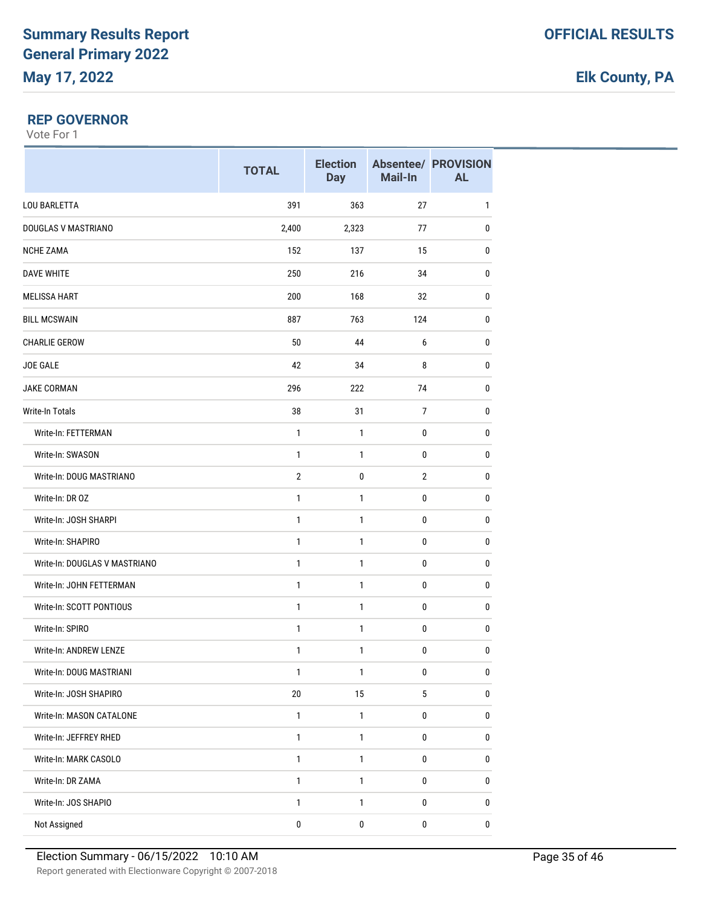#### **REP GOVERNOR**

|                               | <b>TOTAL</b>   | <b>Election</b><br><b>Day</b> | Mail-In        | <b>Absentee/ PROVISION</b><br><b>AL</b> |
|-------------------------------|----------------|-------------------------------|----------------|-----------------------------------------|
| <b>LOU BARLETTA</b>           | 391            | 363                           | 27             | $\mathbf{1}$                            |
| DOUGLAS V MASTRIANO           | 2,400          | 2,323                         | 77             | 0                                       |
| <b>NCHE ZAMA</b>              | 152            | 137                           | 15             | $\mathbf{0}$                            |
| <b>DAVE WHITE</b>             | 250            | 216                           | 34             | 0                                       |
| <b>MELISSA HART</b>           | 200            | 168                           | 32             | 0                                       |
| <b>BILL MCSWAIN</b>           | 887            | 763                           | 124            | $\mathbf{0}$                            |
| <b>CHARLIE GEROW</b>          | 50             | 44                            | 6              | $\pmb{0}$                               |
| JOE GALE                      | 42             | 34                            | 8              | 0                                       |
| <b>JAKE CORMAN</b>            | 296            | 222                           | 74             | $\mathbf{0}$                            |
| Write-In Totals               | 38             | 31                            | $\overline{7}$ | $\pmb{0}$                               |
| Write-In: FETTERMAN           | 1              | 1                             | $\pmb{0}$      | $\mathbf{0}$                            |
| Write-In: SWASON              | 1              | $\mathbf{1}$                  | 0              | $\mathbf{0}$                            |
| Write-In: DOUG MASTRIANO      | $\overline{2}$ | 0                             | $\mathbf{2}$   | $\pmb{0}$                               |
| Write-In: DR OZ               | $\mathbf{1}$   | $\mathbf{1}$                  | 0              | $\mathbf{0}$                            |
| Write-In: JOSH SHARPI         | $\mathbf{1}$   | $\mathbf{1}$                  | 0              | 0                                       |
| Write-In: SHAPIRO             | 1              | $\mathbf{1}$                  | $\pmb{0}$      | $\pmb{0}$                               |
| Write-In: DOUGLAS V MASTRIANO | $\mathbf{1}$   | 1                             | $\pmb{0}$      | 0                                       |
| Write-In: JOHN FETTERMAN      | 1              | 1                             | $\pmb{0}$      | $\mathbf{0}$                            |
| Write-In: SCOTT PONTIOUS      | 1              | 1                             | 0              | $\pmb{0}$                               |
| Write-In: SPIRO               | $\mathbf{1}$   | $\mathbf{1}$                  | 0              | 0                                       |
| Write-In: ANDREW LENZE        | 1              | 1                             | $\pmb{0}$      | 0                                       |
| Write-In: DOUG MASTRIANI      | 1              | 1                             | $\pmb{0}$      | 0                                       |
| Write-In: JOSH SHAPIRO        | $20\,$         | 15                            | 5              | $\pmb{0}$                               |
| Write-In: MASON CATALONE      | $\mathbf{1}$   | 1                             | $\pmb{0}$      | 0                                       |
| Write-In: JEFFREY RHED        | $\mathbf{1}$   | $\mathbf{1}$                  | 0              | $\pmb{0}$                               |
| Write-In: MARK CASOLO         | $\mathbf{1}$   | 1                             | 0              | $\pmb{0}$                               |
| Write-In: DR ZAMA             | $\mathbf{1}$   | 1                             | 0              | 0                                       |
| Write-In: JOS SHAPIO          | $\mathbf{1}$   | 1                             | $\pmb{0}$      | $\pmb{0}$                               |
| Not Assigned                  | $\pmb{0}$      | 0                             | $\pmb{0}$      | 0                                       |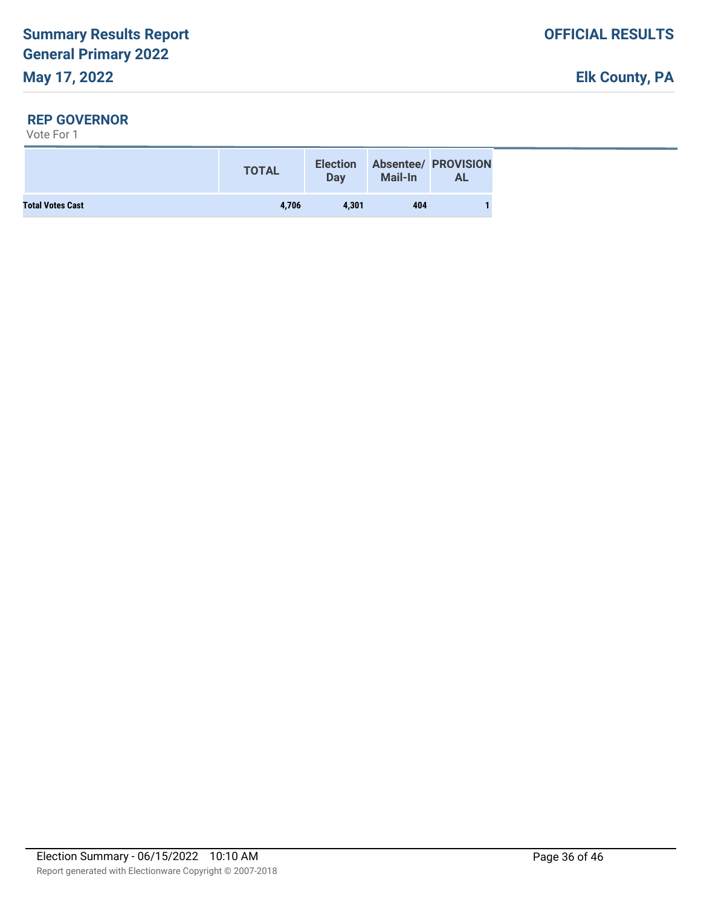#### **REP GOVERNOR**

|                         | <b>TOTAL</b> | <b>Election</b><br>Day | <b>Mail-In</b> | <b>Absentee/ PROVISION</b><br><b>AL</b> |  |
|-------------------------|--------------|------------------------|----------------|-----------------------------------------|--|
| <b>Total Votes Cast</b> | 4.706        | 4.301                  | 404            |                                         |  |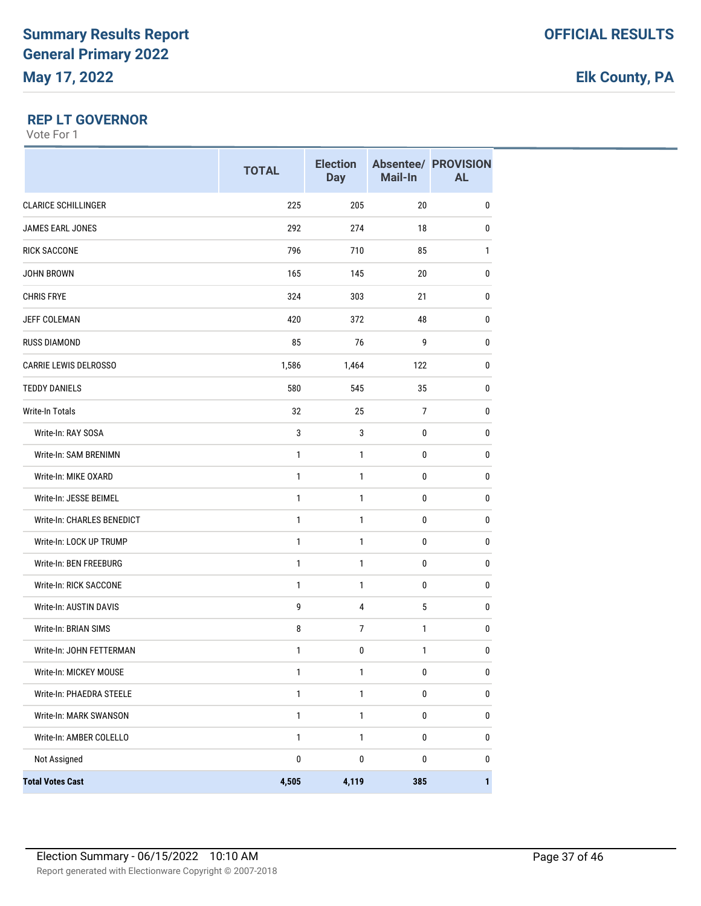### **REP LT GOVERNOR**

|                              | <b>TOTAL</b> | <b>Election</b><br><b>Day</b> | Mail-In        | <b>Absentee/ PROVISION</b><br><b>AL</b> |
|------------------------------|--------------|-------------------------------|----------------|-----------------------------------------|
| <b>CLARICE SCHILLINGER</b>   | 225          | 205                           | 20             | $\pmb{0}$                               |
| JAMES EARL JONES             | 292          | 274                           | 18             | 0                                       |
| <b>RICK SACCONE</b>          | 796          | 710                           | 85             | 1                                       |
| JOHN BROWN                   | 165          | 145                           | 20             | 0                                       |
| <b>CHRIS FRYE</b>            | 324          | 303                           | 21             | 0                                       |
| <b>JEFF COLEMAN</b>          | 420          | 372                           | 48             | 0                                       |
| <b>RUSS DIAMOND</b>          | 85           | 76                            | 9              | 0                                       |
| <b>CARRIE LEWIS DELROSSO</b> | 1,586        | 1,464                         | 122            | 0                                       |
| <b>TEDDY DANIELS</b>         | 580          | 545                           | 35             | 0                                       |
| Write-In Totals              | 32           | 25                            | $\overline{7}$ | 0                                       |
| Write-In: RAY SOSA           | 3            | 3                             | 0              | 0                                       |
| Write-In: SAM BRENIMN        | $\mathbf{1}$ | 1                             | $\mathbf 0$    | $\pmb{0}$                               |
| Write-In: MIKE OXARD         | 1            | 1                             | 0              | 0                                       |
| Write-In: JESSE BEIMEL       | 1            | 1                             | 0              | 0                                       |
| Write-In: CHARLES BENEDICT   | 1            | 1                             | 0              | 0                                       |
| Write-In: LOCK UP TRUMP      | 1            | 1                             | $\mathbf 0$    | 0                                       |
| Write-In: BEN FREEBURG       | $\mathbf{1}$ | $\mathbf{1}$                  | 0              | 0                                       |
| Write-In: RICK SACCONE       | 1            | 1                             | $\pmb{0}$      | 0                                       |
| Write-In: AUSTIN DAVIS       | 9            | 4                             | 5              | $\pmb{0}$                               |
| Write-In: BRIAN SIMS         | 8            | $\overline{7}$                | 1              | 0                                       |
| Write-In: JOHN FETTERMAN     | 1            | 0                             | 1              | 0                                       |
| Write-In: MICKEY MOUSE       | 1            | 1                             | 0              | $\pmb{0}$                               |
| Write-In: PHAEDRA STEELE     | $\mathbf{1}$ | $\mathbf{1}$                  | $\pmb{0}$      | $\pmb{0}$                               |
| Write-In: MARK SWANSON       | $\mathbf{1}$ | $\mathbf{1}$                  | $\pmb{0}$      | 0                                       |
| Write-In: AMBER COLELLO      | $\mathbf{1}$ | $\mathbf{1}$                  | $\pmb{0}$      | 0                                       |
| Not Assigned                 | 0            | 0                             | 0              | 0                                       |
| <b>Total Votes Cast</b>      | 4,505        | 4,119                         | 385            | 1                                       |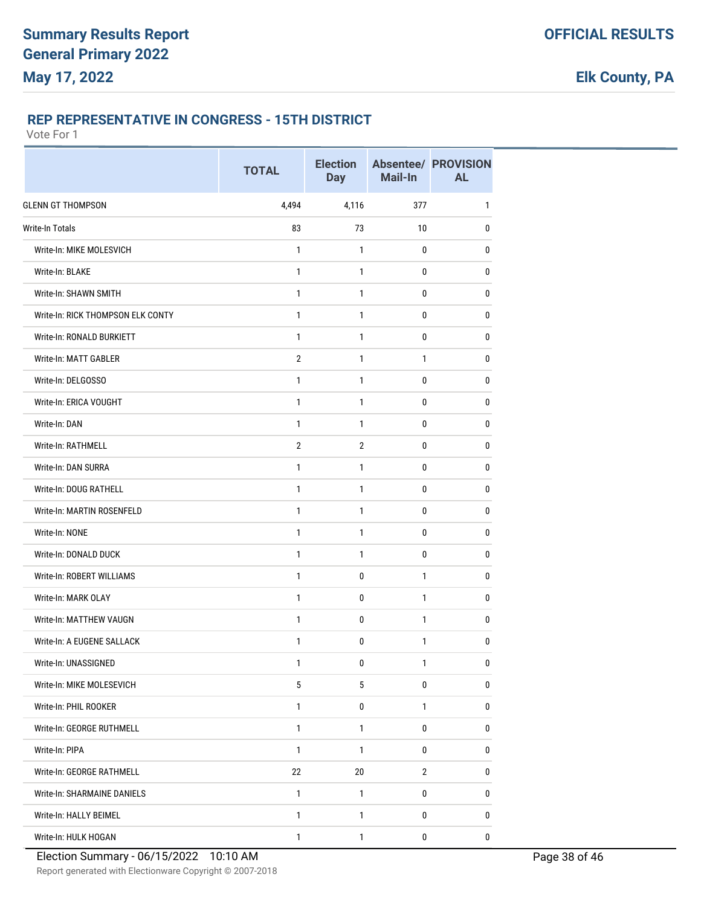### **REP REPRESENTATIVE IN CONGRESS - 15TH DISTRICT**

|                                    | <b>TOTAL</b>   | <b>Election</b><br><b>Day</b> | Mail-In        | <b>Absentee/ PROVISION</b><br><b>AL</b> |
|------------------------------------|----------------|-------------------------------|----------------|-----------------------------------------|
| <b>GLENN GT THOMPSON</b>           | 4,494          | 4,116                         | 377            | 1                                       |
| <b>Write-In Totals</b>             | 83             | 73                            | 10             | 0                                       |
| Write-In: MIKE MOLESVICH           | 1              | 1                             | 0              | $\bf{0}$                                |
| Write-In: BLAKE                    | $\mathbf{1}$   | $\mathbf{1}$                  | 0              | 0                                       |
| Write-In: SHAWN SMITH              | 1              | 1                             | 0              | 0                                       |
| Write-In: RICK THOMPSON ELK CONTY  | $\mathbf{1}$   | $\mathbf{1}$                  | 0              | 0                                       |
| Write-In: RONALD BURKIETT          | $\mathbf{1}$   | $\mathbf{1}$                  | 0              | 0                                       |
| Write-In: MATT GABLER              | $\overline{2}$ | 1                             | 1              | 0                                       |
| Write-In: DELGOSSO                 | $\mathbf{1}$   | $\mathbf{1}$                  | 0              | $\bf{0}$                                |
| Write-In: ERICA VOUGHT             | 1              | 1                             | 0              | 0                                       |
| Write-In: DAN                      | 1              | 1                             | $\mathbf 0$    | 0                                       |
| Write-In: RATHMELL                 | $\overline{2}$ | $\overline{2}$                | 0              | 0                                       |
| Write-In: DAN SURRA                | $\mathbf{1}$   | $\mathbf{1}$                  | 0              | 0                                       |
| Write-In: DOUG RATHELL             | $\mathbf{1}$   | 1                             | $\mathbf 0$    | $\bf{0}$                                |
| Write-In: MARTIN ROSENFELD         | 1              | 1                             | 0              | $\bf{0}$                                |
| Write-In: NONE                     | $\mathbf{1}$   | $\mathbf{1}$                  | 0              | 0                                       |
| Write-In: DONALD DUCK              | 1              | 1                             | $\mathbf 0$    | 0                                       |
| Write-In: ROBERT WILLIAMS          | $\mathbf{1}$   | 0                             | $\mathbf{1}$   | 0                                       |
| Write-In: MARK OLAY                | $\mathbf{1}$   | 0                             | $\mathbf{1}$   | 0                                       |
| Write-In: MATTHEW VAUGN            | $\mathbf{1}$   | 0                             | 1              | 0                                       |
| Write-In: A EUGENE SALLACK         | 1              | 0                             | $\mathbf{1}$   | 0                                       |
| Write-In: UNASSIGNED               | 1              | 0                             | 1              | 0                                       |
| Write-In: MIKE MOLESEVICH          | 5              | 5                             | $\pmb{0}$      | 0                                       |
| Write-In: PHIL ROOKER              | $\mathbf{1}$   | 0                             | $\mathbf{1}$   | $\mathbf 0$                             |
| Write-In: GEORGE RUTHMELL          | $\mathbf{1}$   | $\mathbf{1}$                  | 0              | 0                                       |
| Write-In: PIPA                     | $\mathbf{1}$   | 1                             | 0              | $\mathbf 0$                             |
| Write-In: GEORGE RATHMELL          | 22             | 20                            | $\overline{2}$ | 0                                       |
| <b>Write-In: SHARMAINE DANIELS</b> | $\mathbf{1}$   | 1                             | 0              | 0                                       |
| Write-In: HALLY BEIMEL             | 1              | 1                             | 0              | 0                                       |
| Write-In: HULK HOGAN               | $\mathbf{1}$   | 1                             | 0              | $\pmb{0}$                               |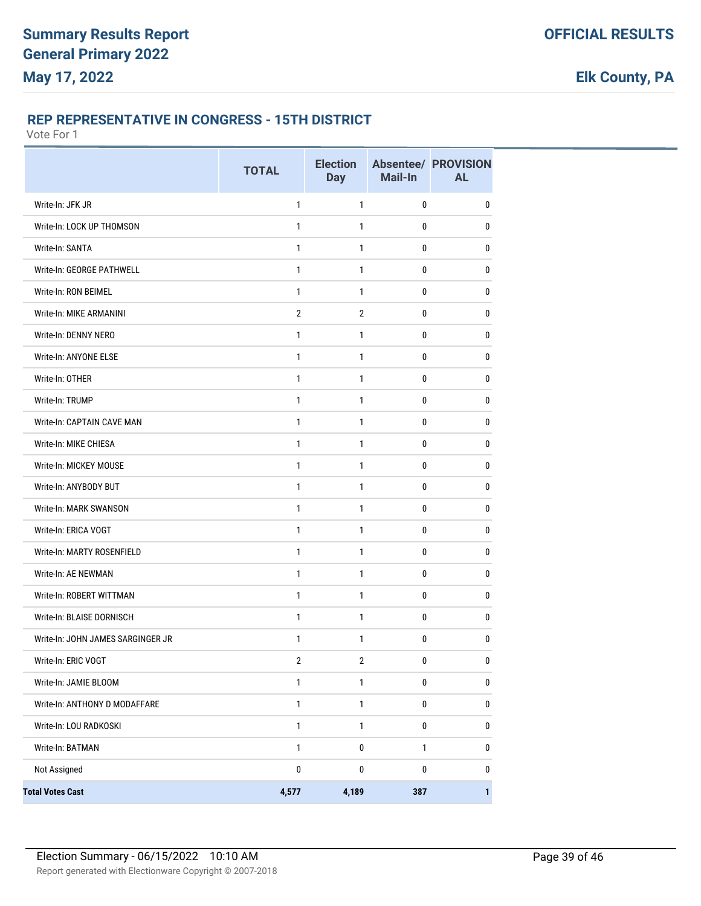### **REP REPRESENTATIVE IN CONGRESS - 15TH DISTRICT**

|                                   | <b>TOTAL</b>   | <b>Election</b><br><b>Day</b> | Mail-In      | <b>Absentee/ PROVISION</b><br><b>AL</b> |
|-----------------------------------|----------------|-------------------------------|--------------|-----------------------------------------|
| Write-In: JFK JR                  | $\mathbf{1}$   | 1                             | 0            | 0                                       |
| Write-In: LOCK UP THOMSON         | 1              | 1                             | 0            | 0                                       |
| Write-In: SANTA                   | 1              | 1                             | 0            | 0                                       |
| Write-In: GEORGE PATHWELL         | $\mathbf{1}$   | $\mathbf{1}$                  | 0            | 0                                       |
| Write-In: RON BEIMEL              | $\mathbf{1}$   | $\mathbf{1}$                  | 0            | 0                                       |
| Write-In: MIKE ARMANINI           | $\overline{2}$ | $\overline{2}$                | 0            | 0                                       |
| Write-In: DENNY NERO              | 1              | 1                             | 0            | 0                                       |
| Write-In: ANYONE ELSE             | $\mathbf{1}$   | 1                             | 0            | 0                                       |
| Write-In: OTHER                   | 1              | $\mathbf{1}$                  | 0            | 0                                       |
| Write-In: TRUMP                   | $\mathbf{1}$   | $\mathbf{1}$                  | 0            | 0                                       |
| Write-In: CAPTAIN CAVE MAN        | $\mathbf{1}$   | $\mathbf{1}$                  | 0            | 0                                       |
| Write-In: MIKE CHIESA             | 1              | $\mathbf{1}$                  | 0            | 0                                       |
| Write-In: MICKEY MOUSE            | $\mathbf{1}$   | $\mathbf{1}$                  | 0            | 0                                       |
| Write-In: ANYBODY BUT             | 1              | 1                             | 0            | 0                                       |
| Write-In: MARK SWANSON            | 1              | 1                             | 0            | 0                                       |
| Write-In: ERICA VOGT              | $\mathbf{1}$   | $\mathbf{1}$                  | 0            | 0                                       |
| Write-In: MARTY ROSENFIELD        | $\mathbf{1}$   | $\mathbf{1}$                  | 0            | 0                                       |
| Write-In: AE NEWMAN               | 1              | $\mathbf{1}$                  | 0            | 0                                       |
| Write-In: ROBERT WITTMAN          | 1              | $\mathbf{1}$                  | 0            | 0                                       |
| Write-In: BLAISE DORNISCH         | $\mathbf{1}$   | 1                             | 0            | 0                                       |
| Write-In: JOHN JAMES SARGINGER JR | 1              | 1                             | 0            | 0                                       |
| Write-In: ERIC VOGT               | $\overline{2}$ | $\overline{2}$                | 0            | <sup>0</sup>                            |
| Write-In: JAMIE BLOOM             | $\mathbf{1}$   | $\mathbf{1}$                  | $\pmb{0}$    | $\pmb{0}$                               |
| Write-In: ANTHONY D MODAFFARE     | $\mathbf{1}$   | $\mathbf{1}$                  | $\pmb{0}$    | $\pmb{0}$                               |
| Write-In: LOU RADKOSKI            | $\mathbf{1}$   | $\mathbf{1}$                  | 0            | 0                                       |
| Write-In: BATMAN                  | $\mathbf{1}$   | $\pmb{0}$                     | $\mathbf{1}$ | 0                                       |
| Not Assigned                      | $\pmb{0}$      | $\pmb{0}$                     | 0            | 0                                       |
| <b>Total Votes Cast</b>           | 4,577          | 4,189                         | 387          | $\mathbf{1}$                            |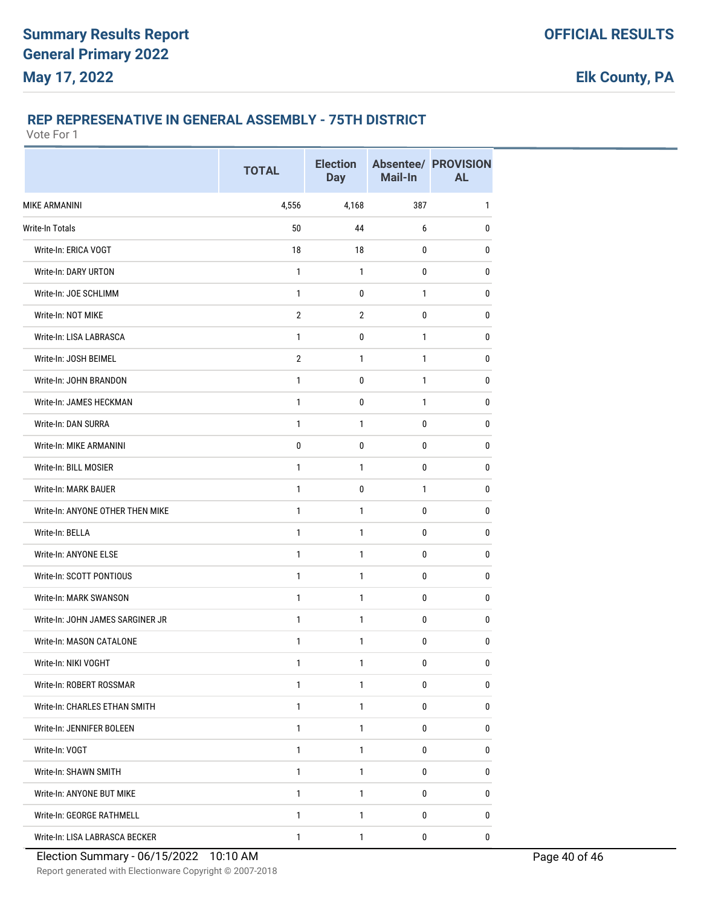### **REP REPRESENATIVE IN GENERAL ASSEMBLY - 75TH DISTRICT**

|                                  | <b>TOTAL</b>   | <b>Election</b><br><b>Day</b> | Mail-In      | <b>Absentee/ PROVISION</b><br><b>AL</b> |
|----------------------------------|----------------|-------------------------------|--------------|-----------------------------------------|
| <b>MIKE ARMANINI</b>             | 4,556          | 4,168                         | 387          | $\mathbf{1}$                            |
| Write-In Totals                  | 50             | 44                            | 6            | $\mathbf 0$                             |
| Write-In: ERICA VOGT             | 18             | 18                            | 0            | 0                                       |
| Write-In: DARY URTON             | 1              | 1                             | 0            | 0                                       |
| Write-In: JOE SCHLIMM            | 1              | 0                             | 1            | 0                                       |
| Write-In: NOT MIKE               | $\overline{2}$ | $\overline{2}$                | 0            | $\mathbf{0}$                            |
| Write-In: LISA LABRASCA          | $\mathbf{1}$   | 0                             | $\mathbf{1}$ | $\mathbf 0$                             |
| Write-In: JOSH BEIMEL            | $\overline{2}$ | 1                             | 1            | 0                                       |
| Write-In: JOHN BRANDON           | 1              | 0                             | 1            | $\mathbf{0}$                            |
| Write-In: JAMES HECKMAN          | 1              | 0                             | 1            | 0                                       |
| Write-In: DAN SURRA              | 1              | 1                             | 0            | 0                                       |
| Write-In: MIKE ARMANINI          | 0              | 0                             | $\mathbf 0$  | 0                                       |
| Write-In: BILL MOSIER            | 1              | 1                             | 0            | 0                                       |
| <b>Write-In: MARK BAUER</b>      | 1              | 0                             | 1            | 0                                       |
| Write-In: ANYONE OTHER THEN MIKE | 1              | 1                             | 0            | 0                                       |
| Write-In: BELLA                  | 1              | 1                             | 0            | 0                                       |
| Write-In: ANYONE ELSE            | 1              | 1                             | 0            | 0                                       |
| Write-In: SCOTT PONTIOUS         | 1              | 1                             | 0            | 0                                       |
| Write-In: MARK SWANSON           | $\mathbf{1}$   | $\mathbf{1}$                  | $\mathbf 0$  | $\mathbf 0$                             |
| Write-In: JOHN JAMES SARGINER JR | 1              | 1                             | 0            | 0                                       |
| Write-In: MASON CATALONE         | 1              | 1                             | 0            | 0                                       |
| Write-In: NIKI VOGHT             | 1              | 1                             | 0            | 0                                       |
| Write-In: ROBERT ROSSMAR         | 1              | 1                             | 0            | 0                                       |
| Write-In: CHARLES ETHAN SMITH    | $\mathbf{1}$   | $\mathbf{1}$                  | 0            | 0                                       |
| Write-In: JENNIFER BOLEEN        | $\mathbf{1}$   | $\mathbf{1}$                  | $\mathbf 0$  | $\pmb{0}$                               |
| Write-In: VOGT                   | 1              | 1                             | 0            | 0                                       |
| Write-In: SHAWN SMITH            | $\mathbf{1}$   | $\mathbf{1}$                  | 0            | 0                                       |
| Write-In: ANYONE BUT MIKE        | $\mathbf{1}$   | 1                             | 0            | $\pmb{0}$                               |
| Write-In: GEORGE RATHMELL        | $\mathbf{1}$   | 1                             | 0            | 0                                       |
| Write-In: LISA LABRASCA BECKER   | $\mathbf{1}$   | $\mathbf{1}$                  | 0            | 0                                       |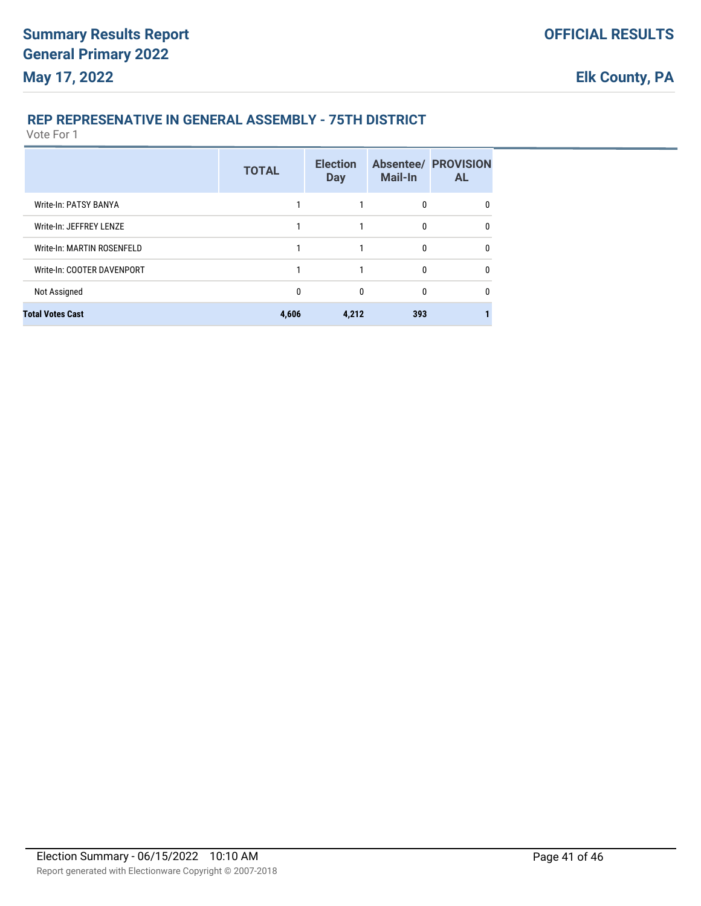### **REP REPRESENATIVE IN GENERAL ASSEMBLY - 75TH DISTRICT**

|                            | <b>TOTAL</b> | <b>Election</b><br><b>Day</b> | <b>Mail-In</b> | <b>Absentee/ PROVISION</b><br><b>AL</b> |
|----------------------------|--------------|-------------------------------|----------------|-----------------------------------------|
| Write-In: PATSY BANYA      |              |                               | $\mathbf{0}$   | 0                                       |
| Write-In: JEFFREY LENZE    |              |                               | 0              | 0                                       |
| Write-In: MARTIN ROSENFELD |              |                               | $\mathbf{0}$   | 0                                       |
| Write-In: COOTER DAVENPORT |              |                               | $\bf{0}$       | $\mathbf{0}$                            |
| Not Assigned               | 0            | 0                             | 0              | $\mathbf{0}$                            |
| <b>Total Votes Cast</b>    | 4,606        | 4,212                         | 393            |                                         |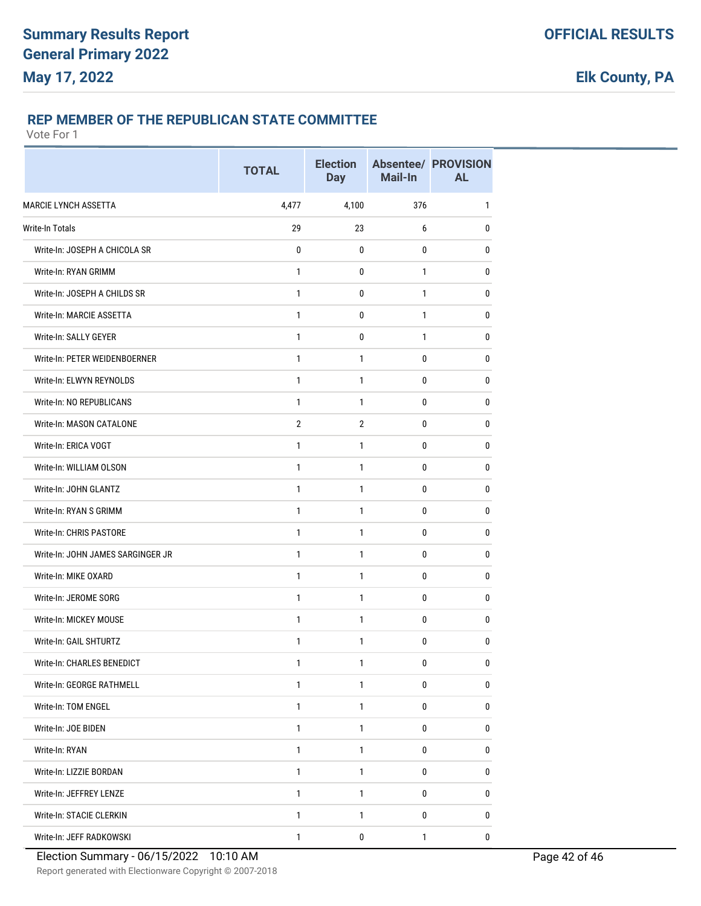#### **REP MEMBER OF THE REPUBLICAN STATE COMMITTEE**

|                                   | <b>TOTAL</b>   | <b>Election</b><br><b>Day</b> | Mail-In     | <b>Absentee/ PROVISION</b><br><b>AL</b> |
|-----------------------------------|----------------|-------------------------------|-------------|-----------------------------------------|
| <b>MARCIE LYNCH ASSETTA</b>       | 4,477          | 4,100                         | 376         | 1                                       |
| <b>Write-In Totals</b>            | 29             | 23                            | 6           | 0                                       |
| Write-In: JOSEPH A CHICOLA SR     | 0              | 0                             | 0           | 0                                       |
| Write-In: RYAN GRIMM              | 1              | 0                             | 1           | 0                                       |
| Write-In: JOSEPH A CHILDS SR      | 1              | 0                             | 1           | 0                                       |
| Write-In: MARCIE ASSETTA          | 1              | 0                             | 1           | 0                                       |
| Write-In: SALLY GEYER             | 1              | 0                             | 1           | $\mathbf{0}$                            |
| Write-In: PETER WEIDENBOERNER     | 1              | 1                             | 0           | 0                                       |
| Write-In: ELWYN REYNOLDS          | 1              | 1                             | 0           | $\bf{0}$                                |
| Write-In: NO REPUBLICANS          | 1              | 1                             | 0           | 0                                       |
| Write-In: MASON CATALONE          | $\overline{2}$ | $\overline{2}$                | 0           | 0                                       |
| Write-In: ERICA VOGT              | 1              | 1                             | 0           | 0                                       |
| Write-In: WILLIAM OLSON           | 1              | 1                             | 0           | 0                                       |
| Write-In: JOHN GLANTZ             | $\mathbf{1}$   | $\mathbf{1}$                  | $\mathbf 0$ | $\mathbf 0$                             |
| Write-In: RYAN S GRIMM            | 1              | 1                             | 0           | 0                                       |
| Write-In: CHRIS PASTORE           | 1              | 1                             | 0           | 0                                       |
| Write-In: JOHN JAMES SARGINGER JR | 1              | 1                             | 0           | 0                                       |
| Write-In: MIKE OXARD              | 1              | 1                             | 0           | 0                                       |
| Write-In: JEROME SORG             | $\mathbf{1}$   | 1                             | 0           | 0                                       |
| Write-In: MICKEY MOUSE            | 1              | 1                             | 0           | 0                                       |
| Write-In: GAIL SHTURTZ            | 1              | 1                             | 0           | 0                                       |
| Write-In: CHARLES BENEDICT        | 1              | 1                             | 0           | 0                                       |
| Write-In: GEORGE RATHMELL         | 1              | 1                             | 0           | 0                                       |
| Write-In: TOM ENGEL               | 1              | 1                             | 0           | 0                                       |
| Write-In: JOE BIDEN               | 1              | 1                             | 0           | 0                                       |
| Write-In: RYAN                    | $\mathbf{1}$   | 1                             | 0           | 0                                       |
| Write-In: LIZZIE BORDAN           | 1              | 1                             | 0           | 0                                       |
| Write-In: JEFFREY LENZE           | 1              | 1                             | 0           | 0                                       |
| Write-In: STACIE CLERKIN          | 1              | $\mathbf{1}$                  | 0           | 0                                       |
| Write-In: JEFF RADKOWSKI          | 1              | 0                             | 1           | 0                                       |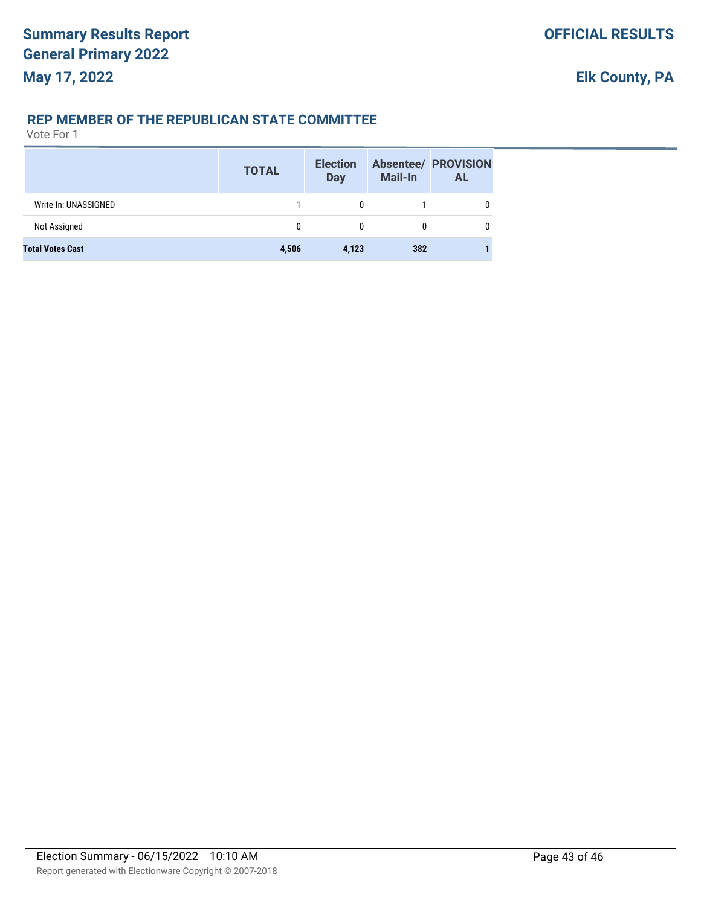#### **REP MEMBER OF THE REPUBLICAN STATE COMMITTEE**

|                         | <b>TOTAL</b> | <b>Election</b><br>Day | <b>Mail-In</b> | <b>Absentee/ PROVISION</b><br><b>AL</b> |
|-------------------------|--------------|------------------------|----------------|-----------------------------------------|
| Write-In: UNASSIGNED    |              |                        |                |                                         |
| Not Assigned            | 0            |                        |                |                                         |
| <b>Total Votes Cast</b> | 4,506        | 4,123                  | 382            |                                         |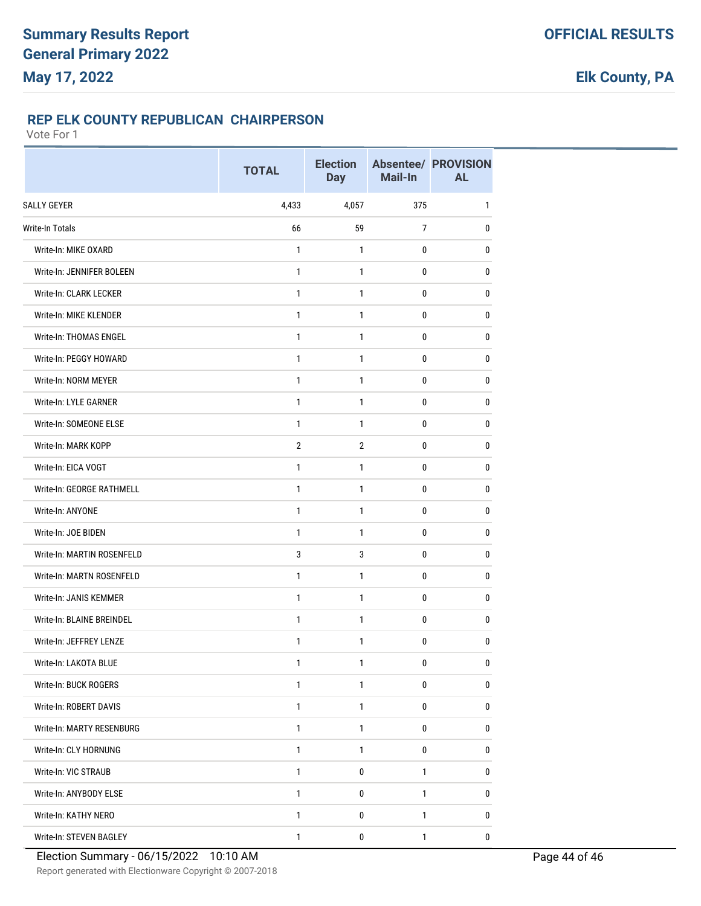### **REP ELK COUNTY REPUBLICAN CHAIRPERSON**

|                                  | <b>TOTAL</b>   | <b>Election</b><br><b>Day</b> | Mail-In        | <b>Absentee/ PROVISION</b><br><b>AL</b> |
|----------------------------------|----------------|-------------------------------|----------------|-----------------------------------------|
| <b>SALLY GEYER</b>               | 4,433          | 4,057                         | 375            | $\mathbf{1}$                            |
| Write-In Totals                  | 66             | 59                            | $\overline{7}$ | $\mathbf 0$                             |
| Write-In: MIKE OXARD             | 1              | 1                             | 0              | $\bf{0}$                                |
| Write-In: JENNIFER BOLEEN        | $\mathbf{1}$   | 1                             | 0              | 0                                       |
| Write-In: CLARK LECKER           | $\mathbf{1}$   | 1                             | 0              | 0                                       |
| Write-In: MIKE KLENDER           | $\mathbf{1}$   | 1                             | 0              | 0                                       |
| Write-In: THOMAS ENGEL           | $\mathbf{1}$   | 1                             | $\mathbf 0$    | $\pmb{0}$                               |
| Write-In: PEGGY HOWARD           | $\mathbf{1}$   | 1                             | 0              | 0                                       |
| Write-In: NORM MEYER             | $\mathbf{1}$   | 1                             | 0              | $\mathbf 0$                             |
| Write-In: LYLE GARNER            | 1              | 1                             | 0              | 0                                       |
| Write-In: SOMEONE ELSE           | $\mathbf{1}$   | 1                             | 0              | 0                                       |
| Write-In: MARK KOPP              | $\overline{2}$ | $\overline{2}$                | 0              | 0                                       |
| Write-In: EICA VOGT              | $\mathbf{1}$   | 1                             | 0              | 0                                       |
| Write-In: GEORGE RATHMELL        | $\mathbf{1}$   | 1                             | $\mathbf 0$    | $\pmb{0}$                               |
| Write-In: ANYONE                 | 1              | 1                             | 0              | 0                                       |
| Write-In: JOE BIDEN              | $\mathbf{1}$   | 1                             | 0              | 0                                       |
| Write-In: MARTIN ROSENFELD       | 3              | 3                             | 0              | 0                                       |
| <b>Write-In: MARTN ROSENFELD</b> | $\mathbf{1}$   | 1                             | 0              | 0                                       |
| Write-In: JANIS KEMMER           | $\mathbf{1}$   | 1                             | $\mathbf 0$    | $\pmb{0}$                               |
| Write-In: BLAINE BREINDEL        | $\mathbf{1}$   | 1                             | 0              | 0                                       |
| Write-In: JEFFREY LENZE          | 1              | 1                             | $\pmb{0}$      | 0                                       |
| Write-In: LAKOTA BLUE            | 1              | 1                             | 0              | 0                                       |
| Write-In: BUCK ROGERS            | $\mathbf{1}$   | 1                             | 0              | 0                                       |
| Write-In: ROBERT DAVIS           | $\mathbf{1}$   | $\mathbf{1}$                  | 0              | 0                                       |
| Write-In: MARTY RESENBURG        | $\mathbf{1}$   | $\mathbf{1}$                  | 0              | 0                                       |
| Write-In: CLY HORNUNG            | $\mathbf{1}$   | 1                             | 0              | 0                                       |
| Write-In: VIC STRAUB             | $\mathbf{1}$   | 0                             | $\mathbf{1}$   | 0                                       |
| Write-In: ANYBODY ELSE           | 1              | 0                             | 1              | 0                                       |
| Write-In: KATHY NERO             | $\mathbf{1}$   | 0                             | $\mathbf{1}$   | 0                                       |
| Write-In: STEVEN BAGLEY          | $\mathbf{1}$   | $\pmb{0}$                     | $\mathbf{1}$   | 0                                       |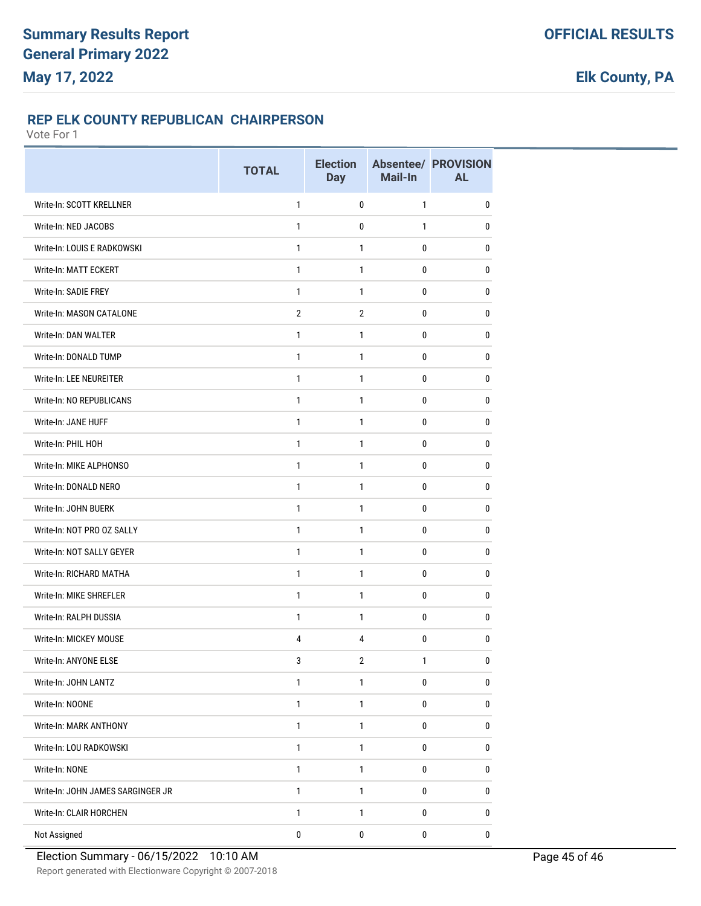### **REP ELK COUNTY REPUBLICAN CHAIRPERSON**

|                                   | <b>TOTAL</b>   | <b>Election</b><br><b>Day</b> | Mail-In      | <b>Absentee/ PROVISION</b><br><b>AL</b> |
|-----------------------------------|----------------|-------------------------------|--------------|-----------------------------------------|
| Write-In: SCOTT KRELLNER          | $\mathbf{1}$   | 0                             | $\mathbf{1}$ | 0                                       |
| Write-In: NED JACOBS              | 1              | 0                             | 1            | $\pmb{0}$                               |
| Write-In: LOUIS E RADKOWSKI       | $\mathbf{1}$   | $\mathbf{1}$                  | 0            | 0                                       |
| Write-In: MATT ECKERT             | $\mathbf{1}$   | $\mathbf{1}$                  | 0            | 0                                       |
| Write-In: SADIE FREY              | 1              | $\mathbf{1}$                  | 0            | 0                                       |
| <b>Write-In: MASON CATALONE</b>   | $\overline{2}$ | $\overline{2}$                | 0            | 0                                       |
| Write-In: DAN WALTER              | 1              | 1                             | 0            | 0                                       |
| Write-In: DONALD TUMP             | 1              | $\mathbf{1}$                  | 0            | 0                                       |
| Write-In: LEE NEUREITER           | $\mathbf{1}$   | $\mathbf{1}$                  | 0            | 0                                       |
| Write-In: NO REPUBLICANS          | $\mathbf{1}$   | $\mathbf{1}$                  | 0            | 0                                       |
| Write-In: JANE HUFF               | $\mathbf{1}$   | $\mathbf{1}$                  | $\mathbf 0$  | $\pmb{0}$                               |
| Write-In: PHIL HOH                | $\mathbf{1}$   | $\mathbf{1}$                  | 0            | 0                                       |
| Write-In: MIKE ALPHONSO           | $\mathbf{1}$   | $\mathbf{1}$                  | 0            | 0                                       |
| Write-In: DONALD NERO             | 1              | $\mathbf{1}$                  | 0            | $\pmb{0}$                               |
| Write-In: JOHN BUERK              | $\mathbf{1}$   | $\mathbf{1}$                  | 0            | 0                                       |
| Write-In: NOT PRO OZ SALLY        | $\mathbf{1}$   | $\mathbf{1}$                  | 0            | 0                                       |
| Write-In: NOT SALLY GEYER         | 1              | $\mathbf{1}$                  | 0            | 0                                       |
| Write-In: RICHARD MATHA           | $\mathbf{1}$   | $\mathbf{1}$                  | 0            | 0                                       |
| Write-In: MIKE SHREFLER           | 1              | $\mathbf{1}$                  | 0            | 0                                       |
| Write-In: RALPH DUSSIA            | $\mathbf{1}$   | $\mathbf{1}$                  | 0            | 0                                       |
| Write-In: MICKEY MOUSE            | 4              | 4                             | 0            | 0                                       |
| Write-In: ANYONE ELSE             | 3              | $\sqrt{2}$                    | 1            | 0                                       |
| Write-In: JOHN LANTZ              | 1              | 1                             | $\pmb{0}$    | $\pmb{0}$                               |
| Write-In: NOONE                   | $\mathbf{1}$   | $\mathbf{1}$                  | $\pmb{0}$    | $\pmb{0}$                               |
| Write-In: MARK ANTHONY            | 1              | 1                             | 0            | 0                                       |
| Write-In: LOU RADKOWSKI           | 1              | $\mathbf{1}$                  | $\pmb{0}$    | $\pmb{0}$                               |
| Write-In: NONE                    | $\mathbf{1}$   | $\mathbf{1}$                  | 0            | 0                                       |
| Write-In: JOHN JAMES SARGINGER JR | $\mathbf{1}$   | $\mathbf{1}$                  | 0            | $\pmb{0}$                               |
| Write-In: CLAIR HORCHEN           | $\mathbf{1}$   | $\mathbf{1}$                  | $\pmb{0}$    | 0                                       |
| Not Assigned                      | $\pmb{0}$      | $\pmb{0}$                     | $\pmb{0}$    | 0                                       |